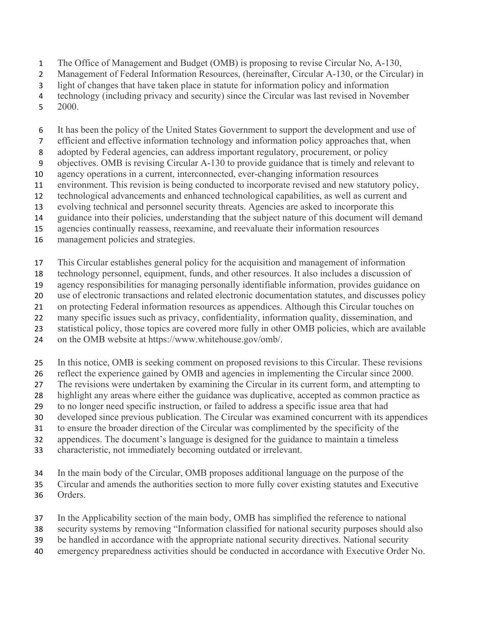- The Office of Management and Budget (OMB) is proposing to revise Circular No, A-130,
- 2 Management of Federal Information Resources, (hereinafter, Circular A-130, or the Circular) in
- light of changes that have taken place in statute for information policy and information
- technology (including privacy and security) since the Circular was last revised in November
- 2000.
- It has been the policy of the United States Government to support the development and use of
- efficient and effective information technology and information policy approaches that, when
- adopted by Federal agencies, can address important regulatory, procurement, or policy
- objectives. OMB is revising Circular A-130 to provide guidance that is timely and relevant to
- agency operations in a current, interconnected, ever-changing information resources
- environment. This revision is being conducted to incorporate revised and new statutory policy,
- technological advancements and enhanced technological capabilities, as well as current and
- evolving technical and personnel security threats. Agencies are asked to incorporate this
- guidance into their policies, understanding that the subject nature of this document will demand
- agencies continually reassess, reexamine, and reevaluate their information resources
- management policies and strategies.
- This Circular establishes general policy for the acquisition and management of information
- technology personnel, equipment, funds, and other resources. It also includes a discussion of
- agency responsibilities for managing personally identifiable information, provides guidance on
- use of electronic transactions and related electronic documentation statutes, and discusses policy
- on protecting Federal information resources as appendices. Although this Circular touches on
- many specific issues such as privacy, confidentiality, information quality, dissemination, and
- statistical policy, those topics are covered more fully in other OMB policies, which are available
- on the OMB website at https://www.whitehouse.gov/omb/.
- In this notice, OMB is seeking comment on proposed revisions to this Circular. These revisions
- reflect the experience gained by OMB and agencies in implementing the Circular since 2000.
- The revisions were undertaken by examining the Circular in its current form, and attempting to
- highlight any areas where either the guidance was duplicative, accepted as common practice as
- to no longer need specific instruction, or failed to address a specific issue area that had
- developed since previous publication. The Circular was examined concurrent with its appendices
- to ensure the broader direction of the Circular was complimented by the specificity of the
- appendices. The document's language is designed for the guidance to maintain a timeless
- characteristic, not immediately becoming outdated or irrelevant.
- In the main body of the Circular, OMB proposes additional language on the purpose of the
- Circular and amends the authorities section to more fully cover existing statutes and Executive Orders.
- In the Applicability section of the main body, OMB has simplified the reference to national
- security systems by removing "Information classified for national security purposes should also
- be handled in accordance with the appropriate national security directives. National security
- emergency preparedness activities should be conducted in accordance with Executive Order No.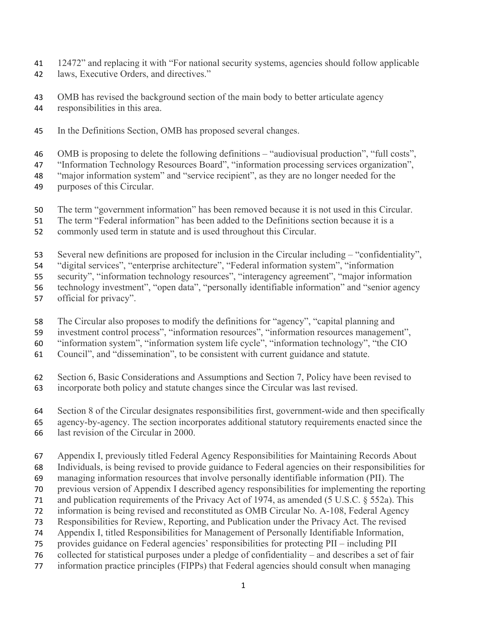- 12472" and replacing it with "For national security systems, agencies should follow applicable laws, Executive Orders, and directives."
- OMB has revised the background section of the main body to better articulate agency responsibilities in this area.
- In the Definitions Section, OMB has proposed several changes.
- OMB is proposing to delete the following definitions "audiovisual production", "full costs",
- "Information Technology Resources Board", "information processing services organization",
- "major information system" and "service recipient", as they are no longer needed for the
- purposes of this Circular.
- The term "government information" has been removed because it is not used in this Circular.
- The term "Federal information" has been added to the Definitions section because it is a
- commonly used term in statute and is used throughout this Circular.
- Several new definitions are proposed for inclusion in the Circular including "confidentiality",
- "digital services", "enterprise architecture", "Federal information system", "information
- security", "information technology resources", "interagency agreement", "major information
- technology investment", "open data", "personally identifiable information" and "senior agency
- official for privacy".
- The Circular also proposes to modify the definitions for "agency", "capital planning and
- investment control process", "information resources", "information resources management",
- "information system", "information system life cycle", "information technology", "the CIO
- Council", and "dissemination", to be consistent with current guidance and statute.
- Section 6, Basic Considerations and Assumptions and Section 7, Policy have been revised to incorporate both policy and statute changes since the Circular was last revised.
- Section 8 of the Circular designates responsibilities first, government-wide and then specifically agency-by-agency. The section incorporates additional statutory requirements enacted since the last revision of the Circular in 2000.
- Appendix I, previously titled Federal Agency Responsibilities for Maintaining Records About
- Individuals, is being revised to provide guidance to Federal agencies on their responsibilities for
- managing information resources that involve personally identifiable information (PII). The
- previous version of Appendix I described agency responsibilities for implementing the reporting
- and publication requirements of the Privacy Act of 1974, as amended (5 U.S.C. § 552a). This
- information is being revised and reconstituted as OMB Circular No. A-108, Federal Agency
- Responsibilities for Review, Reporting, and Publication under the Privacy Act. The revised
- Appendix I, titled Responsibilities for Management of Personally Identifiable Information,
- provides guidance on Federal agencies' responsibilities for protecting PII including PII
- collected for statistical purposes under a pledge of confidentiality and describes a set of fair
- information practice principles (FIPPs) that Federal agencies should consult when managing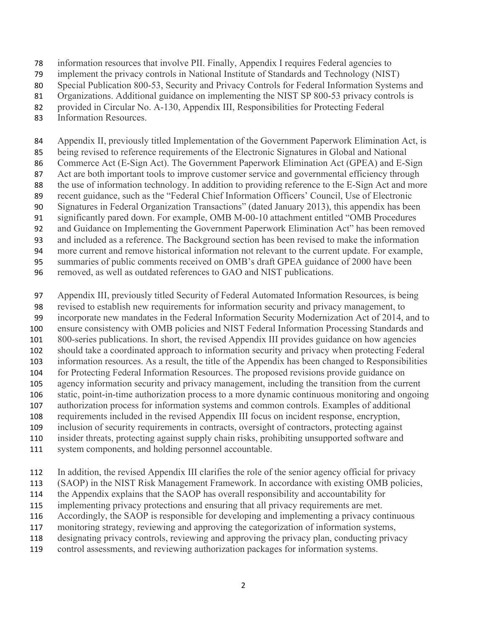information resources that involve PII. Finally, Appendix I requires Federal agencies to

implement the privacy controls in National Institute of Standards and Technology (NIST)

- Special Publication 800-53, Security and Privacy Controls for Federal Information Systems and
- 81 Organizations. Additional guidance on implementing the NIST SP 800-53 privacy controls is
- provided in Circular No. A-130, Appendix III, Responsibilities for Protecting Federal
- Information Resources.

 Appendix II, previously titled Implementation of the Government Paperwork Elimination Act, is being revised to reference requirements of the Electronic Signatures in Global and National 86 Commerce Act (E-Sign Act). The Government Paperwork Elimination Act (GPEA) and E-Sign 87 Act are both important tools to improve customer service and governmental efficiency through the use of information technology. In addition to providing reference to the E-Sign Act and more

 recent guidance, such as the "Federal Chief Information Officers' Council, Use of Electronic Signatures in Federal Organization Transactions" (dated January 2013), this appendix has been

- significantly pared down. For example, OMB M-00-10 attachment entitled "OMB Procedures
- and Guidance on Implementing the Government Paperwork Elimination Act" has been removed
- and included as a reference. The Background section has been revised to make the information
- more current and remove historical information not relevant to the current update. For example,
- summaries of public comments received on OMB's draft GPEA guidance of 2000 have been
- removed, as well as outdated references to GAO and NIST publications.

 Appendix III, previously titled Security of Federal Automated Information Resources, is being revised to establish new requirements for information security and privacy management, to incorporate new mandates in the Federal Information Security Modernization Act of 2014, and to

ensure consistency with OMB policies and NIST Federal Information Processing Standards and

- 800-series publications. In short, the revised Appendix III provides guidance on how agencies
- should take a coordinated approach to information security and privacy when protecting Federal
- information resources. As a result, the title of the Appendix has been changed to Responsibilities for Protecting Federal Information Resources. The proposed revisions provide guidance on
- agency information security and privacy management, including the transition from the current
- static, point-in-time authorization process to a more dynamic continuous monitoring and ongoing
- authorization process for information systems and common controls. Examples of additional
- requirements included in the revised Appendix III focus on incident response, encryption,
- inclusion of security requirements in contracts, oversight of contractors, protecting against
- insider threats, protecting against supply chain risks, prohibiting unsupported software and
- system components, and holding personnel accountable.
- In addition, the revised Appendix III clarifies the role of the senior agency official for privacy
- (SAOP) in the NIST Risk Management Framework. In accordance with existing OMB policies,
- the Appendix explains that the SAOP has overall responsibility and accountability for
- implementing privacy protections and ensuring that all privacy requirements are met.
- Accordingly, the SAOP is responsible for developing and implementing a privacy continuous
- monitoring strategy, reviewing and approving the categorization of information systems,
- designating privacy controls, reviewing and approving the privacy plan, conducting privacy
- control assessments, and reviewing authorization packages for information systems.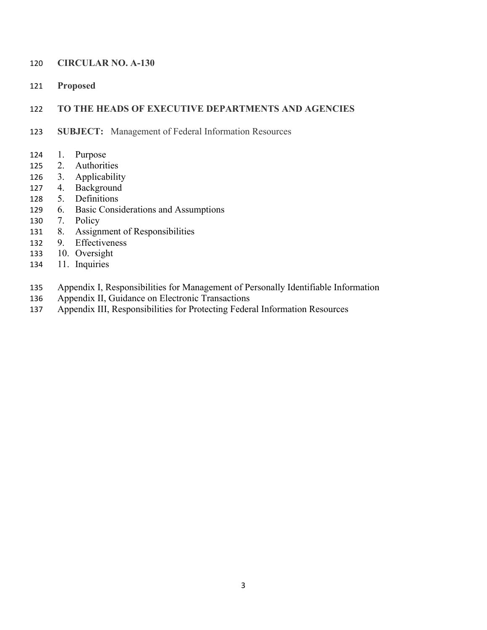#### **CIRCULAR NO. A-130**

**Proposed** 

#### **TO THE HEADS OF EXECUTIVE DEPARTMENTS AND AGENCIES**

- **SUBJECT:** Management of Federal Information Resources
- 1. Purpose
- 2. Authorities
- 3. Applicability
- 4. Background
- 5. Definitions
- 6. Basic Considerations and Assumptions
- 7. Policy
- 8. Assignment of Responsibilities
- 9. Effectiveness
- 10. Oversight
- 11. Inquiries
- Appendix I, Responsibilities for Management of Personally Identifiable Information
- Appendix II, Guidance on Electronic Transactions
- Appendix III, Responsibilities for Protecting Federal Information Resources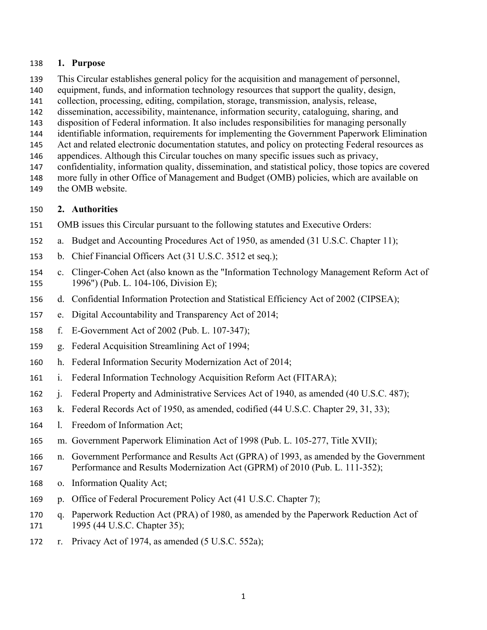#### **1. Purpose**

- This Circular establishes general policy for the acquisition and management of personnel,
- equipment, funds, and information technology resources that support the quality, design,
- collection, processing, editing, compilation, storage, transmission, analysis, release,
- dissemination, accessibility, maintenance, information security, cataloguing, sharing, and
- disposition of Federal information. It also includes responsibilities for managing personally
- identifiable information, requirements for implementing the Government Paperwork Elimination
- 145 Act and related electronic documentation statutes, and policy on protecting Federal resources as
- appendices. Although this Circular touches on many specific issues such as privacy,
- confidentiality, information quality, dissemination, and statistical policy, those topics are covered
- more fully in other Office of Management and Budget (OMB) policies, which are available on
- the OMB website.

# **2. Authorities**

- OMB issues this Circular pursuant to the following statutes and Executive Orders:
- a. Budget and Accounting Procedures Act of 1950, as amended (31 U.S.C. Chapter 11);
- b. Chief Financial Officers Act (31 U.S.C. 3512 et seq.);
- c. Clinger-Cohen Act (also known as the "Information Technology Management Reform Act of 1996") (Pub. L. 104-106, Division E);
- d. Confidential Information Protection and Statistical Efficiency Act of 2002 (CIPSEA);
- e. Digital Accountability and Transparency Act of 2014;
- f. E-Government Act of 2002 (Pub. L. 107-347);
- g. Federal Acquisition Streamlining Act of 1994;
- h. Federal Information Security Modernization Act of 2014;
- i. Federal Information Technology Acquisition Reform Act (FITARA);
- j. Federal Property and Administrative Services Act of 1940, as amended (40 U.S.C. 487);
- k. Federal Records Act of 1950, as amended, codified (44 U.S.C. Chapter 29, 31, 33);
- l. Freedom of Information Act;
- m. Government Paperwork Elimination Act of 1998 (Pub. L. 105-277, Title XVII);
- n. Government Performance and Results Act (GPRA) of 1993, as amended by the Government 167 Performance and Results Modernization Act (GPRM) of 2010 (Pub. L. 111-352);
- o. Information Quality Act;
- p. Office of Federal Procurement Policy Act (41 U.S.C. Chapter 7);
- q. Paperwork Reduction Act (PRA) of 1980, as amended by the Paperwork Reduction Act of 171 1995 (44 U.S.C. Chapter 35);
- r. Privacy Act of 1974, as amended (5 U.S.C. 552a);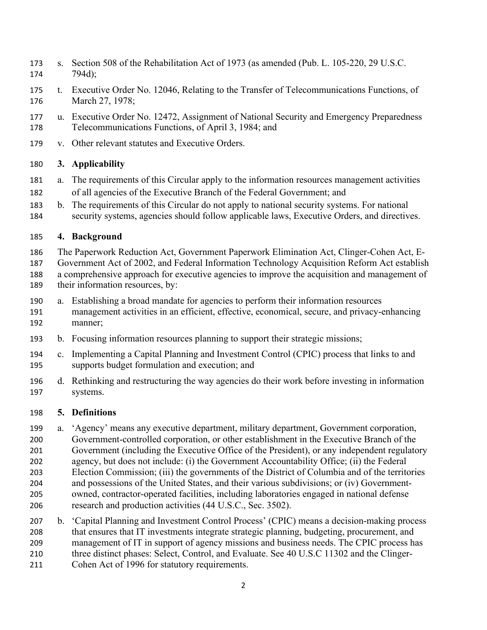- s. Section 508 of the Rehabilitation Act of 1973 (as amended (Pub. L. 105-220, 29 U.S.C. 794d);
- t. Executive Order No. 12046, Relating to the Transfer of Telecommunications Functions, of March 27, 1978;
- u. Executive Order No. 12472, Assignment of National Security and Emergency Preparedness Telecommunications Functions, of April 3, 1984; and
- v. Other relevant statutes and Executive Orders.

## **3. Applicability**

- a. The requirements of this Circular apply to the information resources management activities of all agencies of the Executive Branch of the Federal Government; and
- b. The requirements of this Circular do not apply to national security systems. For national security systems, agencies should follow applicable laws, Executive Orders, and directives.

## **4. Background**

- The Paperwork Reduction Act, Government Paperwork Elimination Act, Clinger-Cohen Act, E- Government Act of 2002, and Federal Information Technology Acquisition Reform Act establish a comprehensive approach for executive agencies to improve the acquisition and management of their information resources, by:
- a. Establishing a broad mandate for agencies to perform their information resources management activities in an efficient, effective, economical, secure, and privacy-enhancing manner;
- b. Focusing information resources planning to support their strategic missions;
- c. Implementing a Capital Planning and Investment Control (CPIC) process that links to and supports budget formulation and execution; and
- d. Rethinking and restructuring the way agencies do their work before investing in information systems.

## **5. Definitions**

- a. 'Agency' means any executive department, military department, Government corporation, Government-controlled corporation, or other establishment in the Executive Branch of the Government (including the Executive Office of the President), or any independent regulatory agency, but does not include: (i) the Government Accountability Office; (ii) the Federal Election Commission; (iii) the governments of the District of Columbia and of the territories and possessions of the United States, and their various subdivisions; or (iv) Government- owned, contractor-operated facilities, including laboratories engaged in national defense research and production activities (44 U.S.C., Sec. 3502).
- b. 'Capital Planning and Investment Control Process' (CPIC) means a decision-making process that ensures that IT investments integrate strategic planning, budgeting, procurement, and management of IT in support of agency missions and business needs. The CPIC process has three distinct phases: Select, Control, and Evaluate. See 40 U.S.C 11302 and the Clinger- Cohen Act of 1996 for statutory requirements.
	-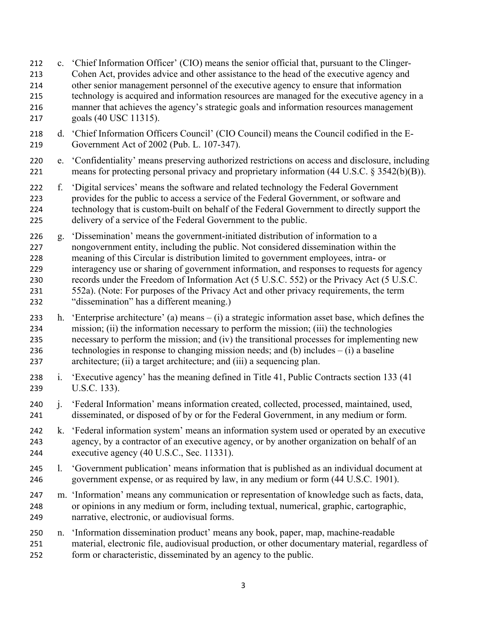- c. 'Chief Information Officer' (CIO) means the senior official that, pursuant to the Clinger- Cohen Act, provides advice and other assistance to the head of the executive agency and other senior management personnel of the executive agency to ensure that information technology is acquired and information resources are managed for the executive agency in a manner that achieves the agency's strategic goals and information resources management goals (40 USC 11315).
- d. 'Chief Information Officers Council' (CIO Council) means the Council codified in the E-Government Act of 2002 (Pub. L. 107-347).
- e. 'Confidentiality' means preserving authorized restrictions on access and disclosure, including means for protecting personal privacy and proprietary information (44 U.S.C. § 3542(b)(B)).
- f. 'Digital services' means the software and related technology the Federal Government provides for the public to access a service of the Federal Government, or software and technology that is custom-built on behalf of the Federal Government to directly support the delivery of a service of the Federal Government to the public.
- g. 'Dissemination' means the government-initiated distribution of information to a nongovernment entity, including the public. Not considered dissemination within the meaning of this Circular is distribution limited to government employees, intra- or interagency use or sharing of government information, and responses to requests for agency records under the Freedom of Information Act (5 U.S.C. 552) or the Privacy Act (5 U.S.C. 552a). (Note: For purposes of the Privacy Act and other privacy requirements, the term "dissemination" has a different meaning.)
- h. 'Enterprise architecture' (a) means (i) a strategic information asset base, which defines the mission; (ii) the information necessary to perform the mission; (iii) the technologies necessary to perform the mission; and (iv) the transitional processes for implementing new 236 technologies in response to changing mission needs; and (b) includes  $- (i)$  a baseline architecture; (ii) a target architecture; and (iii) a sequencing plan.
- i. 'Executive agency' has the meaning defined in Title 41, Public Contracts section 133 (41 U.S.C. 133).
- j. 'Federal Information' means information created, collected, processed, maintained, used, disseminated, or disposed of by or for the Federal Government, in any medium or form.
- k. 'Federal information system' means an information system used or operated by an executive agency, by a contractor of an executive agency, or by another organization on behalf of an executive agency (40 U.S.C., Sec. 11331).
- l. 'Government publication' means information that is published as an individual document at government expense, or as required by law, in any medium or form (44 U.S.C. 1901).
- m. 'Information' means any communication or representation of knowledge such as facts, data, or opinions in any medium or form, including textual, numerical, graphic, cartographic, narrative, electronic, or audiovisual forms.
- n. 'Information dissemination product' means any book, paper, map, machine-readable material, electronic file, audiovisual production, or other documentary material, regardless of form or characteristic, disseminated by an agency to the public.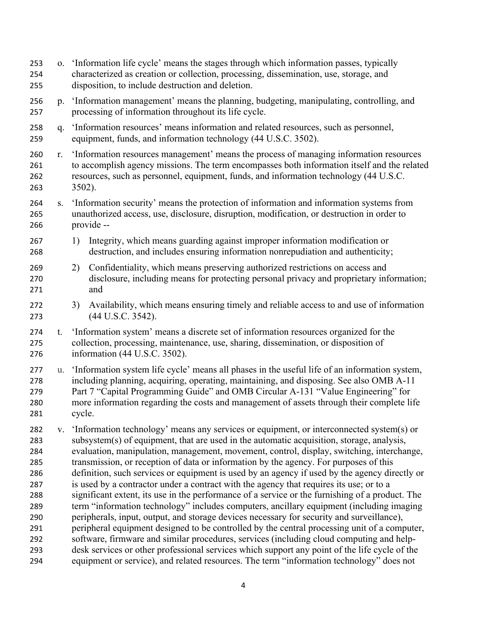- o. 'Information life cycle' means the stages through which information passes, typically characterized as creation or collection, processing, dissemination, use, storage, and disposition, to include destruction and deletion.
- p. 'Information management' means the planning, budgeting, manipulating, controlling, and processing of information throughout its life cycle.
- q. 'Information resources' means information and related resources, such as personnel, equipment, funds, and information technology (44 U.S.C. 3502).
- r. 'Information resources management' means the process of managing information resources to accomplish agency missions. The term encompasses both information itself and the related resources, such as personnel, equipment, funds, and information technology (44 U.S.C. 3502).
- s. 'Information security' means the protection of information and information systems from unauthorized access, use, disclosure, disruption, modification, or destruction in order to provide --
- 1) Integrity, which means guarding against improper information modification or destruction, and includes ensuring information nonrepudiation and authenticity;
- 2) Confidentiality, which means preserving authorized restrictions on access and disclosure, including means for protecting personal privacy and proprietary information; and
- 3) Availability, which means ensuring timely and reliable access to and use of information (44 U.S.C. 3542).
- t. 'Information system' means a discrete set of information resources organized for the collection, processing, maintenance, use, sharing, dissemination, or disposition of information (44 U.S.C. 3502).
- u. 'Information system life cycle' means all phases in the useful life of an information system, including planning, acquiring, operating, maintaining, and disposing. See also OMB A-11 Part 7 "Capital Programming Guide" and OMB Circular A-131 "Value Engineering" for more information regarding the costs and management of assets through their complete life cycle.
- v. 'Information technology' means any services or equipment, or interconnected system(s) or subsystem(s) of equipment, that are used in the automatic acquisition, storage, analysis, evaluation, manipulation, management, movement, control, display, switching, interchange, transmission, or reception of data or information by the agency. For purposes of this definition, such services or equipment is used by an agency if used by the agency directly or is used by a contractor under a contract with the agency that requires its use; or to a significant extent, its use in the performance of a service or the furnishing of a product. The term "information technology" includes computers, ancillary equipment (including imaging peripherals, input, output, and storage devices necessary for security and surveillance), peripheral equipment designed to be controlled by the central processing unit of a computer, software, firmware and similar procedures, services (including cloud computing and help- desk services or other professional services which support any point of the life cycle of the equipment or service), and related resources. The term "information technology" does not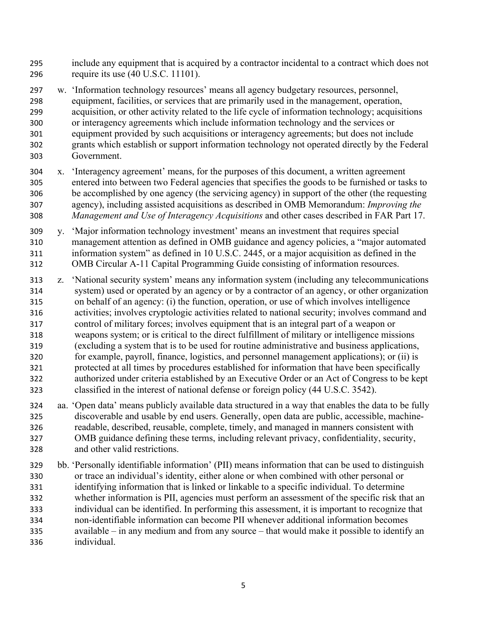- include any equipment that is acquired by a contractor incidental to a contract which does not require its use (40 U.S.C. 11101).
- w. 'Information technology resources' means all agency budgetary resources, personnel, equipment, facilities, or services that are primarily used in the management, operation, acquisition, or other activity related to the life cycle of information technology; acquisitions or interagency agreements which include information technology and the services or equipment provided by such acquisitions or interagency agreements; but does not include grants which establish or support information technology not operated directly by the Federal Government.
- x. 'Interagency agreement' means, for the purposes of this document, a written agreement entered into between two Federal agencies that specifies the goods to be furnished or tasks to be accomplished by one agency (the servicing agency) in support of the other (the requesting agency), including assisted acquisitions as described in OMB Memorandum: *Improving the Management and Use of Interagency Acquisitions* and other cases described in FAR Part 17.
- y. 'Major information technology investment' means an investment that requires special management attention as defined in OMB guidance and agency policies, a "major automated information system" as defined in 10 U.S.C. 2445, or a major acquisition as defined in the OMB Circular A-11 Capital Programming Guide consisting of information resources.
- z. 'National security system' means any information system (including any telecommunications system) used or operated by an agency or by a contractor of an agency, or other organization on behalf of an agency: (i) the function, operation, or use of which involves intelligence activities; involves cryptologic activities related to national security; involves command and control of military forces; involves equipment that is an integral part of a weapon or weapons system; or is critical to the direct fulfillment of military or intelligence missions (excluding a system that is to be used for routine administrative and business applications, for example, payroll, finance, logistics, and personnel management applications); or (ii) is protected at all times by procedures established for information that have been specifically authorized under criteria established by an Executive Order or an Act of Congress to be kept classified in the interest of national defense or foreign policy (44 U.S.C. 3542).
- aa. 'Open data' means publicly available data structured in a way that enables the data to be fully discoverable and usable by end users. Generally, open data are public, accessible, machine- readable, described, reusable, complete, timely, and managed in manners consistent with OMB guidance defining these terms, including relevant privacy, confidentiality, security, and other valid restrictions.
- bb. 'Personally identifiable information' (PII) means information that can be used to distinguish or trace an individual's identity, either alone or when combined with other personal or identifying information that is linked or linkable to a specific individual. To determine whether information is PII, agencies must perform an assessment of the specific risk that an individual can be identified. In performing this assessment, it is important to recognize that non-identifiable information can become PII whenever additional information becomes available – in any medium and from any source – that would make it possible to identify an individual.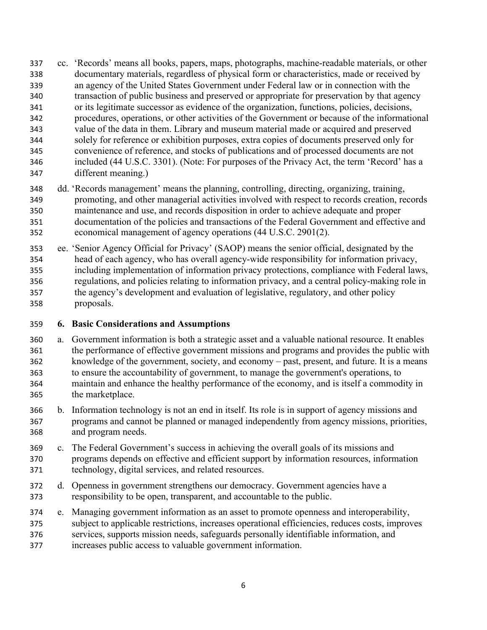- cc. 'Records' means all books, papers, maps, photographs, machine-readable materials, or other documentary materials, regardless of physical form or characteristics, made or received by an agency of the United States Government under Federal law or in connection with the transaction of public business and preserved or appropriate for preservation by that agency or its legitimate successor as evidence of the organization, functions, policies, decisions, procedures, operations, or other activities of the Government or because of the informational value of the data in them. Library and museum material made or acquired and preserved solely for reference or exhibition purposes, extra copies of documents preserved only for convenience of reference, and stocks of publications and of processed documents are not included (44 U.S.C. 3301). (Note: For purposes of the Privacy Act, the term 'Record' has a different meaning.)
- dd. 'Records management' means the planning, controlling, directing, organizing, training, promoting, and other managerial activities involved with respect to records creation, records maintenance and use, and records disposition in order to achieve adequate and proper documentation of the policies and transactions of the Federal Government and effective and economical management of agency operations (44 U.S.C. 2901(2).
- ee. 'Senior Agency Official for Privacy' (SAOP) means the senior official, designated by the head of each agency, who has overall agency-wide responsibility for information privacy, including implementation of information privacy protections, compliance with Federal laws, regulations, and policies relating to information privacy, and a central policy-making role in the agency's development and evaluation of legislative, regulatory, and other policy proposals.

#### **6. Basic Considerations and Assumptions**

- a. Government information is both a strategic asset and a valuable national resource. It enables the performance of effective government missions and programs and provides the public with knowledge of the government, society, and economy – past, present, and future. It is a means to ensure the accountability of government, to manage the government's operations, to maintain and enhance the healthy performance of the economy, and is itself a commodity in the marketplace.
- b. Information technology is not an end in itself. Its role is in support of agency missions and programs and cannot be planned or managed independently from agency missions, priorities, and program needs.
- c. The Federal Government's success in achieving the overall goals of its missions and programs depends on effective and efficient support by information resources, information technology, digital services, and related resources.
- d. Openness in government strengthens our democracy. Government agencies have a responsibility to be open, transparent, and accountable to the public.
- e. Managing government information as an asset to promote openness and interoperability, subject to applicable restrictions, increases operational efficiencies, reduces costs, improves services, supports mission needs, safeguards personally identifiable information, and increases public access to valuable government information.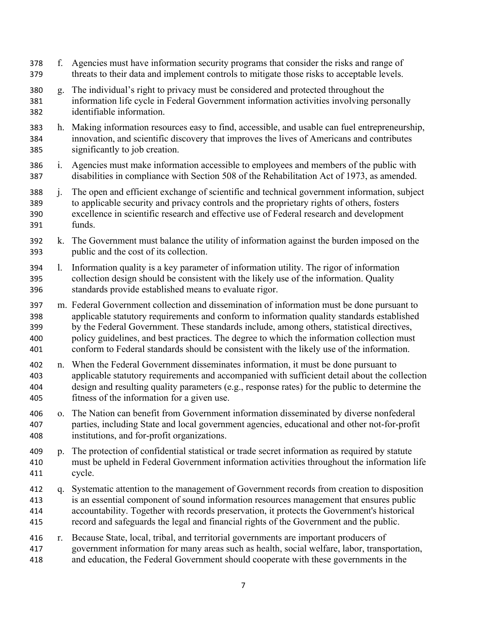- f. Agencies must have information security programs that consider the risks and range of threats to their data and implement controls to mitigate those risks to acceptable levels.
- g. The individual's right to privacy must be considered and protected throughout the information life cycle in Federal Government information activities involving personally identifiable information.
- h. Making information resources easy to find, accessible, and usable can fuel entrepreneurship, innovation, and scientific discovery that improves the lives of Americans and contributes significantly to job creation.
- i. Agencies must make information accessible to employees and members of the public with disabilities in compliance with Section 508 of the Rehabilitation Act of 1973, as amended.
- j. The open and efficient exchange of scientific and technical government information, subject to applicable security and privacy controls and the proprietary rights of others, fosters excellence in scientific research and effective use of Federal research and development funds.
- k. The Government must balance the utility of information against the burden imposed on the public and the cost of its collection.
- l. Information quality is a key parameter of information utility. The rigor of information collection design should be consistent with the likely use of the information. Quality standards provide established means to evaluate rigor.
- m. Federal Government collection and dissemination of information must be done pursuant to applicable statutory requirements and conform to information quality standards established by the Federal Government. These standards include, among others, statistical directives, policy guidelines, and best practices. The degree to which the information collection must conform to Federal standards should be consistent with the likely use of the information.
- n. When the Federal Government disseminates information, it must be done pursuant to applicable statutory requirements and accompanied with sufficient detail about the collection design and resulting quality parameters (e.g., response rates) for the public to determine the fitness of the information for a given use.
- o. The Nation can benefit from Government information disseminated by diverse nonfederal parties, including State and local government agencies, educational and other not-for-profit institutions, and for-profit organizations.
- p. The protection of confidential statistical or trade secret information as required by statute must be upheld in Federal Government information activities throughout the information life cycle.
- q. Systematic attention to the management of Government records from creation to disposition is an essential component of sound information resources management that ensures public accountability. Together with records preservation, it protects the Government's historical record and safeguards the legal and financial rights of the Government and the public.
- r. Because State, local, tribal, and territorial governments are important producers of government information for many areas such as health, social welfare, labor, transportation, and education, the Federal Government should cooperate with these governments in the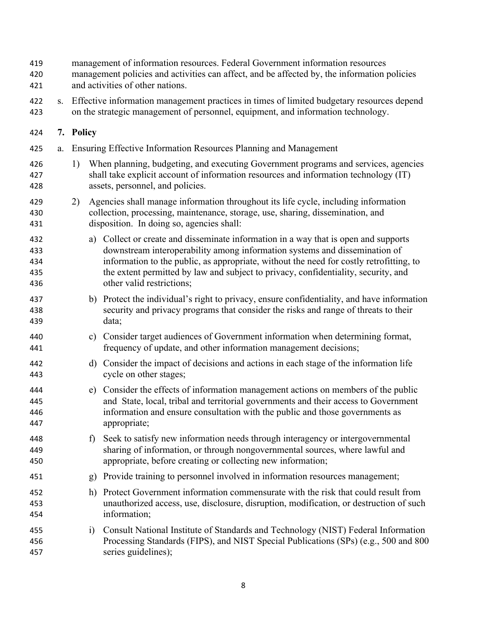| 419<br>420<br>421               |    |                                                                                                                                                                               |                      | management of information resources. Federal Government information resources<br>management policies and activities can affect, and be affected by, the information policies<br>and activities of other nations.                                                                                                                                                                |  |  |  |  |
|---------------------------------|----|-------------------------------------------------------------------------------------------------------------------------------------------------------------------------------|----------------------|---------------------------------------------------------------------------------------------------------------------------------------------------------------------------------------------------------------------------------------------------------------------------------------------------------------------------------------------------------------------------------|--|--|--|--|
| 422<br>423                      | S. | Effective information management practices in times of limited budgetary resources depend<br>on the strategic management of personnel, equipment, and information technology. |                      |                                                                                                                                                                                                                                                                                                                                                                                 |  |  |  |  |
| 424                             |    | 7. Policy                                                                                                                                                                     |                      |                                                                                                                                                                                                                                                                                                                                                                                 |  |  |  |  |
| 425                             | a. |                                                                                                                                                                               |                      | Ensuring Effective Information Resources Planning and Management                                                                                                                                                                                                                                                                                                                |  |  |  |  |
| 426<br>427<br>428               |    | 1)                                                                                                                                                                            |                      | When planning, budgeting, and executing Government programs and services, agencies<br>shall take explicit account of information resources and information technology (IT)<br>assets, personnel, and policies.                                                                                                                                                                  |  |  |  |  |
| 429<br>430<br>431               |    | 2)                                                                                                                                                                            |                      | Agencies shall manage information throughout its life cycle, including information<br>collection, processing, maintenance, storage, use, sharing, dissemination, and<br>disposition. In doing so, agencies shall:                                                                                                                                                               |  |  |  |  |
| 432<br>433<br>434<br>435<br>436 |    |                                                                                                                                                                               |                      | a) Collect or create and disseminate information in a way that is open and supports<br>downstream interoperability among information systems and dissemination of<br>information to the public, as appropriate, without the need for costly retrofitting, to<br>the extent permitted by law and subject to privacy, confidentiality, security, and<br>other valid restrictions; |  |  |  |  |
| 437<br>438<br>439               |    |                                                                                                                                                                               |                      | b) Protect the individual's right to privacy, ensure confidentiality, and have information<br>security and privacy programs that consider the risks and range of threats to their<br>data;                                                                                                                                                                                      |  |  |  |  |
| 440<br>441                      |    |                                                                                                                                                                               |                      | c) Consider target audiences of Government information when determining format,<br>frequency of update, and other information management decisions;                                                                                                                                                                                                                             |  |  |  |  |
| 442<br>443                      |    |                                                                                                                                                                               |                      | d) Consider the impact of decisions and actions in each stage of the information life<br>cycle on other stages;                                                                                                                                                                                                                                                                 |  |  |  |  |
| 444<br>445<br>446<br>447        |    |                                                                                                                                                                               | e)                   | Consider the effects of information management actions on members of the public<br>and State, local, tribal and territorial governments and their access to Government<br>information and ensure consultation with the public and those governments as<br>appropriate;                                                                                                          |  |  |  |  |
| 448<br>449<br>450               |    |                                                                                                                                                                               | $\ddot{\phantom{1}}$ | Seek to satisfy new information needs through interagency or intergovernmental<br>sharing of information, or through nongovernmental sources, where lawful and<br>appropriate, before creating or collecting new information;                                                                                                                                                   |  |  |  |  |
| 451                             |    |                                                                                                                                                                               | g)                   | Provide training to personnel involved in information resources management;                                                                                                                                                                                                                                                                                                     |  |  |  |  |
| 452<br>453<br>454               |    |                                                                                                                                                                               | h)                   | Protect Government information commensurate with the risk that could result from<br>unauthorized access, use, disclosure, disruption, modification, or destruction of such<br>information;                                                                                                                                                                                      |  |  |  |  |
| 455<br>456<br>457               |    |                                                                                                                                                                               | i)                   | Consult National Institute of Standards and Technology (NIST) Federal Information<br>Processing Standards (FIPS), and NIST Special Publications (SPs) (e.g., 500 and 800<br>series guidelines);                                                                                                                                                                                 |  |  |  |  |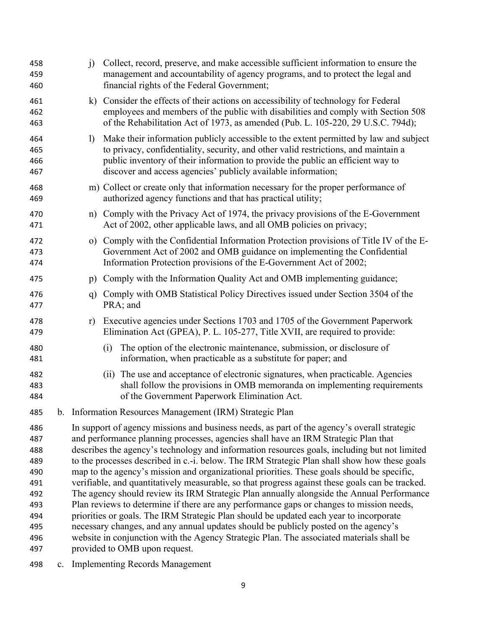| 458<br>459<br>460                                                                | i)                     | Collect, record, preserve, and make accessible sufficient information to ensure the<br>management and accountability of agency programs, and to protect the legal and<br>financial rights of the Federal Government;                                                                                                                                                                                                                                                                                                                                                                                                                                                                                                                                                                                                                                                                                                                                                                                                                                                                      |
|----------------------------------------------------------------------------------|------------------------|-------------------------------------------------------------------------------------------------------------------------------------------------------------------------------------------------------------------------------------------------------------------------------------------------------------------------------------------------------------------------------------------------------------------------------------------------------------------------------------------------------------------------------------------------------------------------------------------------------------------------------------------------------------------------------------------------------------------------------------------------------------------------------------------------------------------------------------------------------------------------------------------------------------------------------------------------------------------------------------------------------------------------------------------------------------------------------------------|
| 461<br>462<br>463                                                                |                        | k) Consider the effects of their actions on accessibility of technology for Federal<br>employees and members of the public with disabilities and comply with Section 508<br>of the Rehabilitation Act of 1973, as amended (Pub. L. 105-220, 29 U.S.C. 794d);                                                                                                                                                                                                                                                                                                                                                                                                                                                                                                                                                                                                                                                                                                                                                                                                                              |
| 464<br>465<br>466<br>467                                                         | $\left  \right\rangle$ | Make their information publicly accessible to the extent permitted by law and subject<br>to privacy, confidentiality, security, and other valid restrictions, and maintain a<br>public inventory of their information to provide the public an efficient way to<br>discover and access agencies' publicly available information;                                                                                                                                                                                                                                                                                                                                                                                                                                                                                                                                                                                                                                                                                                                                                          |
| 468<br>469                                                                       |                        | m) Collect or create only that information necessary for the proper performance of<br>authorized agency functions and that has practical utility;                                                                                                                                                                                                                                                                                                                                                                                                                                                                                                                                                                                                                                                                                                                                                                                                                                                                                                                                         |
| 470<br>471                                                                       |                        | n) Comply with the Privacy Act of 1974, the privacy provisions of the E-Government<br>Act of 2002, other applicable laws, and all OMB policies on privacy;                                                                                                                                                                                                                                                                                                                                                                                                                                                                                                                                                                                                                                                                                                                                                                                                                                                                                                                                |
| 472<br>473<br>474                                                                |                        | o) Comply with the Confidential Information Protection provisions of Title IV of the E-<br>Government Act of 2002 and OMB guidance on implementing the Confidential<br>Information Protection provisions of the E-Government Act of 2002;                                                                                                                                                                                                                                                                                                                                                                                                                                                                                                                                                                                                                                                                                                                                                                                                                                                 |
| 475                                                                              | p)                     | Comply with the Information Quality Act and OMB implementing guidance;                                                                                                                                                                                                                                                                                                                                                                                                                                                                                                                                                                                                                                                                                                                                                                                                                                                                                                                                                                                                                    |
| 476<br>477                                                                       | q)                     | Comply with OMB Statistical Policy Directives issued under Section 3504 of the<br>PRA; and                                                                                                                                                                                                                                                                                                                                                                                                                                                                                                                                                                                                                                                                                                                                                                                                                                                                                                                                                                                                |
| 478<br>479                                                                       | r)                     | Executive agencies under Sections 1703 and 1705 of the Government Paperwork<br>Elimination Act (GPEA), P. L. 105-277, Title XVII, are required to provide:                                                                                                                                                                                                                                                                                                                                                                                                                                                                                                                                                                                                                                                                                                                                                                                                                                                                                                                                |
| 480<br>481                                                                       |                        | The option of the electronic maintenance, submission, or disclosure of<br>(i)<br>information, when practicable as a substitute for paper; and                                                                                                                                                                                                                                                                                                                                                                                                                                                                                                                                                                                                                                                                                                                                                                                                                                                                                                                                             |
| 482<br>483<br>484                                                                |                        | (ii) The use and acceptance of electronic signatures, when practicable. Agencies<br>shall follow the provisions in OMB memoranda on implementing requirements<br>of the Government Paperwork Elimination Act.                                                                                                                                                                                                                                                                                                                                                                                                                                                                                                                                                                                                                                                                                                                                                                                                                                                                             |
| 485                                                                              |                        | b. Information Resources Management (IRM) Strategic Plan                                                                                                                                                                                                                                                                                                                                                                                                                                                                                                                                                                                                                                                                                                                                                                                                                                                                                                                                                                                                                                  |
| 486<br>487<br>488<br>489<br>490<br>491<br>492<br>493<br>494<br>495<br>496<br>497 |                        | In support of agency missions and business needs, as part of the agency's overall strategic<br>and performance planning processes, agencies shall have an IRM Strategic Plan that<br>describes the agency's technology and information resources goals, including but not limited<br>to the processes described in c.-i. below. The IRM Strategic Plan shall show how these goals<br>map to the agency's mission and organizational priorities. These goals should be specific,<br>verifiable, and quantitatively measurable, so that progress against these goals can be tracked.<br>The agency should review its IRM Strategic Plan annually alongside the Annual Performance<br>Plan reviews to determine if there are any performance gaps or changes to mission needs,<br>priorities or goals. The IRM Strategic Plan should be updated each year to incorporate<br>necessary changes, and any annual updates should be publicly posted on the agency's<br>website in conjunction with the Agency Strategic Plan. The associated materials shall be<br>provided to OMB upon request. |
|                                                                                  |                        |                                                                                                                                                                                                                                                                                                                                                                                                                                                                                                                                                                                                                                                                                                                                                                                                                                                                                                                                                                                                                                                                                           |

c. Implementing Records Management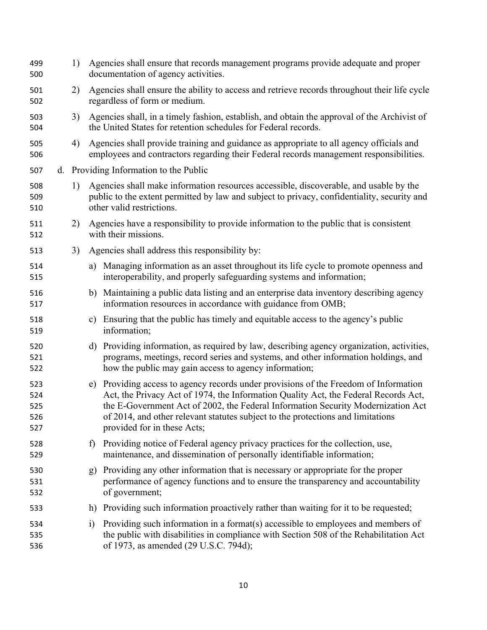| 499<br>500                      | 1) |              | Agencies shall ensure that records management programs provide adequate and proper<br>documentation of agency activities.                                                                                                                                                                                                                                                         |
|---------------------------------|----|--------------|-----------------------------------------------------------------------------------------------------------------------------------------------------------------------------------------------------------------------------------------------------------------------------------------------------------------------------------------------------------------------------------|
| 501<br>502                      | 2) |              | Agencies shall ensure the ability to access and retrieve records throughout their life cycle<br>regardless of form or medium.                                                                                                                                                                                                                                                     |
| 503<br>504                      | 3) |              | Agencies shall, in a timely fashion, establish, and obtain the approval of the Archivist of<br>the United States for retention schedules for Federal records.                                                                                                                                                                                                                     |
| 505<br>506                      | 4) |              | Agencies shall provide training and guidance as appropriate to all agency officials and<br>employees and contractors regarding their Federal records management responsibilities.                                                                                                                                                                                                 |
| 507                             |    |              | d. Providing Information to the Public                                                                                                                                                                                                                                                                                                                                            |
| 508<br>509<br>510               | 1) |              | Agencies shall make information resources accessible, discoverable, and usable by the<br>public to the extent permitted by law and subject to privacy, confidentiality, security and<br>other valid restrictions.                                                                                                                                                                 |
| 511<br>512                      | 2) |              | Agencies have a responsibility to provide information to the public that is consistent<br>with their missions.                                                                                                                                                                                                                                                                    |
| 513                             | 3) |              | Agencies shall address this responsibility by:                                                                                                                                                                                                                                                                                                                                    |
| 514<br>515                      |    |              | a) Managing information as an asset throughout its life cycle to promote openness and<br>interoperability, and properly safeguarding systems and information;                                                                                                                                                                                                                     |
| 516<br>517                      |    | b)           | Maintaining a public data listing and an enterprise data inventory describing agency<br>information resources in accordance with guidance from OMB;                                                                                                                                                                                                                               |
| 518<br>519                      |    |              | c) Ensuring that the public has timely and equitable access to the agency's public<br>information;                                                                                                                                                                                                                                                                                |
| 520<br>521<br>522               |    | d)           | Providing information, as required by law, describing agency organization, activities,<br>programs, meetings, record series and systems, and other information holdings, and<br>how the public may gain access to agency information;                                                                                                                                             |
| 523<br>524<br>525<br>526<br>527 |    |              | e) Providing access to agency records under provisions of the Freedom of Information<br>Act, the Privacy Act of 1974, the Information Quality Act, the Federal Records Act,<br>the E-Government Act of 2002, the Federal Information Security Modernization Act<br>of 2014, and other relevant statutes subject to the protections and limitations<br>provided for in these Acts; |
| 528<br>529                      |    | $\mathbf{f}$ | Providing notice of Federal agency privacy practices for the collection, use,<br>maintenance, and dissemination of personally identifiable information;                                                                                                                                                                                                                           |
| 530<br>531<br>532               |    | g)           | Providing any other information that is necessary or appropriate for the proper<br>performance of agency functions and to ensure the transparency and accountability<br>of government;                                                                                                                                                                                            |
| 533                             |    |              | h) Providing such information proactively rather than waiting for it to be requested;                                                                                                                                                                                                                                                                                             |
| 534<br>535<br>536               |    | $\ddot{1}$   | Providing such information in a format(s) accessible to employees and members of<br>the public with disabilities in compliance with Section 508 of the Rehabilitation Act<br>of 1973, as amended (29 U.S.C. 794d);                                                                                                                                                                |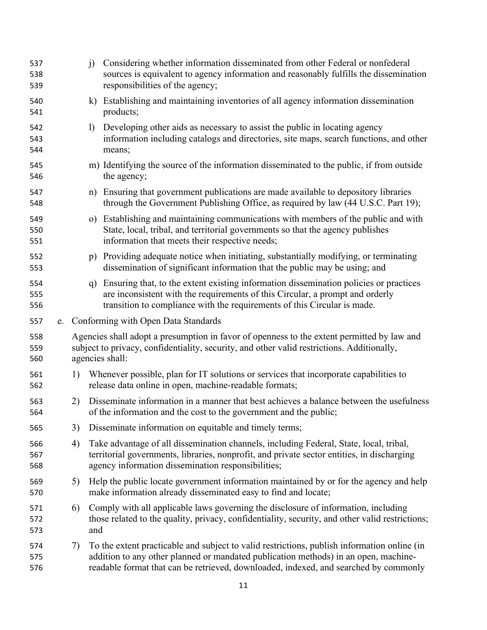| 537<br>538<br>539 |    | j)                                                                                                                                                                                                          | Considering whether information disseminated from other Federal or nonfederal<br>sources is equivalent to agency information and reasonably fulfills the dissemination<br>responsibilities of the agency;                                                                  |  |  |  |
|-------------------|----|-------------------------------------------------------------------------------------------------------------------------------------------------------------------------------------------------------------|----------------------------------------------------------------------------------------------------------------------------------------------------------------------------------------------------------------------------------------------------------------------------|--|--|--|
| 540<br>541        |    | $\bf k)$                                                                                                                                                                                                    | Establishing and maintaining inventories of all agency information dissemination<br>products;                                                                                                                                                                              |  |  |  |
| 542<br>543<br>544 |    | $\mathbf{I}$                                                                                                                                                                                                | Developing other aids as necessary to assist the public in locating agency<br>information including catalogs and directories, site maps, search functions, and other<br>means;                                                                                             |  |  |  |
| 545<br>546        |    |                                                                                                                                                                                                             | m) Identifying the source of the information disseminated to the public, if from outside<br>the agency;                                                                                                                                                                    |  |  |  |
| 547<br>548        |    |                                                                                                                                                                                                             | n) Ensuring that government publications are made available to depository libraries<br>through the Government Publishing Office, as required by law (44 U.S.C. Part 19);                                                                                                   |  |  |  |
| 549<br>550<br>551 |    |                                                                                                                                                                                                             | o) Establishing and maintaining communications with members of the public and with<br>State, local, tribal, and territorial governments so that the agency publishes<br>information that meets their respective needs;                                                     |  |  |  |
| 552<br>553        |    |                                                                                                                                                                                                             | p) Providing adequate notice when initiating, substantially modifying, or terminating<br>dissemination of significant information that the public may be using; and                                                                                                        |  |  |  |
| 554<br>555<br>556 |    | q)                                                                                                                                                                                                          | Ensuring that, to the extent existing information dissemination policies or practices<br>are inconsistent with the requirements of this Circular, a prompt and orderly<br>transition to compliance with the requirements of this Circular is made.                         |  |  |  |
| 557               |    |                                                                                                                                                                                                             | e. Conforming with Open Data Standards                                                                                                                                                                                                                                     |  |  |  |
| 558<br>559<br>560 |    | Agencies shall adopt a presumption in favor of openness to the extent permitted by law and<br>subject to privacy, confidentiality, security, and other valid restrictions. Additionally,<br>agencies shall: |                                                                                                                                                                                                                                                                            |  |  |  |
| 561<br>562        | 1) |                                                                                                                                                                                                             | Whenever possible, plan for IT solutions or services that incorporate capabilities to<br>release data online in open, machine-readable formats;                                                                                                                            |  |  |  |
| 563<br>564        | 2) |                                                                                                                                                                                                             | Disseminate information in a manner that best achieves a balance between the usefulness<br>of the information and the cost to the government and the public;                                                                                                               |  |  |  |
| 565               | 3) |                                                                                                                                                                                                             | Disseminate information on equitable and timely terms;                                                                                                                                                                                                                     |  |  |  |
| 566<br>567<br>568 | 4) |                                                                                                                                                                                                             | Take advantage of all dissemination channels, including Federal, State, local, tribal,<br>territorial governments, libraries, nonprofit, and private sector entities, in discharging<br>agency information dissemination responsibilities;                                 |  |  |  |
| 569<br>570        | 5) |                                                                                                                                                                                                             | Help the public locate government information maintained by or for the agency and help<br>make information already disseminated easy to find and locate;                                                                                                                   |  |  |  |
| 571<br>572<br>573 | 6) | and                                                                                                                                                                                                         | Comply with all applicable laws governing the disclosure of information, including<br>those related to the quality, privacy, confidentiality, security, and other valid restrictions;                                                                                      |  |  |  |
| 574<br>575<br>576 | 7) |                                                                                                                                                                                                             | To the extent practicable and subject to valid restrictions, publish information online (in<br>addition to any other planned or mandated publication methods) in an open, machine-<br>readable format that can be retrieved, downloaded, indexed, and searched by commonly |  |  |  |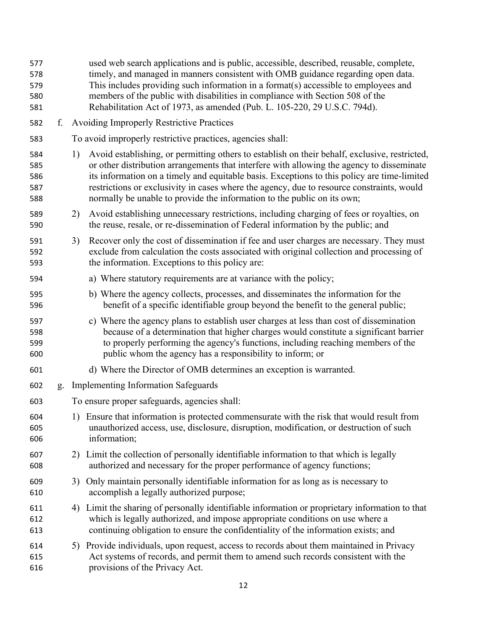| 577<br>578<br>579<br>580<br>581 |    |                                              | used web search applications and is public, accessible, described, reusable, complete,<br>timely, and managed in manners consistent with OMB guidance regarding open data.<br>This includes providing such information in a format(s) accessible to employees and<br>members of the public with disabilities in compliance with Section 508 of the<br>Rehabilitation Act of 1973, as amended (Pub. L. 105-220, 29 U.S.C. 794d).                                   |  |  |  |
|---------------------------------|----|----------------------------------------------|-------------------------------------------------------------------------------------------------------------------------------------------------------------------------------------------------------------------------------------------------------------------------------------------------------------------------------------------------------------------------------------------------------------------------------------------------------------------|--|--|--|
| 582                             | f. |                                              | <b>Avoiding Improperly Restrictive Practices</b>                                                                                                                                                                                                                                                                                                                                                                                                                  |  |  |  |
| 583                             |    |                                              | To avoid improperly restrictive practices, agencies shall:                                                                                                                                                                                                                                                                                                                                                                                                        |  |  |  |
| 584<br>585<br>586<br>587<br>588 |    | 1)                                           | Avoid establishing, or permitting others to establish on their behalf, exclusive, restricted,<br>or other distribution arrangements that interfere with allowing the agency to disseminate<br>its information on a timely and equitable basis. Exceptions to this policy are time-limited<br>restrictions or exclusivity in cases where the agency, due to resource constraints, would<br>normally be unable to provide the information to the public on its own; |  |  |  |
| 589<br>590                      |    | 2)                                           | Avoid establishing unnecessary restrictions, including charging of fees or royalties, on<br>the reuse, resale, or re-dissemination of Federal information by the public; and                                                                                                                                                                                                                                                                                      |  |  |  |
| 591<br>592<br>593               |    | 3)                                           | Recover only the cost of dissemination if fee and user charges are necessary. They must<br>exclude from calculation the costs associated with original collection and processing of<br>the information. Exceptions to this policy are:                                                                                                                                                                                                                            |  |  |  |
| 594                             |    |                                              | a) Where statutory requirements are at variance with the policy;                                                                                                                                                                                                                                                                                                                                                                                                  |  |  |  |
| 595<br>596                      |    |                                              | b) Where the agency collects, processes, and disseminates the information for the<br>benefit of a specific identifiable group beyond the benefit to the general public;                                                                                                                                                                                                                                                                                           |  |  |  |
| 597<br>598<br>599<br>600        |    |                                              | c) Where the agency plans to establish user charges at less than cost of dissemination<br>because of a determination that higher charges would constitute a significant barrier<br>to properly performing the agency's functions, including reaching members of the<br>public whom the agency has a responsibility to inform; or                                                                                                                                  |  |  |  |
| 601                             |    |                                              | d) Where the Director of OMB determines an exception is warranted.                                                                                                                                                                                                                                                                                                                                                                                                |  |  |  |
| 602                             | g. |                                              | <b>Implementing Information Safeguards</b>                                                                                                                                                                                                                                                                                                                                                                                                                        |  |  |  |
| 603                             |    | To ensure proper safeguards, agencies shall: |                                                                                                                                                                                                                                                                                                                                                                                                                                                                   |  |  |  |
| 604<br>605<br>606               |    | 1)                                           | Ensure that information is protected commensurate with the risk that would result from<br>unauthorized access, use, disclosure, disruption, modification, or destruction of such<br>information;                                                                                                                                                                                                                                                                  |  |  |  |
| 607<br>608                      |    |                                              | 2) Limit the collection of personally identifiable information to that which is legally<br>authorized and necessary for the proper performance of agency functions;                                                                                                                                                                                                                                                                                               |  |  |  |
| 609<br>610                      |    |                                              | 3) Only maintain personally identifiable information for as long as is necessary to<br>accomplish a legally authorized purpose;                                                                                                                                                                                                                                                                                                                                   |  |  |  |
| 611<br>612<br>613               |    | 4)                                           | Limit the sharing of personally identifiable information or proprietary information to that<br>which is legally authorized, and impose appropriate conditions on use where a<br>continuing obligation to ensure the confidentiality of the information exists; and                                                                                                                                                                                                |  |  |  |
| 614<br>615<br>616               |    |                                              | 5) Provide individuals, upon request, access to records about them maintained in Privacy<br>Act systems of records, and permit them to amend such records consistent with the<br>provisions of the Privacy Act.                                                                                                                                                                                                                                                   |  |  |  |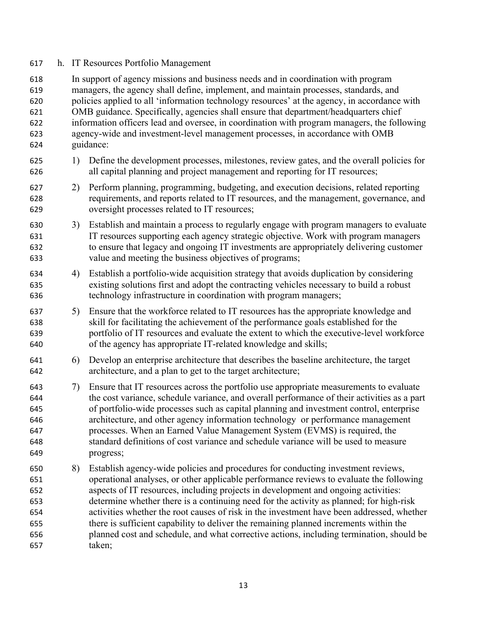#### h. IT Resources Portfolio Management

 In support of agency missions and business needs and in coordination with program managers, the agency shall define, implement, and maintain processes, standards, and policies applied to all 'information technology resources' at the agency, in accordance with OMB guidance. Specifically, agencies shall ensure that department/headquarters chief information officers lead and oversee, in coordination with program managers, the following agency-wide and investment-level management processes, in accordance with OMB guidance: 1) Define the development processes, milestones, review gates, and the overall policies for all capital planning and project management and reporting for IT resources; 2) Perform planning, programming, budgeting, and execution decisions, related reporting requirements, and reports related to IT resources, and the management, governance, and oversight processes related to IT resources; 3) Establish and maintain a process to regularly engage with program managers to evaluate IT resources supporting each agency strategic objective. Work with program managers to ensure that legacy and ongoing IT investments are appropriately delivering customer value and meeting the business objectives of programs; 4) Establish a portfolio-wide acquisition strategy that avoids duplication by considering existing solutions first and adopt the contracting vehicles necessary to build a robust technology infrastructure in coordination with program managers; 5) Ensure that the workforce related to IT resources has the appropriate knowledge and skill for facilitating the achievement of the performance goals established for the portfolio of IT resources and evaluate the extent to which the executive-level workforce of the agency has appropriate IT-related knowledge and skills; 6) Develop an enterprise architecture that describes the baseline architecture, the target architecture, and a plan to get to the target architecture; 7) Ensure that IT resources across the portfolio use appropriate measurements to evaluate the cost variance, schedule variance, and overall performance of their activities as a part of portfolio-wide processes such as capital planning and investment control, enterprise architecture, and other agency information technology or performance management processes. When an Earned Value Management System (EVMS) is required, the standard definitions of cost variance and schedule variance will be used to measure progress; 8) Establish agency-wide policies and procedures for conducting investment reviews, operational analyses, or other applicable performance reviews to evaluate the following aspects of IT resources, including projects in development and ongoing activities: determine whether there is a continuing need for the activity as planned; for high-risk activities whether the root causes of risk in the investment have been addressed, whether there is sufficient capability to deliver the remaining planned increments within the planned cost and schedule, and what corrective actions, including termination, should be taken;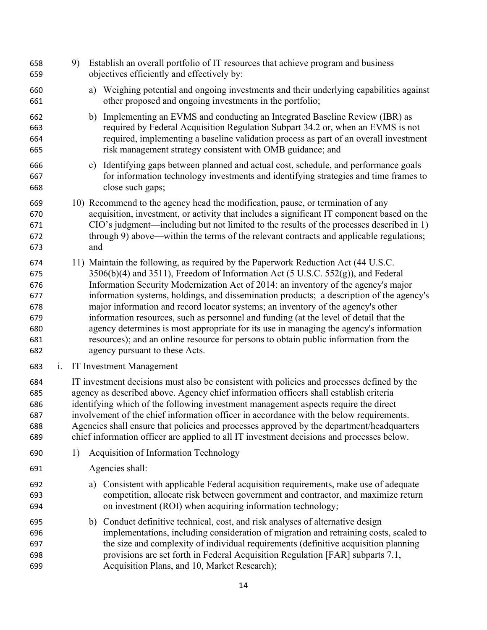9) Establish an overall portfolio of IT resources that achieve program and business objectives efficiently and effectively by: a) Weighing potential and ongoing investments and their underlying capabilities against other proposed and ongoing investments in the portfolio; b) Implementing an EVMS and conducting an Integrated Baseline Review (IBR) as required by Federal Acquisition Regulation Subpart 34.2 or, when an EVMS is not required, implementing a baseline validation process as part of an overall investment risk management strategy consistent with OMB guidance; and c) Identifying gaps between planned and actual cost, schedule, and performance goals for information technology investments and identifying strategies and time frames to close such gaps; 10) Recommend to the agency head the modification, pause, or termination of any acquisition, investment, or activity that includes a significant IT component based on the CIO's judgment—including but not limited to the results of the processes described in 1) through 9) above—within the terms of the relevant contracts and applicable regulations; and 11) Maintain the following, as required by the Paperwork Reduction Act (44 U.S.C. 675 3506(b)(4) and 3511), Freedom of Information Act (5 U.S.C. 552(g)), and Federal Information Security Modernization Act of 2014: an inventory of the agency's major information systems, holdings, and dissemination products; a description of the agency's major information and record locator systems; an inventory of the agency's other information resources, such as personnel and funding (at the level of detail that the agency determines is most appropriate for its use in managing the agency's information resources); and an online resource for persons to obtain public information from the agency pursuant to these Acts. i. IT Investment Management IT investment decisions must also be consistent with policies and processes defined by the agency as described above. Agency chief information officers shall establish criteria identifying which of the following investment management aspects require the direct involvement of the chief information officer in accordance with the below requirements. Agencies shall ensure that policies and processes approved by the department/headquarters chief information officer are applied to all IT investment decisions and processes below. 1) Acquisition of Information Technology Agencies shall: a) Consistent with applicable Federal acquisition requirements, make use of adequate competition, allocate risk between government and contractor, and maximize return on investment (ROI) when acquiring information technology; b) Conduct definitive technical, cost, and risk analyses of alternative design implementations, including consideration of migration and retraining costs, scaled to the size and complexity of individual requirements (definitive acquisition planning provisions are set forth in Federal Acquisition Regulation [FAR] subparts 7.1, Acquisition Plans, and 10, Market Research);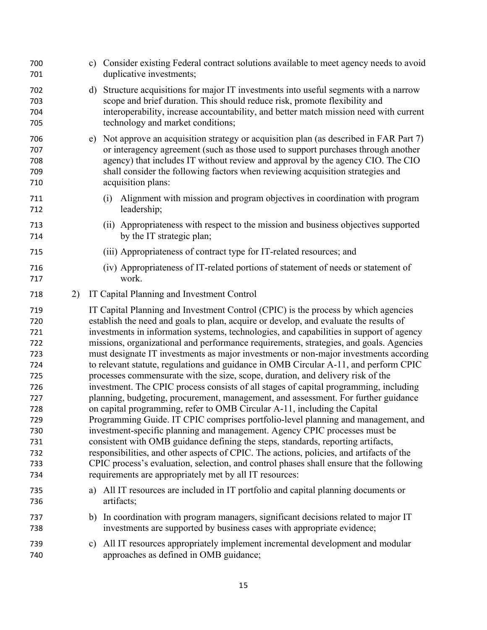| 700<br>701                                                                                                   |    | c) Consider existing Federal contract solutions available to meet agency needs to avoid<br>duplicative investments;                                                                                                                                                                                                                                                                                                                                                                                                                                                                                                                                                                                                                                                                                                                                                                                                                                                                                                                                                                                                                                                                                                                                                                                                                                                                                        |
|--------------------------------------------------------------------------------------------------------------|----|------------------------------------------------------------------------------------------------------------------------------------------------------------------------------------------------------------------------------------------------------------------------------------------------------------------------------------------------------------------------------------------------------------------------------------------------------------------------------------------------------------------------------------------------------------------------------------------------------------------------------------------------------------------------------------------------------------------------------------------------------------------------------------------------------------------------------------------------------------------------------------------------------------------------------------------------------------------------------------------------------------------------------------------------------------------------------------------------------------------------------------------------------------------------------------------------------------------------------------------------------------------------------------------------------------------------------------------------------------------------------------------------------------|
| 702<br>703<br>704<br>705                                                                                     | d) | Structure acquisitions for major IT investments into useful segments with a narrow<br>scope and brief duration. This should reduce risk, promote flexibility and<br>interoperability, increase accountability, and better match mission need with current<br>technology and market conditions;                                                                                                                                                                                                                                                                                                                                                                                                                                                                                                                                                                                                                                                                                                                                                                                                                                                                                                                                                                                                                                                                                                             |
| 706<br>707<br>708<br>709<br>710                                                                              | e) | Not approve an acquisition strategy or acquisition plan (as described in FAR Part 7)<br>or interagency agreement (such as those used to support purchases through another<br>agency) that includes IT without review and approval by the agency CIO. The CIO<br>shall consider the following factors when reviewing acquisition strategies and<br>acquisition plans:                                                                                                                                                                                                                                                                                                                                                                                                                                                                                                                                                                                                                                                                                                                                                                                                                                                                                                                                                                                                                                       |
| 711<br>712                                                                                                   |    | Alignment with mission and program objectives in coordination with program<br>(i)<br>leadership;                                                                                                                                                                                                                                                                                                                                                                                                                                                                                                                                                                                                                                                                                                                                                                                                                                                                                                                                                                                                                                                                                                                                                                                                                                                                                                           |
| 713<br>714                                                                                                   |    | (ii) Appropriateness with respect to the mission and business objectives supported<br>by the IT strategic plan;                                                                                                                                                                                                                                                                                                                                                                                                                                                                                                                                                                                                                                                                                                                                                                                                                                                                                                                                                                                                                                                                                                                                                                                                                                                                                            |
| 715                                                                                                          |    | (iii) Appropriateness of contract type for IT-related resources; and                                                                                                                                                                                                                                                                                                                                                                                                                                                                                                                                                                                                                                                                                                                                                                                                                                                                                                                                                                                                                                                                                                                                                                                                                                                                                                                                       |
| 716<br>717                                                                                                   |    | (iv) Appropriateness of IT-related portions of statement of needs or statement of<br>work.                                                                                                                                                                                                                                                                                                                                                                                                                                                                                                                                                                                                                                                                                                                                                                                                                                                                                                                                                                                                                                                                                                                                                                                                                                                                                                                 |
| 2)<br>718                                                                                                    |    | IT Capital Planning and Investment Control                                                                                                                                                                                                                                                                                                                                                                                                                                                                                                                                                                                                                                                                                                                                                                                                                                                                                                                                                                                                                                                                                                                                                                                                                                                                                                                                                                 |
| 719<br>720<br>721<br>722<br>723<br>724<br>725<br>726<br>727<br>728<br>729<br>730<br>731<br>732<br>733<br>734 |    | IT Capital Planning and Investment Control (CPIC) is the process by which agencies<br>establish the need and goals to plan, acquire or develop, and evaluate the results of<br>investments in information systems, technologies, and capabilities in support of agency<br>missions, organizational and performance requirements, strategies, and goals. Agencies<br>must designate IT investments as major investments or non-major investments according<br>to relevant statute, regulations and guidance in OMB Circular A-11, and perform CPIC<br>processes commensurate with the size, scope, duration, and delivery risk of the<br>investment. The CPIC process consists of all stages of capital programming, including<br>planning, budgeting, procurement, management, and assessment. For further guidance<br>on capital programming, refer to OMB Circular A-11, including the Capital<br>Programming Guide. IT CPIC comprises portfolio-level planning and management, and<br>investment-specific planning and management. Agency CPIC processes must be<br>consistent with OMB guidance defining the steps, standards, reporting artifacts,<br>responsibilities, and other aspects of CPIC. The actions, policies, and artifacts of the<br>CPIC process's evaluation, selection, and control phases shall ensure that the following<br>requirements are appropriately met by all IT resources: |
| 735<br>736                                                                                                   |    | a) All IT resources are included in IT portfolio and capital planning documents or<br>artifacts;                                                                                                                                                                                                                                                                                                                                                                                                                                                                                                                                                                                                                                                                                                                                                                                                                                                                                                                                                                                                                                                                                                                                                                                                                                                                                                           |
| 737<br>738                                                                                                   | b) | In coordination with program managers, significant decisions related to major IT<br>investments are supported by business cases with appropriate evidence;                                                                                                                                                                                                                                                                                                                                                                                                                                                                                                                                                                                                                                                                                                                                                                                                                                                                                                                                                                                                                                                                                                                                                                                                                                                 |
| 739<br>740                                                                                                   | C) | All IT resources appropriately implement incremental development and modular<br>approaches as defined in OMB guidance;                                                                                                                                                                                                                                                                                                                                                                                                                                                                                                                                                                                                                                                                                                                                                                                                                                                                                                                                                                                                                                                                                                                                                                                                                                                                                     |
|                                                                                                              |    |                                                                                                                                                                                                                                                                                                                                                                                                                                                                                                                                                                                                                                                                                                                                                                                                                                                                                                                                                                                                                                                                                                                                                                                                                                                                                                                                                                                                            |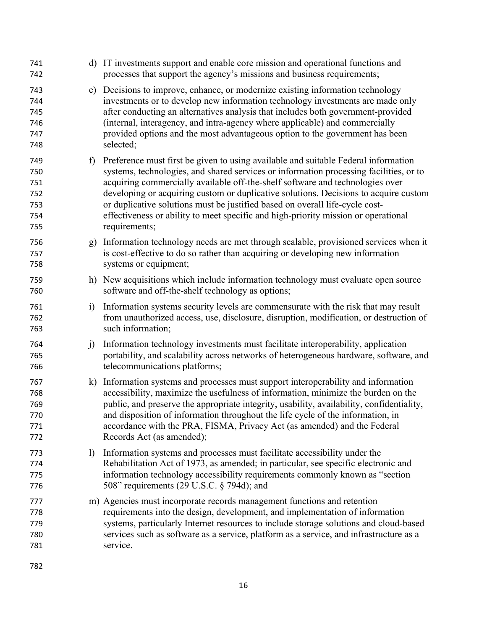| 741<br>742                                    |              | d) IT investments support and enable core mission and operational functions and<br>processes that support the agency's missions and business requirements;                                                                                                                                                                                                                                                                                                                                                                                   |
|-----------------------------------------------|--------------|----------------------------------------------------------------------------------------------------------------------------------------------------------------------------------------------------------------------------------------------------------------------------------------------------------------------------------------------------------------------------------------------------------------------------------------------------------------------------------------------------------------------------------------------|
| 743<br>744<br>745<br>746<br>747<br>748        |              | e) Decisions to improve, enhance, or modernize existing information technology<br>investments or to develop new information technology investments are made only<br>after conducting an alternatives analysis that includes both government-provided<br>(internal, interagency, and intra-agency where applicable) and commercially<br>provided options and the most advantageous option to the government has been<br>selected;                                                                                                             |
| 749<br>750<br>751<br>752<br>753<br>754<br>755 | $\mathbf{f}$ | Preference must first be given to using available and suitable Federal information<br>systems, technologies, and shared services or information processing facilities, or to<br>acquiring commercially available off-the-shelf software and technologies over<br>developing or acquiring custom or duplicative solutions. Decisions to acquire custom<br>or duplicative solutions must be justified based on overall life-cycle cost-<br>effectiveness or ability to meet specific and high-priority mission or operational<br>requirements; |
| 756<br>757<br>758                             | g)           | Information technology needs are met through scalable, provisioned services when it<br>is cost-effective to do so rather than acquiring or developing new information<br>systems or equipment;                                                                                                                                                                                                                                                                                                                                               |
| 759<br>760                                    |              | h) New acquisitions which include information technology must evaluate open source<br>software and off-the-shelf technology as options;                                                                                                                                                                                                                                                                                                                                                                                                      |
| 761<br>762<br>763                             | $\ddot{1}$   | Information systems security levels are commensurate with the risk that may result<br>from unauthorized access, use, disclosure, disruption, modification, or destruction of<br>such information;                                                                                                                                                                                                                                                                                                                                            |
| 764<br>765<br>766                             | $\ddot{1}$   | Information technology investments must facilitate interoperability, application<br>portability, and scalability across networks of heterogeneous hardware, software, and<br>telecommunications platforms;                                                                                                                                                                                                                                                                                                                                   |
| 767<br>768<br>769<br>770<br>771<br>772        | $\bf k$      | Information systems and processes must support interoperability and information<br>accessibility, maximize the usefulness of information, minimize the burden on the<br>public, and preserve the appropriate integrity, usability, availability, confidentiality,<br>and disposition of information throughout the life cycle of the information, in<br>accordance with the PRA, FISMA, Privacy Act (as amended) and the Federal<br>Records Act (as amended);                                                                                |
| 773<br>774<br>775<br>776                      | $\mathbf{D}$ | Information systems and processes must facilitate accessibility under the<br>Rehabilitation Act of 1973, as amended; in particular, see specific electronic and<br>information technology accessibility requirements commonly known as "section<br>508" requirements (29 U.S.C. § 794d); and                                                                                                                                                                                                                                                 |
| 777<br>778<br>779<br>780<br>781               |              | m) Agencies must incorporate records management functions and retention<br>requirements into the design, development, and implementation of information<br>systems, particularly Internet resources to include storage solutions and cloud-based<br>services such as software as a service, platform as a service, and infrastructure as a<br>service.                                                                                                                                                                                       |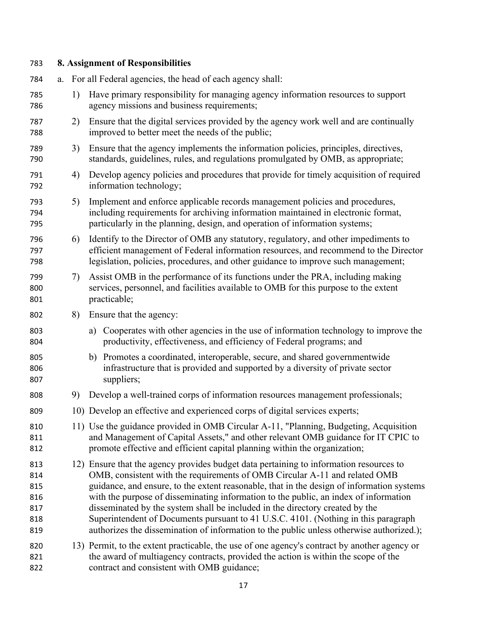# **8. Assignment of Responsibilities**

| 784                                           | a. |    |    | For all Federal agencies, the head of each agency shall:                                                                                                                                                                                                                                                                                                                                                                                                                                                                                                                                                                    |
|-----------------------------------------------|----|----|----|-----------------------------------------------------------------------------------------------------------------------------------------------------------------------------------------------------------------------------------------------------------------------------------------------------------------------------------------------------------------------------------------------------------------------------------------------------------------------------------------------------------------------------------------------------------------------------------------------------------------------------|
| 785<br>786                                    |    | 1) |    | Have primary responsibility for managing agency information resources to support<br>agency missions and business requirements;                                                                                                                                                                                                                                                                                                                                                                                                                                                                                              |
| 787<br>788                                    |    | 2) |    | Ensure that the digital services provided by the agency work well and are continually<br>improved to better meet the needs of the public;                                                                                                                                                                                                                                                                                                                                                                                                                                                                                   |
| 789<br>790                                    |    | 3) |    | Ensure that the agency implements the information policies, principles, directives,<br>standards, guidelines, rules, and regulations promulgated by OMB, as appropriate;                                                                                                                                                                                                                                                                                                                                                                                                                                                    |
| 791<br>792                                    |    | 4) |    | Develop agency policies and procedures that provide for timely acquisition of required<br>information technology;                                                                                                                                                                                                                                                                                                                                                                                                                                                                                                           |
| 793<br>794<br>795                             |    | 5) |    | Implement and enforce applicable records management policies and procedures,<br>including requirements for archiving information maintained in electronic format,<br>particularly in the planning, design, and operation of information systems;                                                                                                                                                                                                                                                                                                                                                                            |
| 796<br>797<br>798                             |    | 6) |    | Identify to the Director of OMB any statutory, regulatory, and other impediments to<br>efficient management of Federal information resources, and recommend to the Director<br>legislation, policies, procedures, and other guidance to improve such management;                                                                                                                                                                                                                                                                                                                                                            |
| 799<br>800<br>801                             |    | 7) |    | Assist OMB in the performance of its functions under the PRA, including making<br>services, personnel, and facilities available to OMB for this purpose to the extent<br>practicable;                                                                                                                                                                                                                                                                                                                                                                                                                                       |
| 802                                           |    | 8) |    | Ensure that the agency:                                                                                                                                                                                                                                                                                                                                                                                                                                                                                                                                                                                                     |
| 803<br>804                                    |    |    | a) | Cooperates with other agencies in the use of information technology to improve the<br>productivity, effectiveness, and efficiency of Federal programs; and                                                                                                                                                                                                                                                                                                                                                                                                                                                                  |
| 805<br>806<br>807                             |    |    |    | b) Promotes a coordinated, interoperable, secure, and shared governmentwide<br>infrastructure that is provided and supported by a diversity of private sector<br>suppliers;                                                                                                                                                                                                                                                                                                                                                                                                                                                 |
| 808                                           |    | 9) |    | Develop a well-trained corps of information resources management professionals;                                                                                                                                                                                                                                                                                                                                                                                                                                                                                                                                             |
| 809                                           |    |    |    | 10) Develop an effective and experienced corps of digital services experts;                                                                                                                                                                                                                                                                                                                                                                                                                                                                                                                                                 |
| 810<br>811<br>812                             |    |    |    | 11) Use the guidance provided in OMB Circular A-11, "Planning, Budgeting, Acquisition<br>and Management of Capital Assets," and other relevant OMB guidance for IT CPIC to<br>promote effective and efficient capital planning within the organization;                                                                                                                                                                                                                                                                                                                                                                     |
| 813<br>814<br>815<br>816<br>817<br>818<br>819 |    |    |    | 12) Ensure that the agency provides budget data pertaining to information resources to<br>OMB, consistent with the requirements of OMB Circular A-11 and related OMB<br>guidance, and ensure, to the extent reasonable, that in the design of information systems<br>with the purpose of disseminating information to the public, an index of information<br>disseminated by the system shall be included in the directory created by the<br>Superintendent of Documents pursuant to 41 U.S.C. 4101. (Nothing in this paragraph<br>authorizes the dissemination of information to the public unless otherwise authorized.); |
| 820<br>821<br>822                             |    |    |    | 13) Permit, to the extent practicable, the use of one agency's contract by another agency or<br>the award of multiagency contracts, provided the action is within the scope of the<br>contract and consistent with OMB guidance;                                                                                                                                                                                                                                                                                                                                                                                            |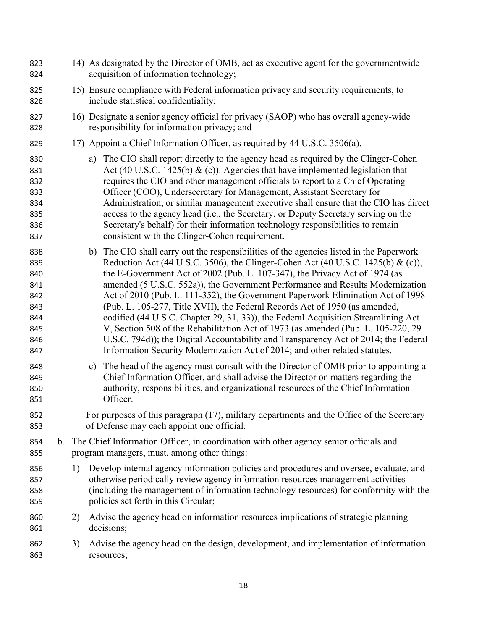| 823<br>824                                                         |    |    | 14) As designated by the Director of OMB, act as executive agent for the governmentwide<br>acquisition of information technology;                                                                                                                                                                                                                                                                                                                                                                                                                                                                                                                                                                                                                                                                                                                                |
|--------------------------------------------------------------------|----|----|------------------------------------------------------------------------------------------------------------------------------------------------------------------------------------------------------------------------------------------------------------------------------------------------------------------------------------------------------------------------------------------------------------------------------------------------------------------------------------------------------------------------------------------------------------------------------------------------------------------------------------------------------------------------------------------------------------------------------------------------------------------------------------------------------------------------------------------------------------------|
| 825<br>826                                                         |    |    | 15) Ensure compliance with Federal information privacy and security requirements, to<br>include statistical confidentiality;                                                                                                                                                                                                                                                                                                                                                                                                                                                                                                                                                                                                                                                                                                                                     |
| 827<br>828                                                         |    |    | 16) Designate a senior agency official for privacy (SAOP) who has overall agency-wide<br>responsibility for information privacy; and                                                                                                                                                                                                                                                                                                                                                                                                                                                                                                                                                                                                                                                                                                                             |
| 829                                                                |    |    | 17) Appoint a Chief Information Officer, as required by 44 U.S.C. 3506(a).                                                                                                                                                                                                                                                                                                                                                                                                                                                                                                                                                                                                                                                                                                                                                                                       |
| 830<br>831<br>832<br>833<br>834<br>835<br>836<br>837               |    |    | a) The CIO shall report directly to the agency head as required by the Clinger-Cohen<br>Act (40 U.S.C. 1425(b) $\&$ (c)). Agencies that have implemented legislation that<br>requires the CIO and other management officials to report to a Chief Operating<br>Officer (COO), Undersecretary for Management, Assistant Secretary for<br>Administration, or similar management executive shall ensure that the CIO has direct<br>access to the agency head (i.e., the Secretary, or Deputy Secretary serving on the<br>Secretary's behalf) for their information technology responsibilities to remain<br>consistent with the Clinger-Cohen requirement.                                                                                                                                                                                                          |
| 838<br>839<br>840<br>841<br>842<br>843<br>844<br>845<br>846<br>847 |    |    | b) The CIO shall carry out the responsibilities of the agencies listed in the Paperwork<br>Reduction Act (44 U.S.C. 3506), the Clinger-Cohen Act (40 U.S.C. 1425(b) & (c)),<br>the E-Government Act of 2002 (Pub. L. 107-347), the Privacy Act of 1974 (as<br>amended (5 U.S.C. 552a)), the Government Performance and Results Modernization<br>Act of 2010 (Pub. L. 111-352), the Government Paperwork Elimination Act of 1998<br>(Pub. L. 105-277, Title XVII), the Federal Records Act of 1950 (as amended,<br>codified (44 U.S.C. Chapter 29, 31, 33)), the Federal Acquisition Streamlining Act<br>V, Section 508 of the Rehabilitation Act of 1973 (as amended (Pub. L. 105-220, 29)<br>U.S.C. 794d)); the Digital Accountability and Transparency Act of 2014; the Federal<br>Information Security Modernization Act of 2014; and other related statutes. |
| 848<br>849<br>850<br>851                                           |    | c) | The head of the agency must consult with the Director of OMB prior to appointing a<br>Chief Information Officer, and shall advise the Director on matters regarding the<br>authority, responsibilities, and organizational resources of the Chief Information<br>Officer.                                                                                                                                                                                                                                                                                                                                                                                                                                                                                                                                                                                        |
| 852<br>853                                                         |    |    | For purposes of this paragraph (17), military departments and the Office of the Secretary<br>of Defense may each appoint one official.                                                                                                                                                                                                                                                                                                                                                                                                                                                                                                                                                                                                                                                                                                                           |
| 854<br>855                                                         |    |    | b. The Chief Information Officer, in coordination with other agency senior officials and<br>program managers, must, among other things:                                                                                                                                                                                                                                                                                                                                                                                                                                                                                                                                                                                                                                                                                                                          |
| 856<br>857<br>858<br>859                                           | 1) |    | Develop internal agency information policies and procedures and oversee, evaluate, and<br>otherwise periodically review agency information resources management activities<br>(including the management of information technology resources) for conformity with the<br>policies set forth in this Circular;                                                                                                                                                                                                                                                                                                                                                                                                                                                                                                                                                     |
| 860<br>861                                                         | 2) |    | Advise the agency head on information resources implications of strategic planning<br>decisions;                                                                                                                                                                                                                                                                                                                                                                                                                                                                                                                                                                                                                                                                                                                                                                 |
| 862<br>863                                                         | 3) |    | Advise the agency head on the design, development, and implementation of information<br>resources;                                                                                                                                                                                                                                                                                                                                                                                                                                                                                                                                                                                                                                                                                                                                                               |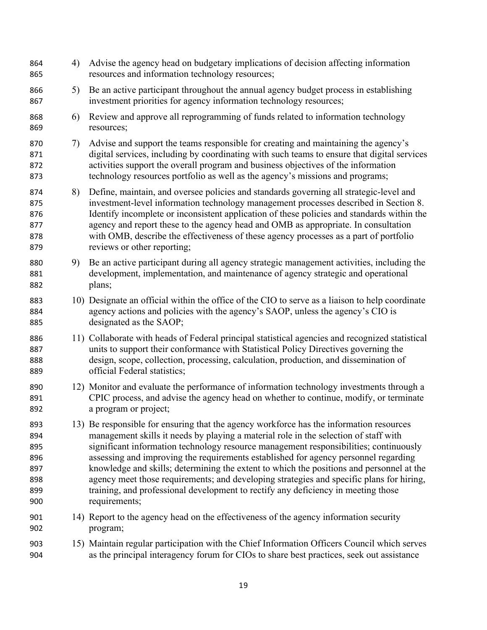| 864<br>865                                           | 4) | Advise the agency head on budgetary implications of decision affecting information<br>resources and information technology resources;                                                                                                                                                                                                                                                                                                                                                                                                                                                                                                                         |
|------------------------------------------------------|----|---------------------------------------------------------------------------------------------------------------------------------------------------------------------------------------------------------------------------------------------------------------------------------------------------------------------------------------------------------------------------------------------------------------------------------------------------------------------------------------------------------------------------------------------------------------------------------------------------------------------------------------------------------------|
| 866<br>867                                           | 5) | Be an active participant throughout the annual agency budget process in establishing<br>investment priorities for agency information technology resources;                                                                                                                                                                                                                                                                                                                                                                                                                                                                                                    |
| 868<br>869                                           | 6) | Review and approve all reprogramming of funds related to information technology<br>resources;                                                                                                                                                                                                                                                                                                                                                                                                                                                                                                                                                                 |
| 870<br>871<br>872<br>873                             | 7) | Advise and support the teams responsible for creating and maintaining the agency's<br>digital services, including by coordinating with such teams to ensure that digital services<br>activities support the overall program and business objectives of the information<br>technology resources portfolio as well as the agency's missions and programs;                                                                                                                                                                                                                                                                                                       |
| 874<br>875<br>876<br>877<br>878<br>879               | 8) | Define, maintain, and oversee policies and standards governing all strategic-level and<br>investment-level information technology management processes described in Section 8.<br>Identify incomplete or inconsistent application of these policies and standards within the<br>agency and report these to the agency head and OMB as appropriate. In consultation<br>with OMB, describe the effectiveness of these agency processes as a part of portfolio<br>reviews or other reporting;                                                                                                                                                                    |
| 880<br>881<br>882                                    | 9) | Be an active participant during all agency strategic management activities, including the<br>development, implementation, and maintenance of agency strategic and operational<br>plans;                                                                                                                                                                                                                                                                                                                                                                                                                                                                       |
| 883<br>884<br>885                                    |    | 10) Designate an official within the office of the CIO to serve as a liaison to help coordinate<br>agency actions and policies with the agency's SAOP, unless the agency's CIO is<br>designated as the SAOP;                                                                                                                                                                                                                                                                                                                                                                                                                                                  |
| 886<br>887<br>888<br>889                             |    | 11) Collaborate with heads of Federal principal statistical agencies and recognized statistical<br>units to support their conformance with Statistical Policy Directives governing the<br>design, scope, collection, processing, calculation, production, and dissemination of<br>official Federal statistics;                                                                                                                                                                                                                                                                                                                                                |
| 890<br>891<br>892                                    |    | 12) Monitor and evaluate the performance of information technology investments through a<br>CPIC process, and advise the agency head on whether to continue, modify, or terminate<br>a program or project;                                                                                                                                                                                                                                                                                                                                                                                                                                                    |
| 893<br>894<br>895<br>896<br>897<br>898<br>899<br>900 |    | 13) Be responsible for ensuring that the agency workforce has the information resources<br>management skills it needs by playing a material role in the selection of staff with<br>significant information technology resource management responsibilities; continuously<br>assessing and improving the requirements established for agency personnel regarding<br>knowledge and skills; determining the extent to which the positions and personnel at the<br>agency meet those requirements; and developing strategies and specific plans for hiring,<br>training, and professional development to rectify any deficiency in meeting those<br>requirements; |
| 901<br>902                                           |    | 14) Report to the agency head on the effectiveness of the agency information security<br>program;                                                                                                                                                                                                                                                                                                                                                                                                                                                                                                                                                             |
| 903<br>904                                           |    | 15) Maintain regular participation with the Chief Information Officers Council which serves<br>as the principal interagency forum for CIOs to share best practices, seek out assistance                                                                                                                                                                                                                                                                                                                                                                                                                                                                       |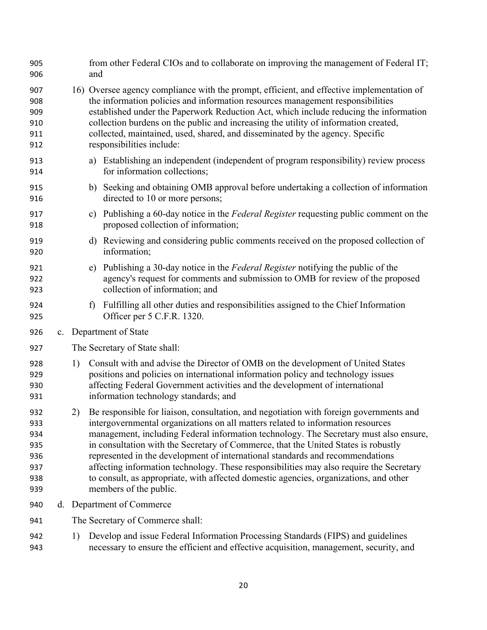| 905<br>906                                           |    | and            | from other Federal CIOs and to collaborate on improving the management of Federal IT;                                                                                                                                                                                                                                                                                                                                                                                                                                                                                                                                                                      |
|------------------------------------------------------|----|----------------|------------------------------------------------------------------------------------------------------------------------------------------------------------------------------------------------------------------------------------------------------------------------------------------------------------------------------------------------------------------------------------------------------------------------------------------------------------------------------------------------------------------------------------------------------------------------------------------------------------------------------------------------------------|
| 907<br>908<br>909<br>910<br>911<br>912               |    |                | 16) Oversee agency compliance with the prompt, efficient, and effective implementation of<br>the information policies and information resources management responsibilities<br>established under the Paperwork Reduction Act, which include reducing the information<br>collection burdens on the public and increasing the utility of information created,<br>collected, maintained, used, shared, and disseminated by the agency. Specific<br>responsibilities include:                                                                                                                                                                                  |
| 913<br>914                                           |    |                | a) Establishing an independent (independent of program responsibility) review process<br>for information collections;                                                                                                                                                                                                                                                                                                                                                                                                                                                                                                                                      |
| 915<br>916                                           |    | b)             | Seeking and obtaining OMB approval before undertaking a collection of information<br>directed to 10 or more persons;                                                                                                                                                                                                                                                                                                                                                                                                                                                                                                                                       |
| 917<br>918                                           |    | $\mathbf{c}$ ) | Publishing a 60-day notice in the Federal Register requesting public comment on the<br>proposed collection of information;                                                                                                                                                                                                                                                                                                                                                                                                                                                                                                                                 |
| 919<br>920                                           |    |                | d) Reviewing and considering public comments received on the proposed collection of<br>information;                                                                                                                                                                                                                                                                                                                                                                                                                                                                                                                                                        |
| 921<br>922<br>923                                    |    | e)             | Publishing a 30-day notice in the Federal Register notifying the public of the<br>agency's request for comments and submission to OMB for review of the proposed<br>collection of information; and                                                                                                                                                                                                                                                                                                                                                                                                                                                         |
| 924<br>925                                           |    | f              | Fulfilling all other duties and responsibilities assigned to the Chief Information<br>Officer per 5 C.F.R. 1320.                                                                                                                                                                                                                                                                                                                                                                                                                                                                                                                                           |
| 926                                                  |    |                | c. Department of State                                                                                                                                                                                                                                                                                                                                                                                                                                                                                                                                                                                                                                     |
| 927                                                  |    |                | The Secretary of State shall:                                                                                                                                                                                                                                                                                                                                                                                                                                                                                                                                                                                                                              |
| 928<br>929<br>930<br>931                             | 1) |                | Consult with and advise the Director of OMB on the development of United States<br>positions and policies on international information policy and technology issues<br>affecting Federal Government activities and the development of international<br>information technology standards; and                                                                                                                                                                                                                                                                                                                                                               |
| 932<br>933<br>934<br>935<br>936<br>937<br>938<br>939 |    |                | 2) Be responsible for liaison, consultation, and negotiation with foreign governments and<br>intergovernmental organizations on all matters related to information resources<br>management, including Federal information technology. The Secretary must also ensure,<br>in consultation with the Secretary of Commerce, that the United States is robustly<br>represented in the development of international standards and recommendations<br>affecting information technology. These responsibilities may also require the Secretary<br>to consult, as appropriate, with affected domestic agencies, organizations, and other<br>members of the public. |
| 940                                                  |    |                | d. Department of Commerce                                                                                                                                                                                                                                                                                                                                                                                                                                                                                                                                                                                                                                  |
| 941                                                  |    |                | The Secretary of Commerce shall:                                                                                                                                                                                                                                                                                                                                                                                                                                                                                                                                                                                                                           |
| 942                                                  | 1) |                | Develop and issue Federal Information Processing Standards (FIPS) and guidelines                                                                                                                                                                                                                                                                                                                                                                                                                                                                                                                                                                           |

necessary to ensure the efficient and effective acquisition, management, security, and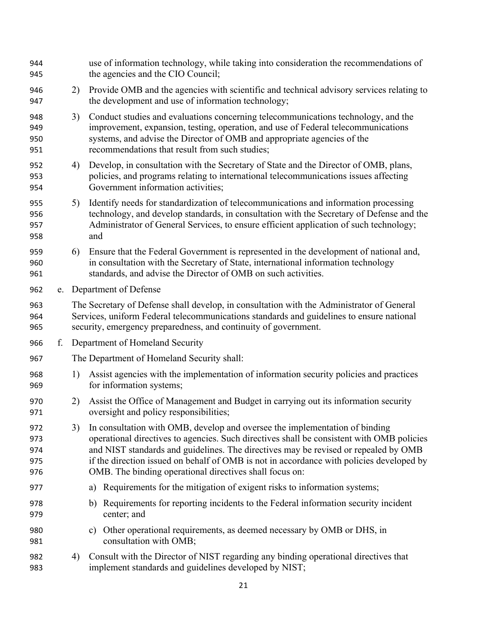| 944<br>945                      |    |                                                                                                                                                                                                                                                          | use of information technology, while taking into consideration the recommendations of<br>the agencies and the CIO Council;                                                                                                                                                                                                                                                                                             |  |  |  |
|---------------------------------|----|----------------------------------------------------------------------------------------------------------------------------------------------------------------------------------------------------------------------------------------------------------|------------------------------------------------------------------------------------------------------------------------------------------------------------------------------------------------------------------------------------------------------------------------------------------------------------------------------------------------------------------------------------------------------------------------|--|--|--|
| 946<br>947                      |    | 2)                                                                                                                                                                                                                                                       | Provide OMB and the agencies with scientific and technical advisory services relating to<br>the development and use of information technology;                                                                                                                                                                                                                                                                         |  |  |  |
| 948<br>949<br>950<br>951        |    | 3)                                                                                                                                                                                                                                                       | Conduct studies and evaluations concerning telecommunications technology, and the<br>improvement, expansion, testing, operation, and use of Federal telecommunications<br>systems, and advise the Director of OMB and appropriate agencies of the<br>recommendations that result from such studies;                                                                                                                    |  |  |  |
| 952<br>953<br>954               |    | 4)                                                                                                                                                                                                                                                       | Develop, in consultation with the Secretary of State and the Director of OMB, plans,<br>policies, and programs relating to international telecommunications issues affecting<br>Government information activities;                                                                                                                                                                                                     |  |  |  |
| 955<br>956<br>957<br>958        |    | 5)                                                                                                                                                                                                                                                       | Identify needs for standardization of telecommunications and information processing<br>technology, and develop standards, in consultation with the Secretary of Defense and the<br>Administrator of General Services, to ensure efficient application of such technology;<br>and                                                                                                                                       |  |  |  |
| 959<br>960<br>961               |    | 6)                                                                                                                                                                                                                                                       | Ensure that the Federal Government is represented in the development of national and,<br>in consultation with the Secretary of State, international information technology<br>standards, and advise the Director of OMB on such activities.                                                                                                                                                                            |  |  |  |
| 962                             |    |                                                                                                                                                                                                                                                          | e. Department of Defense                                                                                                                                                                                                                                                                                                                                                                                               |  |  |  |
| 963<br>964<br>965               |    | The Secretary of Defense shall develop, in consultation with the Administrator of General<br>Services, uniform Federal telecommunications standards and guidelines to ensure national<br>security, emergency preparedness, and continuity of government. |                                                                                                                                                                                                                                                                                                                                                                                                                        |  |  |  |
| 966                             | f. |                                                                                                                                                                                                                                                          | Department of Homeland Security                                                                                                                                                                                                                                                                                                                                                                                        |  |  |  |
| 967                             |    |                                                                                                                                                                                                                                                          | The Department of Homeland Security shall:                                                                                                                                                                                                                                                                                                                                                                             |  |  |  |
| 968<br>969                      |    | 1)                                                                                                                                                                                                                                                       | Assist agencies with the implementation of information security policies and practices<br>for information systems;                                                                                                                                                                                                                                                                                                     |  |  |  |
| 970<br>971                      |    | 2)                                                                                                                                                                                                                                                       | Assist the Office of Management and Budget in carrying out its information security<br>oversight and policy responsibilities;                                                                                                                                                                                                                                                                                          |  |  |  |
| 972<br>973<br>974<br>975<br>976 |    | 3)                                                                                                                                                                                                                                                       | In consultation with OMB, develop and oversee the implementation of binding<br>operational directives to agencies. Such directives shall be consistent with OMB policies<br>and NIST standards and guidelines. The directives may be revised or repealed by OMB<br>if the direction issued on behalf of OMB is not in accordance with policies developed by<br>OMB. The binding operational directives shall focus on: |  |  |  |
| 977                             |    |                                                                                                                                                                                                                                                          | Requirements for the mitigation of exigent risks to information systems;<br>a)                                                                                                                                                                                                                                                                                                                                         |  |  |  |
| 978<br>979                      |    |                                                                                                                                                                                                                                                          | Requirements for reporting incidents to the Federal information security incident<br>b)<br>center; and                                                                                                                                                                                                                                                                                                                 |  |  |  |
| 980<br>981                      |    |                                                                                                                                                                                                                                                          | Other operational requirements, as deemed necessary by OMB or DHS, in<br>C)<br>consultation with OMB;                                                                                                                                                                                                                                                                                                                  |  |  |  |
| 982<br>983                      |    | 4)                                                                                                                                                                                                                                                       | Consult with the Director of NIST regarding any binding operational directives that<br>implement standards and guidelines developed by NIST;                                                                                                                                                                                                                                                                           |  |  |  |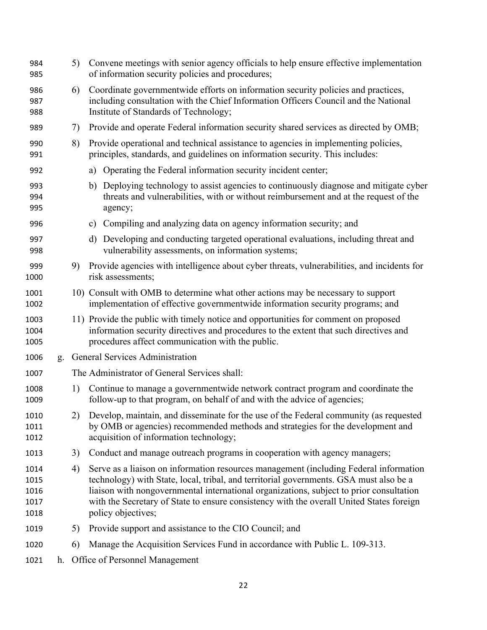| 984<br>985                           |    | 5) | Convene meetings with senior agency officials to help ensure effective implementation<br>of information security policies and procedures;                                                                                                                                                                                                                                                    |
|--------------------------------------|----|----|----------------------------------------------------------------------------------------------------------------------------------------------------------------------------------------------------------------------------------------------------------------------------------------------------------------------------------------------------------------------------------------------|
| 986<br>987<br>988                    |    | 6) | Coordinate governmentwide efforts on information security policies and practices,<br>including consultation with the Chief Information Officers Council and the National<br>Institute of Standards of Technology;                                                                                                                                                                            |
| 989                                  |    | 7) | Provide and operate Federal information security shared services as directed by OMB;                                                                                                                                                                                                                                                                                                         |
| 990<br>991                           |    | 8) | Provide operational and technical assistance to agencies in implementing policies,<br>principles, standards, and guidelines on information security. This includes:                                                                                                                                                                                                                          |
| 992                                  |    |    | Operating the Federal information security incident center;<br>a)                                                                                                                                                                                                                                                                                                                            |
| 993<br>994<br>995                    |    |    | Deploying technology to assist agencies to continuously diagnose and mitigate cyber<br>b)<br>threats and vulnerabilities, with or without reimbursement and at the request of the<br>agency;                                                                                                                                                                                                 |
| 996                                  |    |    | Compiling and analyzing data on agency information security; and<br>$\mathbf{c})$                                                                                                                                                                                                                                                                                                            |
| 997<br>998                           |    |    | Developing and conducting targeted operational evaluations, including threat and<br>d)<br>vulnerability assessments, on information systems;                                                                                                                                                                                                                                                 |
| 999<br>1000                          |    | 9) | Provide agencies with intelligence about cyber threats, vulnerabilities, and incidents for<br>risk assessments;                                                                                                                                                                                                                                                                              |
| 1001<br>1002                         |    |    | 10) Consult with OMB to determine what other actions may be necessary to support<br>implementation of effective governmentwide information security programs; and                                                                                                                                                                                                                            |
| 1003<br>1004<br>1005                 |    |    | 11) Provide the public with timely notice and opportunities for comment on proposed<br>information security directives and procedures to the extent that such directives and<br>procedures affect communication with the public.                                                                                                                                                             |
| 1006                                 | g. |    | General Services Administration                                                                                                                                                                                                                                                                                                                                                              |
| 1007                                 |    |    | The Administrator of General Services shall:                                                                                                                                                                                                                                                                                                                                                 |
| 1008<br>1009                         |    | 1) | Continue to manage a governmentwide network contract program and coordinate the<br>follow-up to that program, on behalf of and with the advice of agencies;                                                                                                                                                                                                                                  |
| 1010<br>1011<br>1012                 |    |    | 2) Develop, maintain, and disseminate for the use of the Federal community (as requested<br>by OMB or agencies) recommended methods and strategies for the development and<br>acquisition of information technology;                                                                                                                                                                         |
| 1013                                 |    | 3) | Conduct and manage outreach programs in cooperation with agency managers;                                                                                                                                                                                                                                                                                                                    |
| 1014<br>1015<br>1016<br>1017<br>1018 |    | 4) | Serve as a liaison on information resources management (including Federal information<br>technology) with State, local, tribal, and territorial governments. GSA must also be a<br>liaison with nongovernmental international organizations, subject to prior consultation<br>with the Secretary of State to ensure consistency with the overall United States foreign<br>policy objectives; |
| 1019                                 |    | 5) | Provide support and assistance to the CIO Council; and                                                                                                                                                                                                                                                                                                                                       |
| 1020                                 |    | 6) | Manage the Acquisition Services Fund in accordance with Public L. 109-313.                                                                                                                                                                                                                                                                                                                   |
| 1021                                 |    |    | h. Office of Personnel Management                                                                                                                                                                                                                                                                                                                                                            |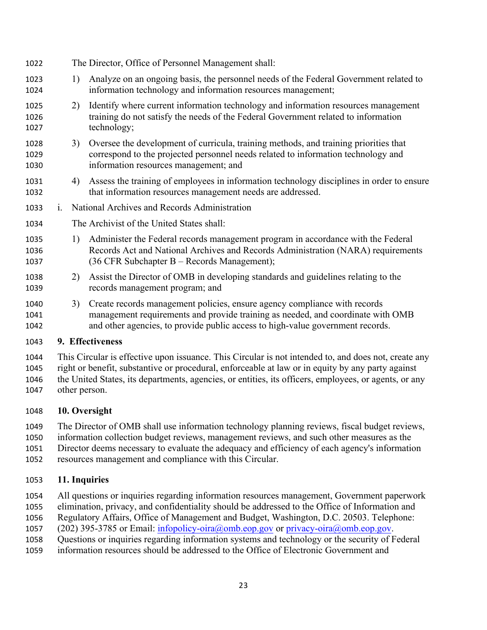- The Director, Office of Personnel Management shall: 1) Analyze on an ongoing basis, the personnel needs of the Federal Government related to information technology and information resources management; 2) Identify where current information technology and information resources management training do not satisfy the needs of the Federal Government related to information technology; 3) Oversee the development of curricula, training methods, and training priorities that correspond to the projected personnel needs related to information technology and information resources management; and 4) Assess the training of employees in information technology disciplines in order to ensure that information resources management needs are addressed. i. National Archives and Records Administration The Archivist of the United States shall: 1) Administer the Federal records management program in accordance with the Federal Records Act and National Archives and Records Administration (NARA) requirements (36 CFR Subchapter B – Records Management); 2) Assist the Director of OMB in developing standards and guidelines relating to the records management program; and 3) Create records management policies, ensure agency compliance with records management requirements and provide training as needed, and coordinate with OMB and other agencies, to provide public access to high-value government records. **9. Effectiveness**
- This Circular is effective upon issuance. This Circular is not intended to, and does not, create any right or benefit, substantive or procedural, enforceable at law or in equity by any party against the United States, its departments, agencies, or entities, its officers, employees, or agents, or any other person.

# **10. Oversight**

The Director of OMB shall use information technology planning reviews, fiscal budget reviews,

- information collection budget reviews, management reviews, and such other measures as the
- Director deems necessary to evaluate the adequacy and efficiency of each agency's information
- resources management and compliance with this Circular.

# **11. Inquiries**

- All questions or inquiries regarding information resources management, Government paperwork
- elimination, privacy, and confidentiality should be addressed to the Office of Information and
- Regulatory Affairs, Office of Management and Budget, Washington, D.C. 20503. Telephone:
- 1057 (202) 395-3785 or Email: infopolicy-oira@omb.eop.gov or privacy-oira@omb.eop.gov.
- Questions or inquiries regarding information systems and technology or the security of Federal
- information resources should be addressed to the Office of Electronic Government and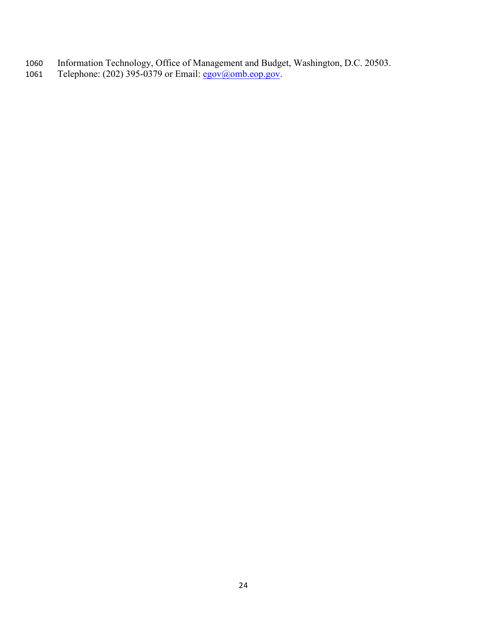- Information Technology, Office of Management and Budget, Washington, D.C. 20503.
- 1061 Telephone: (202) 395-0379 or Email: egov@omb.eop.gov.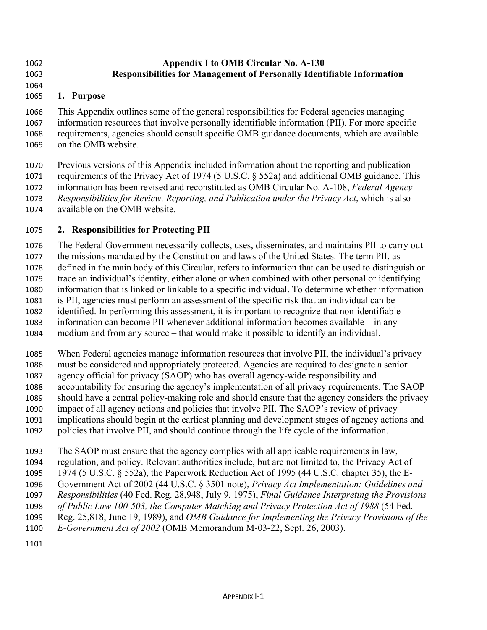#### **Appendix I to OMB Circular No. A-130 Responsibilities for Management of Personally Identifiable Information**

#### 

## **1. Purpose**

 This Appendix outlines some of the general responsibilities for Federal agencies managing information resources that involve personally identifiable information (PII). For more specific requirements, agencies should consult specific OMB guidance documents, which are available on the OMB website.

 Previous versions of this Appendix included information about the reporting and publication requirements of the Privacy Act of 1974 (5 U.S.C. § 552a) and additional OMB guidance. This information has been revised and reconstituted as OMB Circular No. A-108, *Federal Agency Responsibilities for Review, Reporting, and Publication under the Privacy Act*, which is also available on the OMB website.

## **2. Responsibilities for Protecting PII**

 The Federal Government necessarily collects, uses, disseminates, and maintains PII to carry out the missions mandated by the Constitution and laws of the United States. The term PII, as defined in the main body of this Circular, refers to information that can be used to distinguish or trace an individual's identity, either alone or when combined with other personal or identifying information that is linked or linkable to a specific individual. To determine whether information is PII, agencies must perform an assessment of the specific risk that an individual can be identified. In performing this assessment, it is important to recognize that non-identifiable information can become PII whenever additional information becomes available – in any medium and from any source – that would make it possible to identify an individual.

 When Federal agencies manage information resources that involve PII, the individual's privacy must be considered and appropriately protected. Agencies are required to designate a senior agency official for privacy (SAOP) who has overall agency-wide responsibility and accountability for ensuring the agency's implementation of all privacy requirements. The SAOP should have a central policy-making role and should ensure that the agency considers the privacy impact of all agency actions and policies that involve PII. The SAOP's review of privacy implications should begin at the earliest planning and development stages of agency actions and policies that involve PII, and should continue through the life cycle of the information.

The SAOP must ensure that the agency complies with all applicable requirements in law,

regulation, and policy. Relevant authorities include, but are not limited to, the Privacy Act of

1974 (5 U.S.C. § 552a), the Paperwork Reduction Act of 1995 (44 U.S.C. chapter 35), the E-

 Government Act of 2002 (44 U.S.C. § 3501 note), *Privacy Act Implementation: Guidelines and Responsibilities* (40 Fed. Reg. 28,948, July 9, 1975), *Final Guidance Interpreting the Provisions* 

- *of Public Law 100-503, the Computer Matching and Privacy Protection Act of 1988* (54 Fed.
- Reg. 25,818, June 19, 1989), and *OMB Guidance for Implementing the Privacy Provisions of the*
- *E-Government Act of 2002* (OMB Memorandum M-03-22, Sept. 26, 2003).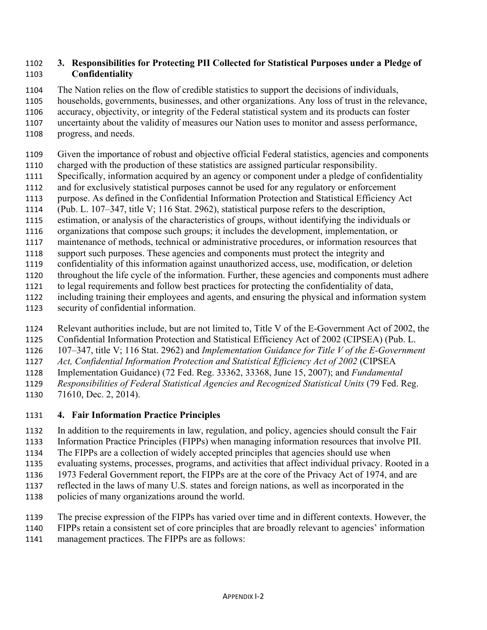#### **3. Responsibilities for Protecting PII Collected for Statistical Purposes under a Pledge of Confidentiality**

The Nation relies on the flow of credible statistics to support the decisions of individuals,

households, governments, businesses, and other organizations. Any loss of trust in the relevance,

accuracy, objectivity, or integrity of the Federal statistical system and its products can foster

 uncertainty about the validity of measures our Nation uses to monitor and assess performance, progress, and needs.

- Given the importance of robust and objective official Federal statistics, agencies and components
- charged with the production of these statistics are assigned particular responsibility.
- Specifically, information acquired by an agency or component under a pledge of confidentiality
- and for exclusively statistical purposes cannot be used for any regulatory or enforcement
- purpose. As defined in the Confidential Information Protection and Statistical Efficiency Act
- (Pub. L. 107–347, title V; 116 Stat. 2962), statistical purpose refers to the description,
- estimation, or analysis of the characteristics of groups, without identifying the individuals or
- organizations that compose such groups; it includes the development, implementation, or
- maintenance of methods, technical or administrative procedures, or information resources that
- support such purposes. These agencies and components must protect the integrity and
- confidentiality of this information against unauthorized access, use, modification, or deletion
- throughout the life cycle of the information. Further, these agencies and components must adhere to legal requirements and follow best practices for protecting the confidentiality of data,
- including training their employees and agents, and ensuring the physical and information system
- security of confidential information.
- Relevant authorities include, but are not limited to, Title V of the E-Government Act of 2002, the
- Confidential Information Protection and Statistical Efficiency Act of 2002 (CIPSEA) (Pub. L.
- 107–347, title V; 116 Stat. 2962) and *Implementation Guidance for Title V of the E-Government*
- *Act, Confidential Information Protection and Statistical Efficiency Act of 2002* (CIPSEA
- Implementation Guidance) (72 Fed. Reg. 33362, 33368, June 15, 2007); and *Fundamental*
- *Responsibilities of Federal Statistical Agencies and Recognized Statistical Units* (79 Fed. Reg.
- 71610, Dec. 2, 2014).

# **4. Fair Information Practice Principles**

- In addition to the requirements in law, regulation, and policy, agencies should consult the Fair
- Information Practice Principles (FIPPs) when managing information resources that involve PII.
- The FIPPs are a collection of widely accepted principles that agencies should use when
- evaluating systems, processes, programs, and activities that affect individual privacy. Rooted in a
- 1973 Federal Government report, the FIPPs are at the core of the Privacy Act of 1974, and are
- reflected in the laws of many U.S. states and foreign nations, as well as incorporated in the
- policies of many organizations around the world.
- The precise expression of the FIPPs has varied over time and in different contexts. However, the
- FIPPs retain a consistent set of core principles that are broadly relevant to agencies' information
- management practices. The FIPPs are as follows: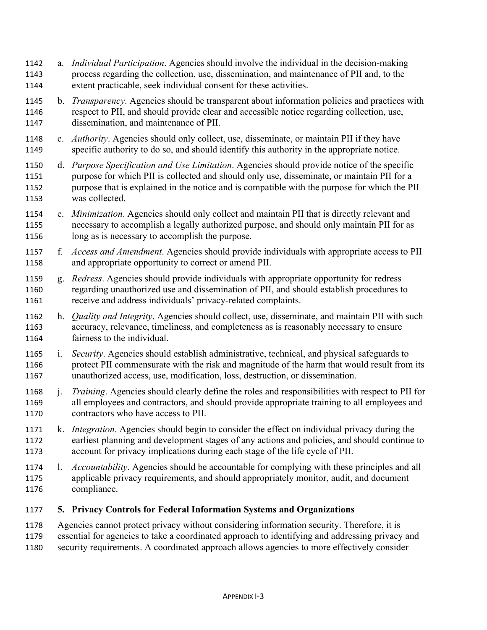- a. *Individual Participation*. Agencies should involve the individual in the decision-making process regarding the collection, use, dissemination, and maintenance of PII and, to the extent practicable, seek individual consent for these activities.
- b. *Transparency*. Agencies should be transparent about information policies and practices with respect to PII, and should provide clear and accessible notice regarding collection, use, dissemination, and maintenance of PII.
- c. *Authority*. Agencies should only collect, use, disseminate, or maintain PII if they have specific authority to do so, and should identify this authority in the appropriate notice.
- d. *Purpose Specification and Use Limitation*. Agencies should provide notice of the specific purpose for which PII is collected and should only use, disseminate, or maintain PII for a purpose that is explained in the notice and is compatible with the purpose for which the PII was collected.
- e. *Minimization*. Agencies should only collect and maintain PII that is directly relevant and necessary to accomplish a legally authorized purpose, and should only maintain PII for as long as is necessary to accomplish the purpose.
- f. *Access and Amendment*. Agencies should provide individuals with appropriate access to PII and appropriate opportunity to correct or amend PII.
- g. *Redress*. Agencies should provide individuals with appropriate opportunity for redress regarding unauthorized use and dissemination of PII, and should establish procedures to receive and address individuals' privacy-related complaints.
- h. *Quality and Integrity*. Agencies should collect, use, disseminate, and maintain PII with such accuracy, relevance, timeliness, and completeness as is reasonably necessary to ensure fairness to the individual.
- i. *Security*. Agencies should establish administrative, technical, and physical safeguards to protect PII commensurate with the risk and magnitude of the harm that would result from its unauthorized access, use, modification, loss, destruction, or dissemination.
- j. *Training*. Agencies should clearly define the roles and responsibilities with respect to PII for all employees and contractors, and should provide appropriate training to all employees and contractors who have access to PII.
- k. *Integration*. Agencies should begin to consider the effect on individual privacy during the earliest planning and development stages of any actions and policies, and should continue to account for privacy implications during each stage of the life cycle of PII.
- l. *Accountability*. Agencies should be accountable for complying with these principles and all applicable privacy requirements, and should appropriately monitor, audit, and document compliance.

## **5. Privacy Controls for Federal Information Systems and Organizations**

- Agencies cannot protect privacy without considering information security. Therefore, it is
- essential for agencies to take a coordinated approach to identifying and addressing privacy and
- security requirements. A coordinated approach allows agencies to more effectively consider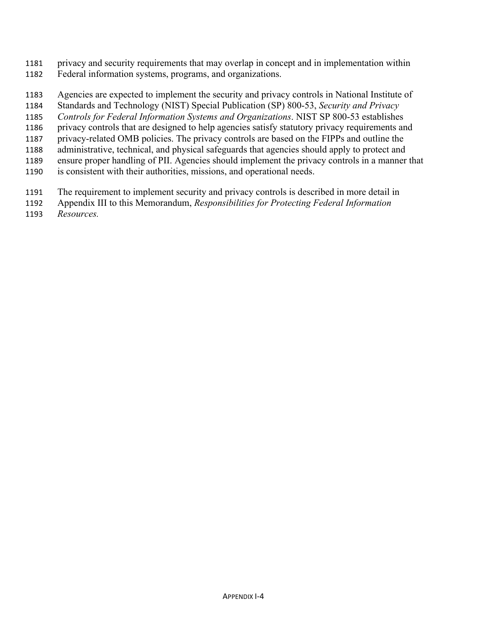- privacy and security requirements that may overlap in concept and in implementation within Federal information systems, programs, and organizations.
- Agencies are expected to implement the security and privacy controls in National Institute of
- Standards and Technology (NIST) Special Publication (SP) 800-53, *Security and Privacy*
- *Controls for Federal Information Systems and Organizations*. NIST SP 800-53 establishes
- privacy controls that are designed to help agencies satisfy statutory privacy requirements and
- privacy-related OMB policies. The privacy controls are based on the FIPPs and outline the
- administrative, technical, and physical safeguards that agencies should apply to protect and
- ensure proper handling of PII. Agencies should implement the privacy controls in a manner that
- is consistent with their authorities, missions, and operational needs.
- The requirement to implement security and privacy controls is described in more detail in
- Appendix III to this Memorandum, *Responsibilities for Protecting Federal Information*
- *Resources.*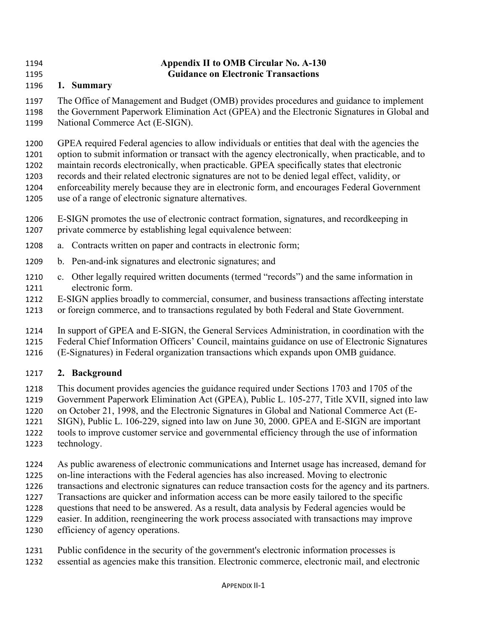## **Appendix II to OMB Circular No. A-130 Guidance on Electronic Transactions**

# **1. Summary**

 The Office of Management and Budget (OMB) provides procedures and guidance to implement the Government Paperwork Elimination Act (GPEA) and the Electronic Signatures in Global and National Commerce Act (E-SIGN).

 GPEA required Federal agencies to allow individuals or entities that deal with the agencies the option to submit information or transact with the agency electronically, when practicable, and to maintain records electronically, when practicable. GPEA specifically states that electronic records and their related electronic signatures are not to be denied legal effect, validity, or enforceability merely because they are in electronic form, and encourages Federal Government use of a range of electronic signature alternatives.

- E-SIGN promotes the use of electronic contract formation, signatures, and recordkeeping in private commerce by establishing legal equivalence between:
- a. Contracts written on paper and contracts in electronic form;
- b. Pen-and-ink signatures and electronic signatures; and
- c. Other legally required written documents (termed "records") and the same information in electronic form.
- E-SIGN applies broadly to commercial, consumer, and business transactions affecting interstate
- or foreign commerce, and to transactions regulated by both Federal and State Government.
- In support of GPEA and E-SIGN, the General Services Administration, in coordination with the
- Federal Chief Information Officers' Council, maintains guidance on use of Electronic Signatures
- (E-Signatures) in Federal organization transactions which expands upon OMB guidance.

# **2. Background**

- This document provides agencies the guidance required under Sections 1703 and 1705 of the
- Government Paperwork Elimination Act (GPEA), Public L. 105-277, Title XVII, signed into law
- on October 21, 1998, and the Electronic Signatures in Global and National Commerce Act (E-
- SIGN), Public L. 106-229, signed into law on June 30, 2000. GPEA and E-SIGN are important
- tools to improve customer service and governmental efficiency through the use of information
- technology.
- As public awareness of electronic communications and Internet usage has increased, demand for
- on-line interactions with the Federal agencies has also increased. Moving to electronic
- transactions and electronic signatures can reduce transaction costs for the agency and its partners.
- Transactions are quicker and information access can be more easily tailored to the specific
- questions that need to be answered. As a result, data analysis by Federal agencies would be
- easier. In addition, reengineering the work process associated with transactions may improve
- efficiency of agency operations.
- Public confidence in the security of the government's electronic information processes is
- essential as agencies make this transition. Electronic commerce, electronic mail, and electronic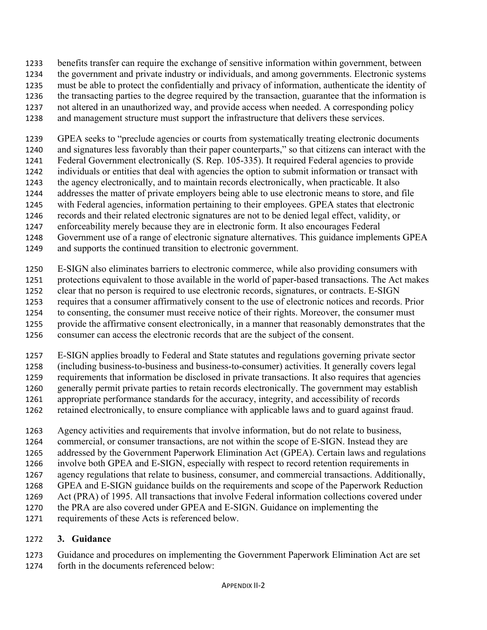benefits transfer can require the exchange of sensitive information within government, between

- the government and private industry or individuals, and among governments. Electronic systems
- must be able to protect the confidentially and privacy of information, authenticate the identity of
- the transacting parties to the degree required by the transaction, guarantee that the information is
- not altered in an unauthorized way, and provide access when needed. A corresponding policy
- and management structure must support the infrastructure that delivers these services.

 GPEA seeks to "preclude agencies or courts from systematically treating electronic documents and signatures less favorably than their paper counterparts," so that citizens can interact with the Federal Government electronically (S. Rep. 105-335). It required Federal agencies to provide individuals or entities that deal with agencies the option to submit information or transact with the agency electronically, and to maintain records electronically, when practicable. It also addresses the matter of private employers being able to use electronic means to store, and file with Federal agencies, information pertaining to their employees. GPEA states that electronic records and their related electronic signatures are not to be denied legal effect, validity, or enforceability merely because they are in electronic form. It also encourages Federal

- Government use of a range of electronic signature alternatives. This guidance implements GPEA
- and supports the continued transition to electronic government.
- E-SIGN also eliminates barriers to electronic commerce, while also providing consumers with protections equivalent to those available in the world of paper-based transactions. The Act makes clear that no person is required to use electronic records, signatures, or contracts. E-SIGN requires that a consumer affirmatively consent to the use of electronic notices and records. Prior to consenting, the consumer must receive notice of their rights. Moreover, the consumer must
- provide the affirmative consent electronically, in a manner that reasonably demonstrates that the
- consumer can access the electronic records that are the subject of the consent.
- E-SIGN applies broadly to Federal and State statutes and regulations governing private sector
- (including business-to-business and business-to-consumer) activities. It generally covers legal
- requirements that information be disclosed in private transactions. It also requires that agencies
- generally permit private parties to retain records electronically. The government may establish appropriate performance standards for the accuracy, integrity, and accessibility of records
- retained electronically, to ensure compliance with applicable laws and to guard against fraud.
- Agency activities and requirements that involve information, but do not relate to business,
- commercial, or consumer transactions, are not within the scope of E-SIGN. Instead they are
- addressed by the Government Paperwork Elimination Act (GPEA). Certain laws and regulations
- involve both GPEA and E-SIGN, especially with respect to record retention requirements in
- agency regulations that relate to business, consumer, and commercial transactions. Additionally,
- GPEA and E-SIGN guidance builds on the requirements and scope of the Paperwork Reduction
- Act (PRA) of 1995. All transactions that involve Federal information collections covered under
- the PRA are also covered under GPEA and E-SIGN. Guidance on implementing the
- requirements of these Acts is referenced below.

# **3. Guidance**

 Guidance and procedures on implementing the Government Paperwork Elimination Act are set forth in the documents referenced below: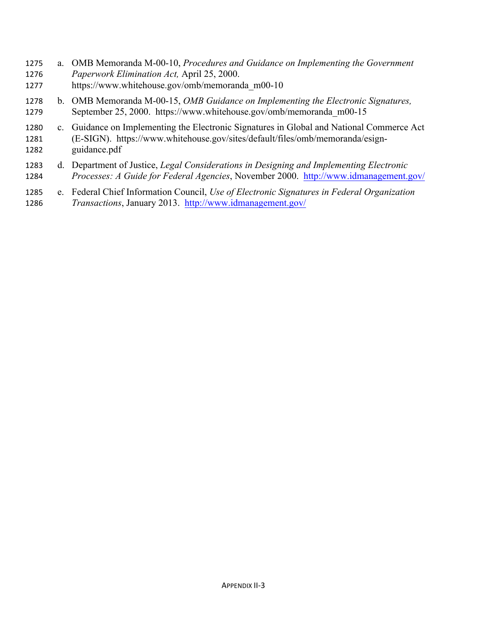- a. OMB Memoranda M-00-10, *Procedures and Guidance on Implementing the Government Paperwork Elimination Act,* April 25, 2000. https://www.whitehouse.gov/omb/memoranda\_m00-10
- b. OMB Memoranda M-00-15, *OMB Guidance on Implementing the Electronic Signatures,*  September 25, 2000. https://www.whitehouse.gov/omb/memoranda\_m00-15
- c. Guidance on Implementing the Electronic Signatures in Global and National Commerce Act (E-SIGN). https://www.whitehouse.gov/sites/default/files/omb/memoranda/esign-guidance.pdf
- d. Department of Justice, *Legal Considerations in Designing and Implementing Electronic Processes: A Guide for Federal Agencies*, November 2000. http://www.idmanagement.gov/
- e. Federal Chief Information Council, *Use of Electronic Signatures in Federal Organization Transactions*, January 2013. http://www.idmanagement.gov/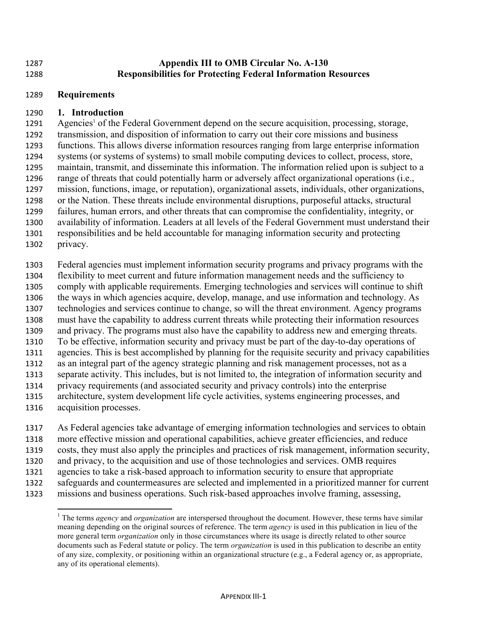#### **Appendix III to OMB Circular No. A-130 Responsibilities for Protecting Federal Information Resources**

#### **Requirements**

#### **1. Introduction**

1291 Agencies<sup>1</sup> of the Federal Government depend on the secure acquisition, processing, storage, transmission, and disposition of information to carry out their core missions and business functions. This allows diverse information resources ranging from large enterprise information systems (or systems of systems) to small mobile computing devices to collect, process, store, maintain, transmit, and disseminate this information. The information relied upon is subject to a range of threats that could potentially harm or adversely affect organizational operations (i.e., mission, functions, image, or reputation), organizational assets, individuals, other organizations, or the Nation. These threats include environmental disruptions, purposeful attacks, structural failures, human errors, and other threats that can compromise the confidentiality, integrity, or availability of information. Leaders at all levels of the Federal Government must understand their responsibilities and be held accountable for managing information security and protecting privacy.

 Federal agencies must implement information security programs and privacy programs with the flexibility to meet current and future information management needs and the sufficiency to comply with applicable requirements. Emerging technologies and services will continue to shift the ways in which agencies acquire, develop, manage, and use information and technology. As technologies and services continue to change, so will the threat environment. Agency programs must have the capability to address current threats while protecting their information resources and privacy. The programs must also have the capability to address new and emerging threats. To be effective, information security and privacy must be part of the day-to-day operations of agencies. This is best accomplished by planning for the requisite security and privacy capabilities as an integral part of the agency strategic planning and risk management processes, not as a separate activity. This includes, but is not limited to, the integration of information security and privacy requirements (and associated security and privacy controls) into the enterprise architecture, system development life cycle activities, systems engineering processes, and acquisition processes.

 As Federal agencies take advantage of emerging information technologies and services to obtain more effective mission and operational capabilities, achieve greater efficiencies, and reduce costs, they must also apply the principles and practices of risk management, information security, and privacy, to the acquisition and use of those technologies and services. OMB requires agencies to take a risk-based approach to information security to ensure that appropriate safeguards and countermeasures are selected and implemented in a prioritized manner for current

missions and business operations. Such risk-based approaches involve framing, assessing,

<sup>&</sup>lt;sup>1</sup> The terms *agency* and *organization* are interspersed throughout the document. However, these terms have similar meaning depending on the original sources of reference. The term *agency* is used in this publication in lieu of the more general term *organization* only in those circumstances where its usage is directly related to other source documents such as Federal statute or policy. The term *organization* is used in this publication to describe an entity of any size, complexity, or positioning within an organizational structure (e.g., a Federal agency or, as appropriate, any of its operational elements).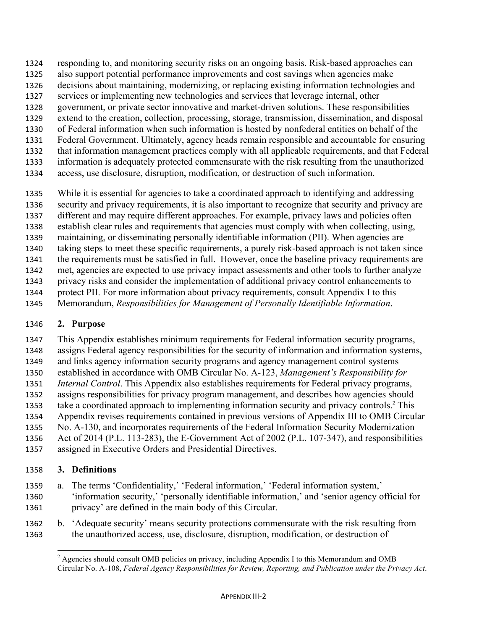- responding to, and monitoring security risks on an ongoing basis. Risk-based approaches can
- also support potential performance improvements and cost savings when agencies make
- decisions about maintaining, modernizing, or replacing existing information technologies and
- services or implementing new technologies and services that leverage internal, other government, or private sector innovative and market-driven solutions. These responsibilities
- extend to the creation, collection, processing, storage, transmission, dissemination, and disposal
- of Federal information when such information is hosted by nonfederal entities on behalf of the
- Federal Government. Ultimately, agency heads remain responsible and accountable for ensuring
- that information management practices comply with all applicable requirements, and that Federal
- information is adequately protected commensurate with the risk resulting from the unauthorized
- access, use disclosure, disruption, modification, or destruction of such information.
- While it is essential for agencies to take a coordinated approach to identifying and addressing
- security and privacy requirements, it is also important to recognize that security and privacy are
- different and may require different approaches. For example, privacy laws and policies often
- establish clear rules and requirements that agencies must comply with when collecting, using,
- maintaining, or disseminating personally identifiable information (PII). When agencies are
- taking steps to meet these specific requirements, a purely risk-based approach is not taken since the requirements must be satisfied in full. However, once the baseline privacy requirements are
- met, agencies are expected to use privacy impact assessments and other tools to further analyze
- privacy risks and consider the implementation of additional privacy control enhancements to
- protect PII. For more information about privacy requirements, consult Appendix I to this
- Memorandum, *Responsibilities for Management of Personally Identifiable Information*.

# **2. Purpose**

 This Appendix establishes minimum requirements for Federal information security programs, assigns Federal agency responsibilities for the security of information and information systems, and links agency information security programs and agency management control systems established in accordance with OMB Circular No. A-123, *Management's Responsibility for Internal Control*. This Appendix also establishes requirements for Federal privacy programs, assigns responsibilities for privacy program management, and describes how agencies should take a coordinated approach to implementing information security and privacy controls.<sup>2</sup> This Appendix revises requirements contained in previous versions of Appendix III to OMB Circular No. A-130, and incorporates requirements of the Federal Information Security Modernization Act of 2014 (P.L. 113-283), the E-Government Act of 2002 (P.L. 107-347), and responsibilities

assigned in Executive Orders and Presidential Directives.

# **3. Definitions**

- a. The terms 'Confidentiality,' 'Federal information,' 'Federal information system,' 'information security,' 'personally identifiable information,' and 'senior agency official for privacy' are defined in the main body of this Circular.
- b. 'Adequate security' means security protections commensurate with the risk resulting from the unauthorized access, use, disclosure, disruption, modification, or destruction of

  $2^{2}$  Agencies should consult OMB policies on privacy, including Appendix I to this Memorandum and OMB Circular No. A-108, *Federal Agency Responsibilities for Review, Reporting, and Publication under the Privacy Act*.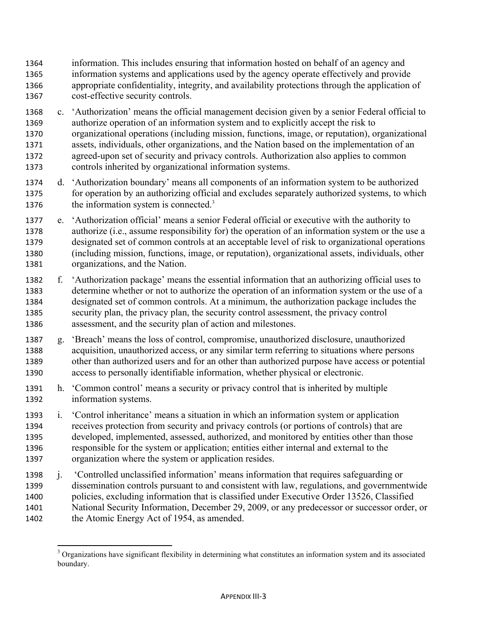- information. This includes ensuring that information hosted on behalf of an agency and information systems and applications used by the agency operate effectively and provide appropriate confidentiality, integrity, and availability protections through the application of cost-effective security controls.
- c. 'Authorization' means the official management decision given by a senior Federal official to authorize operation of an information system and to explicitly accept the risk to organizational operations (including mission, functions, image, or reputation), organizational assets, individuals, other organizations, and the Nation based on the implementation of an agreed-upon set of security and privacy controls. Authorization also applies to common controls inherited by organizational information systems.
- d. 'Authorization boundary' means all components of an information system to be authorized for operation by an authorizing official and excludes separately authorized systems, to which 1376 the information system is connected.
- e. 'Authorization official' means a senior Federal official or executive with the authority to authorize (i.e., assume responsibility for) the operation of an information system or the use a designated set of common controls at an acceptable level of risk to organizational operations (including mission, functions, image, or reputation), organizational assets, individuals, other organizations, and the Nation.
- f. 'Authorization package' means the essential information that an authorizing official uses to determine whether or not to authorize the operation of an information system or the use of a designated set of common controls. At a minimum, the authorization package includes the security plan, the privacy plan, the security control assessment, the privacy control assessment, and the security plan of action and milestones.
- g. 'Breach' means the loss of control, compromise, unauthorized disclosure, unauthorized acquisition, unauthorized access, or any similar term referring to situations where persons other than authorized users and for an other than authorized purpose have access or potential access to personally identifiable information, whether physical or electronic.
- h. 'Common control' means a security or privacy control that is inherited by multiple information systems.
- i. 'Control inheritance' means a situation in which an information system or application receives protection from security and privacy controls (or portions of controls) that are developed, implemented, assessed, authorized, and monitored by entities other than those responsible for the system or application; entities either internal and external to the organization where the system or application resides.
- j. 'Controlled unclassified information' means information that requires safeguarding or dissemination controls pursuant to and consistent with law, regulations, and governmentwide policies, excluding information that is classified under Executive Order 13526, Classified National Security Information, December 29, 2009, or any predecessor or successor order, or the Atomic Energy Act of 1954, as amended.

<sup>&</sup>lt;sup>3</sup> Organizations have significant flexibility in determining what constitutes an information system and its associated boundary.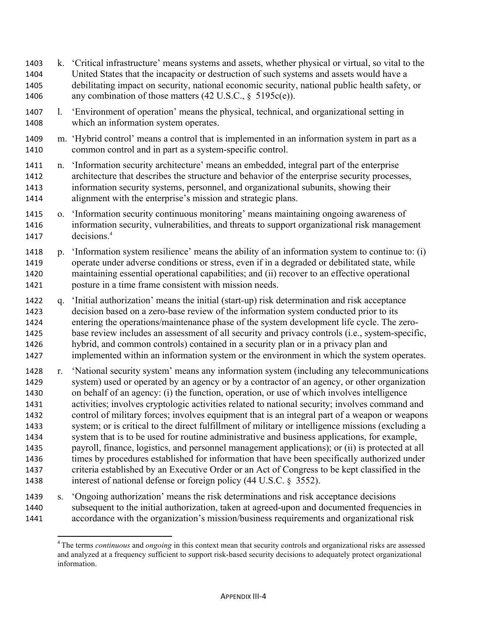- k. 'Critical infrastructure' means systems and assets, whether physical or virtual, so vital to the United States that the incapacity or destruction of such systems and assets would have a debilitating impact on security, national economic security, national public health safety, or 1406 any combination of those matters (42 U.S.C., § 5195c(e)).
- l. 'Environment of operation' means the physical, technical, and organizational setting in which an information system operates.
- m. 'Hybrid control' means a control that is implemented in an information system in part as a common control and in part as a system-specific control.
- n. 'Information security architecture' means an embedded, integral part of the enterprise architecture that describes the structure and behavior of the enterprise security processes, information security systems, personnel, and organizational subunits, showing their alignment with the enterprise's mission and strategic plans.
- o. 'Information security continuous monitoring' means maintaining ongoing awareness of information security, vulnerabilities, and threats to support organizational risk management 1417 decisions.<sup>4</sup>
- p. 'Information system resilience' means the ability of an information system to continue to: (i) operate under adverse conditions or stress, even if in a degraded or debilitated state, while maintaining essential operational capabilities; and (ii) recover to an effective operational posture in a time frame consistent with mission needs.
- q. 'Initial authorization' means the initial (start-up) risk determination and risk acceptance decision based on a zero-base review of the information system conducted prior to its entering the operations/maintenance phase of the system development life cycle. The zero- base review includes an assessment of all security and privacy controls (i.e., system-specific, hybrid, and common controls) contained in a security plan or in a privacy plan and implemented within an information system or the environment in which the system operates.
- r. 'National security system' means any information system (including any telecommunications system) used or operated by an agency or by a contractor of an agency, or other organization on behalf of an agency: (i) the function, operation, or use of which involves intelligence activities; involves cryptologic activities related to national security; involves command and control of military forces; involves equipment that is an integral part of a weapon or weapons system; or is critical to the direct fulfillment of military or intelligence missions (excluding a system that is to be used for routine administrative and business applications, for example, payroll, finance, logistics, and personnel management applications); or (ii) is protected at all times by procedures established for information that have been specifically authorized under criteria established by an Executive Order or an Act of Congress to be kept classified in the interest of national defense or foreign policy (44 U.S.C. § 3552).
- s. 'Ongoing authorization' means the risk determinations and risk acceptance decisions subsequent to the initial authorization, taken at agreed-upon and documented frequencies in accordance with the organization's mission/business requirements and organizational risk

 The terms *continuous* and *ongoing* in this context mean that security controls and organizational risks are assessed and analyzed at a frequency sufficient to support risk-based security decisions to adequately protect organizational information.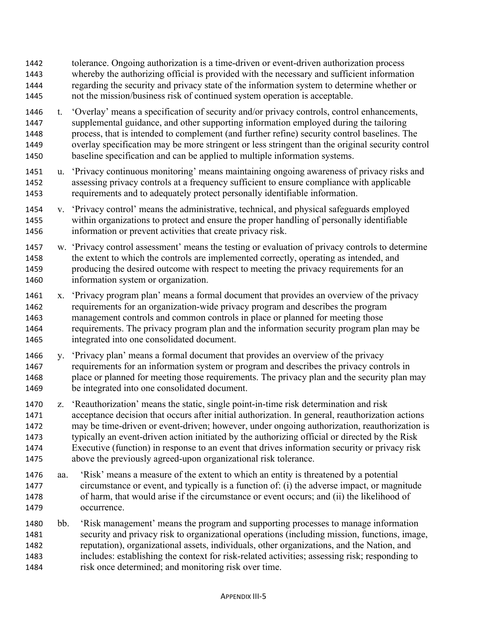- tolerance. Ongoing authorization is a time-driven or event-driven authorization process whereby the authorizing official is provided with the necessary and sufficient information regarding the security and privacy state of the information system to determine whether or not the mission/business risk of continued system operation is acceptable.
- t. 'Overlay' means a specification of security and/or privacy controls, control enhancements, supplemental guidance, and other supporting information employed during the tailoring process, that is intended to complement (and further refine) security control baselines. The overlay specification may be more stringent or less stringent than the original security control baseline specification and can be applied to multiple information systems.
- u. 'Privacy continuous monitoring' means maintaining ongoing awareness of privacy risks and assessing privacy controls at a frequency sufficient to ensure compliance with applicable requirements and to adequately protect personally identifiable information.
- v. 'Privacy control' means the administrative, technical, and physical safeguards employed within organizations to protect and ensure the proper handling of personally identifiable information or prevent activities that create privacy risk.
- w. 'Privacy control assessment' means the testing or evaluation of privacy controls to determine the extent to which the controls are implemented correctly, operating as intended, and producing the desired outcome with respect to meeting the privacy requirements for an information system or organization.
- x. 'Privacy program plan' means a formal document that provides an overview of the privacy requirements for an organization-wide privacy program and describes the program management controls and common controls in place or planned for meeting those requirements. The privacy program plan and the information security program plan may be integrated into one consolidated document.
- y. 'Privacy plan' means a formal document that provides an overview of the privacy requirements for an information system or program and describes the privacy controls in place or planned for meeting those requirements. The privacy plan and the security plan may be integrated into one consolidated document.
- z. 'Reauthorization' means the static, single point-in-time risk determination and risk acceptance decision that occurs after initial authorization. In general, reauthorization actions may be time-driven or event-driven; however, under ongoing authorization, reauthorization is typically an event-driven action initiated by the authorizing official or directed by the Risk Executive (function) in response to an event that drives information security or privacy risk above the previously agreed-upon organizational risk tolerance.
- aa. 'Risk' means a measure of the extent to which an entity is threatened by a potential circumstance or event, and typically is a function of: (i) the adverse impact, or magnitude of harm, that would arise if the circumstance or event occurs; and (ii) the likelihood of occurrence.
- bb. 'Risk management' means the program and supporting processes to manage information security and privacy risk to organizational operations (including mission, functions, image, reputation), organizational assets, individuals, other organizations, and the Nation, and includes: establishing the context for risk-related activities; assessing risk; responding to risk once determined; and monitoring risk over time.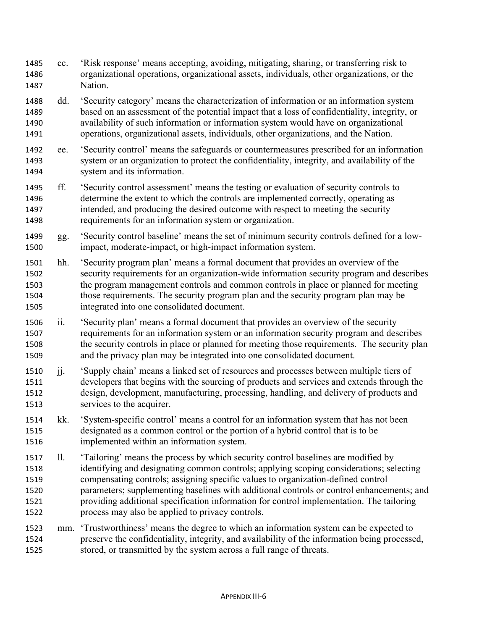- cc. 'Risk response' means accepting, avoiding, mitigating, sharing, or transferring risk to organizational operations, organizational assets, individuals, other organizations, or the Nation.
- dd. 'Security category' means the characterization of information or an information system based on an assessment of the potential impact that a loss of confidentiality, integrity, or availability of such information or information system would have on organizational operations, organizational assets, individuals, other organizations, and the Nation.
- ee. 'Security control' means the safeguards or countermeasures prescribed for an information system or an organization to protect the confidentiality, integrity, and availability of the system and its information.
- ff. 'Security control assessment' means the testing or evaluation of security controls to determine the extent to which the controls are implemented correctly, operating as intended, and producing the desired outcome with respect to meeting the security requirements for an information system or organization.
- gg. 'Security control baseline' means the set of minimum security controls defined for a low-impact, moderate-impact, or high-impact information system.
- hh. 'Security program plan' means a formal document that provides an overview of the security requirements for an organization-wide information security program and describes the program management controls and common controls in place or planned for meeting those requirements. The security program plan and the security program plan may be integrated into one consolidated document.
- ii. 'Security plan' means a formal document that provides an overview of the security requirements for an information system or an information security program and describes the security controls in place or planned for meeting those requirements. The security plan and the privacy plan may be integrated into one consolidated document.
- jj. 'Supply chain' means a linked set of resources and processes between multiple tiers of developers that begins with the sourcing of products and services and extends through the design, development, manufacturing, processing, handling, and delivery of products and services to the acquirer.
- kk. 'System-specific control' means a control for an information system that has not been designated as a common control or the portion of a hybrid control that is to be implemented within an information system.
- ll. 'Tailoring' means the process by which security control baselines are modified by identifying and designating common controls; applying scoping considerations; selecting compensating controls; assigning specific values to organization-defined control parameters; supplementing baselines with additional controls or control enhancements; and providing additional specification information for control implementation. The tailoring process may also be applied to privacy controls.
- mm. 'Trustworthiness' means the degree to which an information system can be expected to preserve the confidentiality, integrity, and availability of the information being processed, stored, or transmitted by the system across a full range of threats.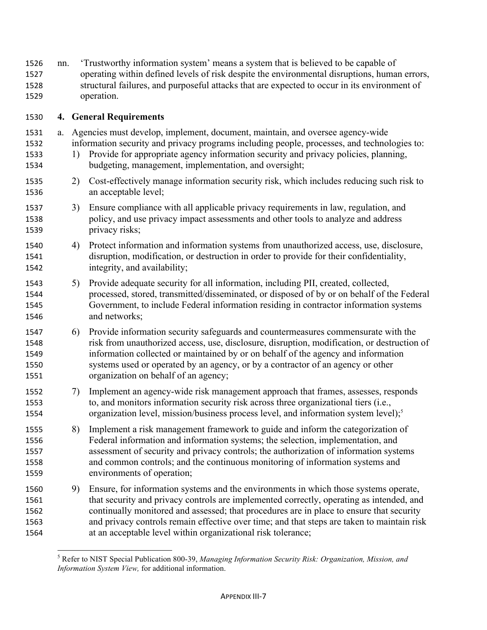| 1526<br>1527<br>1528<br>1529         | nn. |    | Trustworthy information system' means a system that is believed to be capable of<br>operating within defined levels of risk despite the environmental disruptions, human errors,<br>structural failures, and purposeful attacks that are expected to occur in its environment of<br>operation.                                                                                                                                             |
|--------------------------------------|-----|----|--------------------------------------------------------------------------------------------------------------------------------------------------------------------------------------------------------------------------------------------------------------------------------------------------------------------------------------------------------------------------------------------------------------------------------------------|
| 1530                                 |     |    | 4. General Requirements                                                                                                                                                                                                                                                                                                                                                                                                                    |
| 1531<br>1532<br>1533<br>1534         | a.  | 1) | Agencies must develop, implement, document, maintain, and oversee agency-wide<br>information security and privacy programs including people, processes, and technologies to:<br>Provide for appropriate agency information security and privacy policies, planning,<br>budgeting, management, implementation, and oversight;                                                                                                               |
| 1535<br>1536                         |     | 2) | Cost-effectively manage information security risk, which includes reducing such risk to<br>an acceptable level;                                                                                                                                                                                                                                                                                                                            |
| 1537<br>1538<br>1539                 |     | 3) | Ensure compliance with all applicable privacy requirements in law, regulation, and<br>policy, and use privacy impact assessments and other tools to analyze and address<br>privacy risks;                                                                                                                                                                                                                                                  |
| 1540<br>1541<br>1542                 |     | 4) | Protect information and information systems from unauthorized access, use, disclosure,<br>disruption, modification, or destruction in order to provide for their confidentiality,<br>integrity, and availability;                                                                                                                                                                                                                          |
| 1543<br>1544<br>1545<br>1546         |     | 5) | Provide adequate security for all information, including PII, created, collected,<br>processed, stored, transmitted/disseminated, or disposed of by or on behalf of the Federal<br>Government, to include Federal information residing in contractor information systems<br>and networks;                                                                                                                                                  |
| 1547<br>1548<br>1549<br>1550<br>1551 |     | 6) | Provide information security safeguards and countermeasures commensurate with the<br>risk from unauthorized access, use, disclosure, disruption, modification, or destruction of<br>information collected or maintained by or on behalf of the agency and information<br>systems used or operated by an agency, or by a contractor of an agency or other<br>organization on behalf of an agency;                                           |
| 1552<br>1553<br>1554                 |     | 7) | Implement an agency-wide risk management approach that frames, assesses, responds<br>to, and monitors information security risk across three organizational tiers (i.e.,<br>organization level, mission/business process level, and information system level); <sup>5</sup>                                                                                                                                                                |
| 1555<br>1556<br>1557<br>1558<br>1559 |     | 8) | Implement a risk management framework to guide and inform the categorization of<br>Federal information and information systems; the selection, implementation, and<br>assessment of security and privacy controls; the authorization of information systems<br>and common controls; and the continuous monitoring of information systems and<br>environments of operation;                                                                 |
| 1560<br>1561<br>1562<br>1563<br>1564 |     | 9) | Ensure, for information systems and the environments in which those systems operate,<br>that security and privacy controls are implemented correctly, operating as intended, and<br>continually monitored and assessed; that procedures are in place to ensure that security<br>and privacy controls remain effective over time; and that steps are taken to maintain risk<br>at an acceptable level within organizational risk tolerance; |

 Refer to NIST Special Publication 800-39, *Managing Information Security Risk: Organization, Mission, and Information System View,* for additional information.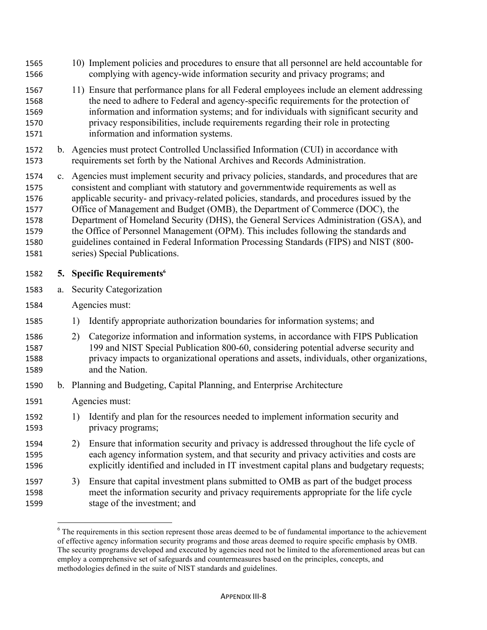- 10) Implement policies and procedures to ensure that all personnel are held accountable for complying with agency-wide information security and privacy programs; and
- 11) Ensure that performance plans for all Federal employees include an element addressing the need to adhere to Federal and agency-specific requirements for the protection of information and information systems; and for individuals with significant security and privacy responsibilities, include requirements regarding their role in protecting information and information systems.
- b. Agencies must protect Controlled Unclassified Information (CUI) in accordance with requirements set forth by the National Archives and Records Administration.
- c. Agencies must implement security and privacy policies, standards, and procedures that are consistent and compliant with statutory and governmentwide requirements as well as applicable security- and privacy-related policies, standards, and procedures issued by the Office of Management and Budget (OMB), the Department of Commerce (DOC), the Department of Homeland Security (DHS), the General Services Administration (GSA), and the Office of Personnel Management (OPM). This includes following the standards and guidelines contained in Federal Information Processing Standards (FIPS) and NIST (800- series) Special Publications.
- **5.** Specific Requirements<sup>6</sup>
- a. Security Categorization
- Agencies must:
- 1) Identify appropriate authorization boundaries for information systems; and
- 2) Categorize information and information systems, in accordance with FIPS Publication 199 and NIST Special Publication 800-60, considering potential adverse security and privacy impacts to organizational operations and assets, individuals, other organizations, and the Nation.
- b. Planning and Budgeting, Capital Planning, and Enterprise Architecture
- Agencies must:

- 1) Identify and plan for the resources needed to implement information security and privacy programs;
- 2) Ensure that information security and privacy is addressed throughout the life cycle of each agency information system, and that security and privacy activities and costs are explicitly identified and included in IT investment capital plans and budgetary requests;
- 3) Ensure that capital investment plans submitted to OMB as part of the budget process meet the information security and privacy requirements appropriate for the life cycle stage of the investment; and

<sup>&</sup>lt;sup>6</sup> The requirements in this section represent those areas deemed to be of fundamental importance to the achievement of effective agency information security programs and those areas deemed to require specific emphasis by OMB. The security programs developed and executed by agencies need not be limited to the aforementioned areas but can employ a comprehensive set of safeguards and countermeasures based on the principles, concepts, and methodologies defined in the suite of NIST standards and guidelines.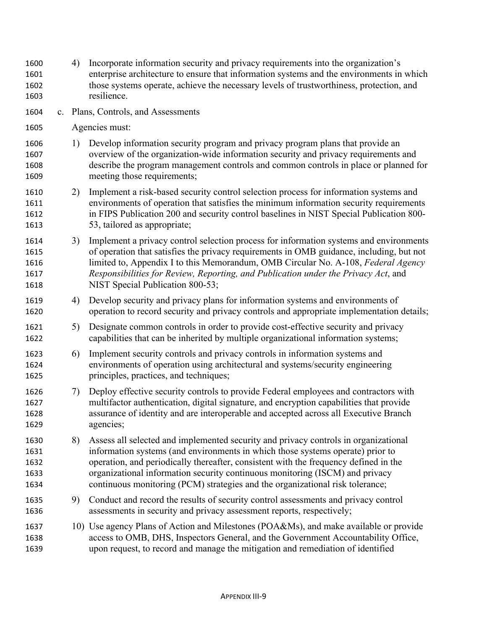enterprise architecture to ensure that information systems and the environments in which those systems operate, achieve the necessary levels of trustworthiness, protection, and resilience. c. Plans, Controls, and Assessments Agencies must: 1) Develop information security program and privacy program plans that provide an overview of the organization-wide information security and privacy requirements and describe the program management controls and common controls in place or planned for meeting those requirements; 2) Implement a risk-based security control selection process for information systems and environments of operation that satisfies the minimum information security requirements in FIPS Publication 200 and security control baselines in NIST Special Publication 800- 53, tailored as appropriate; 3) Implement a privacy control selection process for information systems and environments of operation that satisfies the privacy requirements in OMB guidance, including, but not limited to, Appendix I to this Memorandum, OMB Circular No. A-108, *Federal Agency Responsibilities for Review, Reporting, and Publication under the Privacy Act*, and **NIST** Special Publication 800-53; 4) Develop security and privacy plans for information systems and environments of operation to record security and privacy controls and appropriate implementation details; 1621 5) Designate common controls in order to provide cost-effective security and privacy capabilities that can be inherited by multiple organizational information systems; 6) Implement security controls and privacy controls in information systems and environments of operation using architectural and systems/security engineering principles, practices, and techniques; 7) Deploy effective security controls to provide Federal employees and contractors with multifactor authentication, digital signature, and encryption capabilities that provide assurance of identity and are interoperable and accepted across all Executive Branch agencies; 8) Assess all selected and implemented security and privacy controls in organizational information systems (and environments in which those systems operate) prior to operation, and periodically thereafter, consistent with the frequency defined in the organizational information security continuous monitoring (ISCM) and privacy continuous monitoring (PCM) strategies and the organizational risk tolerance;

4) Incorporate information security and privacy requirements into the organization's

- 9) Conduct and record the results of security control assessments and privacy control assessments in security and privacy assessment reports, respectively;
- 10) Use agency Plans of Action and Milestones (POA&Ms), and make available or provide access to OMB, DHS, Inspectors General, and the Government Accountability Office, upon request, to record and manage the mitigation and remediation of identified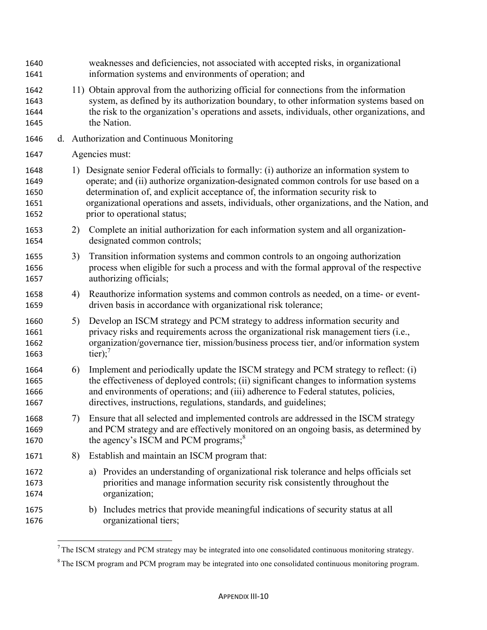weaknesses and deficiencies, not associated with accepted risks, in organizational information systems and environments of operation; and 11) Obtain approval from the authorizing official for connections from the information system, as defined by its authorization boundary, to other information systems based on the risk to the organization's operations and assets, individuals, other organizations, and the Nation. d. Authorization and Continuous Monitoring Agencies must: 1) Designate senior Federal officials to formally: (i) authorize an information system to operate; and (ii) authorize organization-designated common controls for use based on a determination of, and explicit acceptance of, the information security risk to organizational operations and assets, individuals, other organizations, and the Nation, and prior to operational status; 2) Complete an initial authorization for each information system and all organization- designated common controls; 3) Transition information systems and common controls to an ongoing authorization process when eligible for such a process and with the formal approval of the respective authorizing officials; 4) Reauthorize information systems and common controls as needed, on a time- or event- driven basis in accordance with organizational risk tolerance; 5) Develop an ISCM strategy and PCM strategy to address information security and privacy risks and requirements across the organizational risk management tiers (i.e., organization/governance tier, mission/business process tier, and/or information system  $\text{tier})$ ;<sup>7</sup> 6) Implement and periodically update the ISCM strategy and PCM strategy to reflect: (i) 1665 the effectiveness of deployed controls; (ii) significant changes to information systems and environments of operations; and (iii) adherence to Federal statutes, policies, directives, instructions, regulations, standards, and guidelines; 7) Ensure that all selected and implemented controls are addressed in the ISCM strategy and PCM strategy and are effectively monitored on an ongoing basis, as determined by 1670 the agency's ISCM and PCM programs; $8<sup>8</sup>$  8) Establish and maintain an ISCM program that: a) Provides an understanding of organizational risk tolerance and helps officials set priorities and manage information security risk consistently throughout the organization; b) Includes metrics that provide meaningful indications of security status at all organizational tiers;

 $<sup>7</sup>$  The ISCM strategy and PCM strategy may be integrated into one consolidated continuous monitoring strategy.</sup>

<sup>&</sup>lt;sup>8</sup> The ISCM program and PCM program may be integrated into one consolidated continuous monitoring program.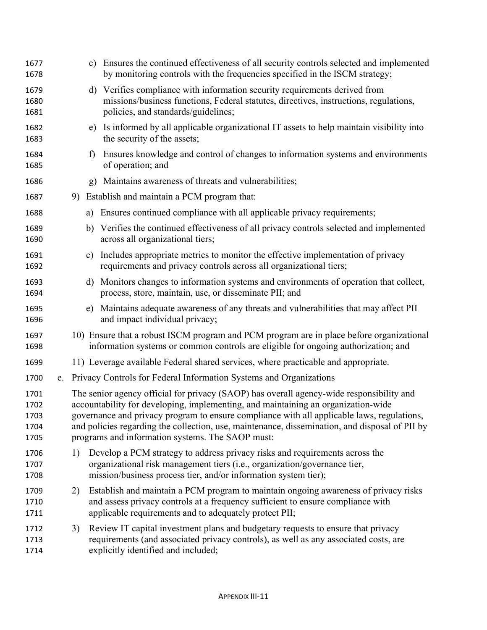| 1677<br>1678                         |    |    |    | c) Ensures the continued effectiveness of all security controls selected and implemented<br>by monitoring controls with the frequencies specified in the ISCM strategy;                                                                                                                                                                                                                                                           |
|--------------------------------------|----|----|----|-----------------------------------------------------------------------------------------------------------------------------------------------------------------------------------------------------------------------------------------------------------------------------------------------------------------------------------------------------------------------------------------------------------------------------------|
| 1679<br>1680<br>1681                 |    |    | d) | Verifies compliance with information security requirements derived from<br>missions/business functions, Federal statutes, directives, instructions, regulations,<br>policies, and standards/guidelines;                                                                                                                                                                                                                           |
| 1682<br>1683                         |    |    |    | e) Is informed by all applicable organizational IT assets to help maintain visibility into<br>the security of the assets;                                                                                                                                                                                                                                                                                                         |
| 1684<br>1685                         |    |    | f  | Ensures knowledge and control of changes to information systems and environments<br>of operation; and                                                                                                                                                                                                                                                                                                                             |
| 1686                                 |    |    | g) | Maintains awareness of threats and vulnerabilities;                                                                                                                                                                                                                                                                                                                                                                               |
| 1687                                 |    |    |    | 9) Establish and maintain a PCM program that:                                                                                                                                                                                                                                                                                                                                                                                     |
| 1688                                 |    |    | a) | Ensures continued compliance with all applicable privacy requirements;                                                                                                                                                                                                                                                                                                                                                            |
| 1689<br>1690                         |    |    |    | b) Verifies the continued effectiveness of all privacy controls selected and implemented<br>across all organizational tiers;                                                                                                                                                                                                                                                                                                      |
| 1691<br>1692                         |    |    | c) | Includes appropriate metrics to monitor the effective implementation of privacy<br>requirements and privacy controls across all organizational tiers;                                                                                                                                                                                                                                                                             |
| 1693<br>1694                         |    |    | d) | Monitors changes to information systems and environments of operation that collect,<br>process, store, maintain, use, or disseminate PII; and                                                                                                                                                                                                                                                                                     |
| 1695<br>1696                         |    |    | e) | Maintains adequate awareness of any threats and vulnerabilities that may affect PII<br>and impact individual privacy;                                                                                                                                                                                                                                                                                                             |
| 1697<br>1698                         |    |    |    | 10) Ensure that a robust ISCM program and PCM program are in place before organizational<br>information systems or common controls are eligible for ongoing authorization; and                                                                                                                                                                                                                                                    |
| 1699                                 |    |    |    | 11) Leverage available Federal shared services, where practicable and appropriate.                                                                                                                                                                                                                                                                                                                                                |
| 1700                                 | e. |    |    | Privacy Controls for Federal Information Systems and Organizations                                                                                                                                                                                                                                                                                                                                                                |
| 1701<br>1702<br>1703<br>1704<br>1705 |    |    |    | The senior agency official for privacy (SAOP) has overall agency-wide responsibility and<br>accountability for developing, implementing, and maintaining an organization-wide<br>governance and privacy program to ensure compliance with all applicable laws, regulations,<br>and policies regarding the collection, use, maintenance, dissemination, and disposal of PII by<br>programs and information systems. The SAOP must: |
| 1706<br>1707<br>1708                 |    | 1) |    | Develop a PCM strategy to address privacy risks and requirements across the<br>organizational risk management tiers (i.e., organization/governance tier,<br>mission/business process tier, and/or information system tier);                                                                                                                                                                                                       |
| 1709<br>1710<br>1711                 |    | 2) |    | Establish and maintain a PCM program to maintain ongoing awareness of privacy risks<br>and assess privacy controls at a frequency sufficient to ensure compliance with<br>applicable requirements and to adequately protect PII;                                                                                                                                                                                                  |
| 1712<br>1713<br>1714                 |    | 3) |    | Review IT capital investment plans and budgetary requests to ensure that privacy<br>requirements (and associated privacy controls), as well as any associated costs, are<br>explicitly identified and included;                                                                                                                                                                                                                   |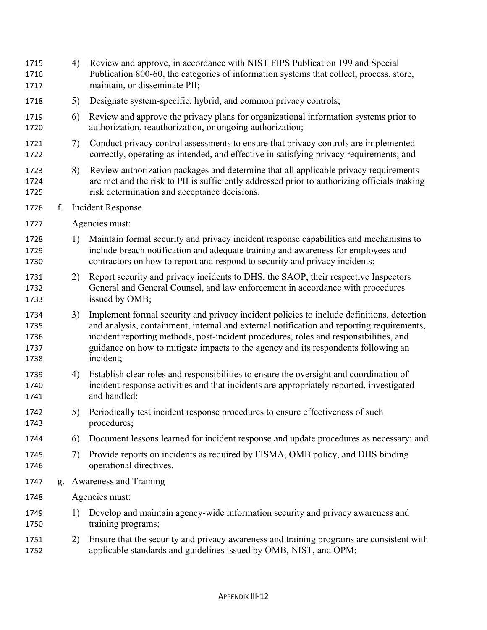| 1715<br>1716<br>1717                 |    | 4) | Review and approve, in accordance with NIST FIPS Publication 199 and Special<br>Publication 800-60, the categories of information systems that collect, process, store,<br>maintain, or disseminate PII;                                                                                                                                                                           |
|--------------------------------------|----|----|------------------------------------------------------------------------------------------------------------------------------------------------------------------------------------------------------------------------------------------------------------------------------------------------------------------------------------------------------------------------------------|
| 1718                                 |    | 5) | Designate system-specific, hybrid, and common privacy controls;                                                                                                                                                                                                                                                                                                                    |
| 1719<br>1720                         |    | 6) | Review and approve the privacy plans for organizational information systems prior to<br>authorization, reauthorization, or ongoing authorization;                                                                                                                                                                                                                                  |
| 1721<br>1722                         |    | 7) | Conduct privacy control assessments to ensure that privacy controls are implemented<br>correctly, operating as intended, and effective in satisfying privacy requirements; and                                                                                                                                                                                                     |
| 1723<br>1724<br>1725                 |    | 8) | Review authorization packages and determine that all applicable privacy requirements<br>are met and the risk to PII is sufficiently addressed prior to authorizing officials making<br>risk determination and acceptance decisions.                                                                                                                                                |
| 1726                                 | f. |    | <b>Incident Response</b>                                                                                                                                                                                                                                                                                                                                                           |
| 1727                                 |    |    | Agencies must:                                                                                                                                                                                                                                                                                                                                                                     |
| 1728<br>1729<br>1730                 |    | 1) | Maintain formal security and privacy incident response capabilities and mechanisms to<br>include breach notification and adequate training and awareness for employees and<br>contractors on how to report and respond to security and privacy incidents;                                                                                                                          |
| 1731<br>1732<br>1733                 |    | 2) | Report security and privacy incidents to DHS, the SAOP, their respective Inspectors<br>General and General Counsel, and law enforcement in accordance with procedures<br>issued by OMB;                                                                                                                                                                                            |
| 1734<br>1735<br>1736<br>1737<br>1738 |    | 3) | Implement formal security and privacy incident policies to include definitions, detection<br>and analysis, containment, internal and external notification and reporting requirements,<br>incident reporting methods, post-incident procedures, roles and responsibilities, and<br>guidance on how to mitigate impacts to the agency and its respondents following an<br>incident; |
| 1739<br>1740<br>1741                 |    | 4) | Establish clear roles and responsibilities to ensure the oversight and coordination of<br>incident response activities and that incidents are appropriately reported, investigated<br>and handled;                                                                                                                                                                                 |
| 1742<br>1743                         |    |    | 5) Periodically test incident response procedures to ensure effectiveness of such<br>procedures;                                                                                                                                                                                                                                                                                   |
| 1744                                 |    | 6) | Document lessons learned for incident response and update procedures as necessary; and                                                                                                                                                                                                                                                                                             |
| 1745<br>1746                         |    | 7) | Provide reports on incidents as required by FISMA, OMB policy, and DHS binding<br>operational directives.                                                                                                                                                                                                                                                                          |
| 1747                                 |    |    | g. Awareness and Training                                                                                                                                                                                                                                                                                                                                                          |
| 1748                                 |    |    | Agencies must:                                                                                                                                                                                                                                                                                                                                                                     |
| 1749<br>1750                         |    | 1) | Develop and maintain agency-wide information security and privacy awareness and<br>training programs;                                                                                                                                                                                                                                                                              |
| 1751<br>1752                         |    | 2) | Ensure that the security and privacy awareness and training programs are consistent with<br>applicable standards and guidelines issued by OMB, NIST, and OPM;                                                                                                                                                                                                                      |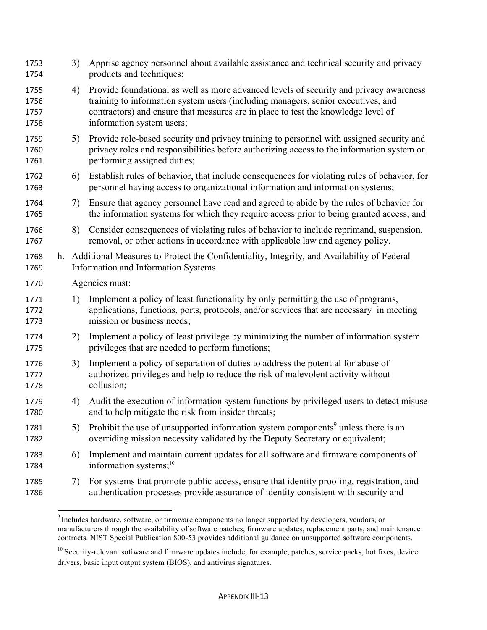| 1753<br>1754                 | 3)             | Apprise agency personnel about available assistance and technical security and privacy<br>products and techniques;                                                                                                                                                                           |  |
|------------------------------|----------------|----------------------------------------------------------------------------------------------------------------------------------------------------------------------------------------------------------------------------------------------------------------------------------------------|--|
| 1755<br>1756<br>1757<br>1758 | 4)             | Provide foundational as well as more advanced levels of security and privacy awareness<br>training to information system users (including managers, senior executives, and<br>contractors) and ensure that measures are in place to test the knowledge level of<br>information system users; |  |
| 1759<br>1760<br>1761         | 5)             | Provide role-based security and privacy training to personnel with assigned security and<br>privacy roles and responsibilities before authorizing access to the information system or<br>performing assigned duties;                                                                         |  |
| 1762<br>1763                 | 6)             | Establish rules of behavior, that include consequences for violating rules of behavior, for<br>personnel having access to organizational information and information systems;                                                                                                                |  |
| 1764<br>1765                 | 7)             | Ensure that agency personnel have read and agreed to abide by the rules of behavior for<br>the information systems for which they require access prior to being granted access; and                                                                                                          |  |
| 1766<br>1767                 | 8)             | Consider consequences of violating rules of behavior to include reprimand, suspension,<br>removal, or other actions in accordance with applicable law and agency policy.                                                                                                                     |  |
| 1768<br>1769                 |                | h. Additional Measures to Protect the Confidentiality, Integrity, and Availability of Federal<br>Information and Information Systems                                                                                                                                                         |  |
| 1770                         | Agencies must: |                                                                                                                                                                                                                                                                                              |  |
| 1771<br>1772<br>1773         | 1)             | Implement a policy of least functionality by only permitting the use of programs,<br>applications, functions, ports, protocols, and/or services that are necessary in meeting<br>mission or business needs;                                                                                  |  |
| 1774<br>1775                 | 2)             | Implement a policy of least privilege by minimizing the number of information system<br>privileges that are needed to perform functions;                                                                                                                                                     |  |
| 1776<br>1777<br>1778         | 3)             | Implement a policy of separation of duties to address the potential for abuse of<br>authorized privileges and help to reduce the risk of malevolent activity without<br>collusion;                                                                                                           |  |
| 1779<br>1780                 | 4)             | Audit the execution of information system functions by privileged users to detect misuse<br>and to help mitigate the risk from insider threats;                                                                                                                                              |  |
| 1781<br>1782                 | 5)             | Prohibit the use of unsupported information system components <sup>9</sup> unless there is an<br>overriding mission necessity validated by the Deputy Secretary or equivalent;                                                                                                               |  |
| 1783<br>1784                 | 6)             | Implement and maintain current updates for all software and firmware components of<br>information systems; $^{10}$                                                                                                                                                                           |  |
| 1785<br>1786                 | 7)             | For systems that promote public access, ensure that identity proofing, registration, and<br>authentication processes provide assurance of identity consistent with security and                                                                                                              |  |

<sup>&</sup>lt;sup>9</sup> Includes hardware, software, or firmware components no longer supported by developers, vendors, or manufacturers through the availability of software patches, firmware updates, replacement parts, and maintenance contracts. NIST Special Publication 800-53 provides additional guidance on unsupported software components.

<sup>&</sup>lt;sup>10</sup> Security-relevant software and firmware updates include, for example, patches, service packs, hot fixes, device drivers, basic input output system (BIOS), and antivirus signatures.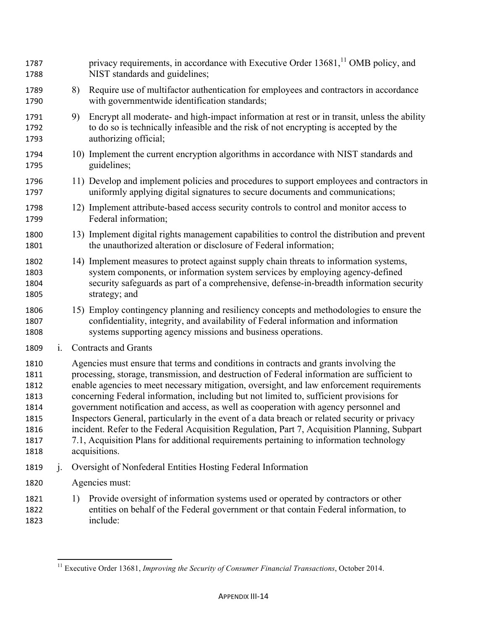| 1787<br>1788                                                         |                | privacy requirements, in accordance with Executive Order 13681, <sup>11</sup> OMB policy, and<br>NIST standards and guidelines;                                                                                                                                                                                                                                                                                                                                                                                                                                                                                                                                                                                                                                                  |
|----------------------------------------------------------------------|----------------|----------------------------------------------------------------------------------------------------------------------------------------------------------------------------------------------------------------------------------------------------------------------------------------------------------------------------------------------------------------------------------------------------------------------------------------------------------------------------------------------------------------------------------------------------------------------------------------------------------------------------------------------------------------------------------------------------------------------------------------------------------------------------------|
| 1789<br>1790                                                         |                | Require use of multifactor authentication for employees and contractors in accordance<br>8)<br>with governmentwide identification standards;                                                                                                                                                                                                                                                                                                                                                                                                                                                                                                                                                                                                                                     |
| 1791<br>1792<br>1793                                                 |                | 9)<br>Encrypt all moderate- and high-impact information at rest or in transit, unless the ability<br>to do so is technically infeasible and the risk of not encrypting is accepted by the<br>authorizing official;                                                                                                                                                                                                                                                                                                                                                                                                                                                                                                                                                               |
| 1794<br>1795                                                         |                | 10) Implement the current encryption algorithms in accordance with NIST standards and<br>guidelines;                                                                                                                                                                                                                                                                                                                                                                                                                                                                                                                                                                                                                                                                             |
| 1796<br>1797                                                         |                | 11) Develop and implement policies and procedures to support employees and contractors in<br>uniformly applying digital signatures to secure documents and communications;                                                                                                                                                                                                                                                                                                                                                                                                                                                                                                                                                                                                       |
| 1798<br>1799                                                         |                | 12) Implement attribute-based access security controls to control and monitor access to<br>Federal information;                                                                                                                                                                                                                                                                                                                                                                                                                                                                                                                                                                                                                                                                  |
| 1800<br>1801                                                         |                | 13) Implement digital rights management capabilities to control the distribution and prevent<br>the unauthorized alteration or disclosure of Federal information;                                                                                                                                                                                                                                                                                                                                                                                                                                                                                                                                                                                                                |
| 1802<br>1803<br>1804<br>1805                                         |                | 14) Implement measures to protect against supply chain threats to information systems,<br>system components, or information system services by employing agency-defined<br>security safeguards as part of a comprehensive, defense-in-breadth information security<br>strategy; and                                                                                                                                                                                                                                                                                                                                                                                                                                                                                              |
| 1806<br>1807<br>1808                                                 |                | 15) Employ contingency planning and resiliency concepts and methodologies to ensure the<br>confidentiality, integrity, and availability of Federal information and information<br>systems supporting agency missions and business operations.                                                                                                                                                                                                                                                                                                                                                                                                                                                                                                                                    |
| 1809                                                                 | $\mathbf{i}$ . | <b>Contracts and Grants</b>                                                                                                                                                                                                                                                                                                                                                                                                                                                                                                                                                                                                                                                                                                                                                      |
| 1810<br>1811<br>1812<br>1813<br>1814<br>1815<br>1816<br>1817<br>1818 |                | Agencies must ensure that terms and conditions in contracts and grants involving the<br>processing, storage, transmission, and destruction of Federal information are sufficient to<br>enable agencies to meet necessary mitigation, oversight, and law enforcement requirements<br>concerning Federal information, including but not limited to, sufficient provisions for<br>government notification and access, as well as cooperation with agency personnel and<br>Inspectors General, particularly in the event of a data breach or related security or privacy<br>incident. Refer to the Federal Acquisition Regulation, Part 7, Acquisition Planning, Subpart<br>7.1, Acquisition Plans for additional requirements pertaining to information technology<br>acquisitions. |
| 1819                                                                 | j.             | Oversight of Nonfederal Entities Hosting Federal Information                                                                                                                                                                                                                                                                                                                                                                                                                                                                                                                                                                                                                                                                                                                     |
| 1820                                                                 |                | Agencies must:                                                                                                                                                                                                                                                                                                                                                                                                                                                                                                                                                                                                                                                                                                                                                                   |
| 1821<br>1822<br>1823                                                 |                | Provide oversight of information systems used or operated by contractors or other<br>1)<br>entities on behalf of the Federal government or that contain Federal information, to<br>include:                                                                                                                                                                                                                                                                                                                                                                                                                                                                                                                                                                                      |

 Executive Order 13681, *Improving the Security of Consumer Financial Transactions*, October 2014.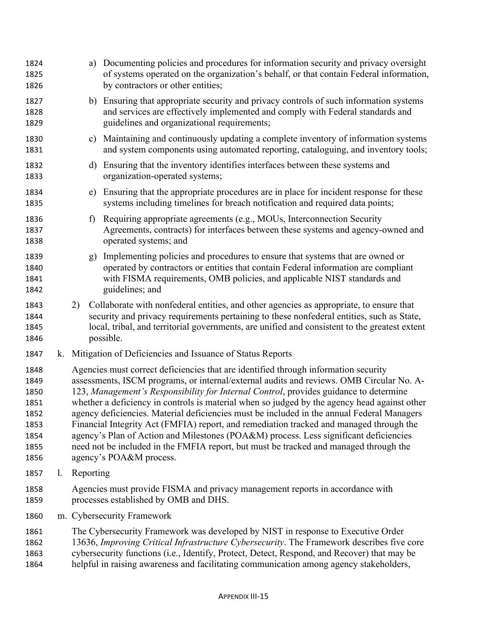| 1824<br>1825<br>1826                                                 |              | a) Documenting policies and procedures for information security and privacy oversight<br>of systems operated on the organization's behalf, or that contain Federal information,<br>by contractors or other entities;                                                                                                                                                                                                                                                                                                                                                                                                                                                                                                                                                           |
|----------------------------------------------------------------------|--------------|--------------------------------------------------------------------------------------------------------------------------------------------------------------------------------------------------------------------------------------------------------------------------------------------------------------------------------------------------------------------------------------------------------------------------------------------------------------------------------------------------------------------------------------------------------------------------------------------------------------------------------------------------------------------------------------------------------------------------------------------------------------------------------|
| 1827<br>1828<br>1829                                                 |              | b) Ensuring that appropriate security and privacy controls of such information systems<br>and services are effectively implemented and comply with Federal standards and<br>guidelines and organizational requirements;                                                                                                                                                                                                                                                                                                                                                                                                                                                                                                                                                        |
| 1830<br>1831                                                         |              | c) Maintaining and continuously updating a complete inventory of information systems<br>and system components using automated reporting, cataloguing, and inventory tools;                                                                                                                                                                                                                                                                                                                                                                                                                                                                                                                                                                                                     |
| 1832<br>1833                                                         | d)           | Ensuring that the inventory identifies interfaces between these systems and<br>organization-operated systems;                                                                                                                                                                                                                                                                                                                                                                                                                                                                                                                                                                                                                                                                  |
| 1834<br>1835                                                         | e)           | Ensuring that the appropriate procedures are in place for incident response for these<br>systems including timelines for breach notification and required data points;                                                                                                                                                                                                                                                                                                                                                                                                                                                                                                                                                                                                         |
| 1836<br>1837<br>1838                                                 | $\mathbf{f}$ | Requiring appropriate agreements (e.g., MOUs, Interconnection Security<br>Agreements, contracts) for interfaces between these systems and agency-owned and<br>operated systems; and                                                                                                                                                                                                                                                                                                                                                                                                                                                                                                                                                                                            |
| 1839<br>1840<br>1841<br>1842                                         | g)           | Implementing policies and procedures to ensure that systems that are owned or<br>operated by contractors or entities that contain Federal information are compliant<br>with FISMA requirements, OMB policies, and applicable NIST standards and<br>guidelines; and                                                                                                                                                                                                                                                                                                                                                                                                                                                                                                             |
| 1843<br>1844<br>1845<br>1846                                         | 2)           | Collaborate with nonfederal entities, and other agencies as appropriate, to ensure that<br>security and privacy requirements pertaining to these nonfederal entities, such as State,<br>local, tribal, and territorial governments, are unified and consistent to the greatest extent<br>possible.                                                                                                                                                                                                                                                                                                                                                                                                                                                                             |
| 1847                                                                 |              | k. Mitigation of Deficiencies and Issuance of Status Reports                                                                                                                                                                                                                                                                                                                                                                                                                                                                                                                                                                                                                                                                                                                   |
| 1848<br>1849<br>1850<br>1851<br>1852<br>1853<br>1854<br>1855<br>1856 |              | Agencies must correct deficiencies that are identified through information security<br>assessments, ISCM programs, or internal/external audits and reviews. OMB Circular No. A-<br>123, Management's Responsibility for Internal Control, provides guidance to determine<br>whether a deficiency in controls is material when so judged by the agency head against other<br>agency deficiencies. Material deficiencies must be included in the annual Federal Managers<br>Financial Integrity Act (FMFIA) report, and remediation tracked and managed through the<br>agency's Plan of Action and Milestones (POA&M) process. Less significant deficiencies<br>need not be included in the FMFIA report, but must be tracked and managed through the<br>agency's POA&M process. |
| 1857<br>$\mathbf{I}$ .                                               | Reporting    |                                                                                                                                                                                                                                                                                                                                                                                                                                                                                                                                                                                                                                                                                                                                                                                |
| 1858<br>1859                                                         |              | Agencies must provide FISMA and privacy management reports in accordance with<br>processes established by OMB and DHS.                                                                                                                                                                                                                                                                                                                                                                                                                                                                                                                                                                                                                                                         |
| 1860                                                                 |              | m. Cybersecurity Framework                                                                                                                                                                                                                                                                                                                                                                                                                                                                                                                                                                                                                                                                                                                                                     |
| 1861<br>1862<br>1863<br>1864                                         |              | The Cybersecurity Framework was developed by NIST in response to Executive Order<br>13636, Improving Critical Infrastructure Cybersecurity. The Framework describes five core<br>cybersecurity functions (i.e., Identify, Protect, Detect, Respond, and Recover) that may be<br>helpful in raising awareness and facilitating communication among agency stakeholders,                                                                                                                                                                                                                                                                                                                                                                                                         |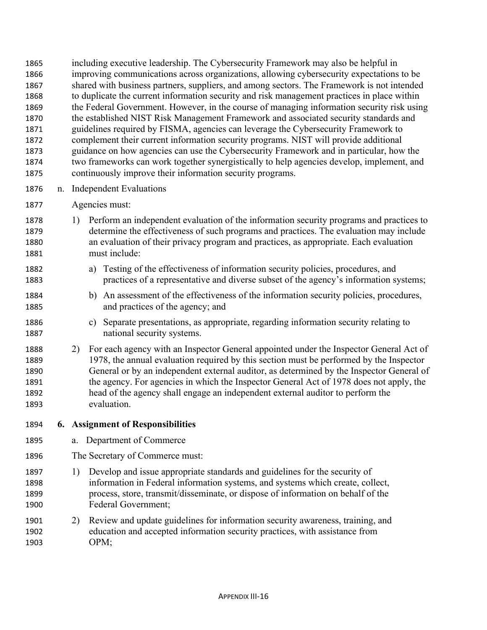including executive leadership. The Cybersecurity Framework may also be helpful in improving communications across organizations, allowing cybersecurity expectations to be shared with business partners, suppliers, and among sectors. The Framework is not intended to duplicate the current information security and risk management practices in place within the Federal Government. However, in the course of managing information security risk using the established NIST Risk Management Framework and associated security standards and guidelines required by FISMA, agencies can leverage the Cybersecurity Framework to complement their current information security programs. NIST will provide additional guidance on how agencies can use the Cybersecurity Framework and in particular, how the two frameworks can work together synergistically to help agencies develop, implement, and continuously improve their information security programs.

- n. Independent Evaluations
- Agencies must:
- 1) Perform an independent evaluation of the information security programs and practices to determine the effectiveness of such programs and practices. The evaluation may include an evaluation of their privacy program and practices, as appropriate. Each evaluation must include:
- a) Testing of the effectiveness of information security policies, procedures, and practices of a representative and diverse subset of the agency's information systems;
- b) An assessment of the effectiveness of the information security policies, procedures, and practices of the agency; and
- c) Separate presentations, as appropriate, regarding information security relating to national security systems.
- 2) For each agency with an Inspector General appointed under the Inspector General Act of 1978, the annual evaluation required by this section must be performed by the Inspector General or by an independent external auditor, as determined by the Inspector General of 1891 the agency. For agencies in which the Inspector General Act of 1978 does not apply, the head of the agency shall engage an independent external auditor to perform the evaluation.
- **6. Assignment of Responsibilities**
- a. Department of Commerce
- The Secretary of Commerce must:
- 1) Develop and issue appropriate standards and guidelines for the security of information in Federal information systems, and systems which create, collect, process, store, transmit/disseminate, or dispose of information on behalf of the Federal Government;
- 2) Review and update guidelines for information security awareness, training, and education and accepted information security practices, with assistance from OPM;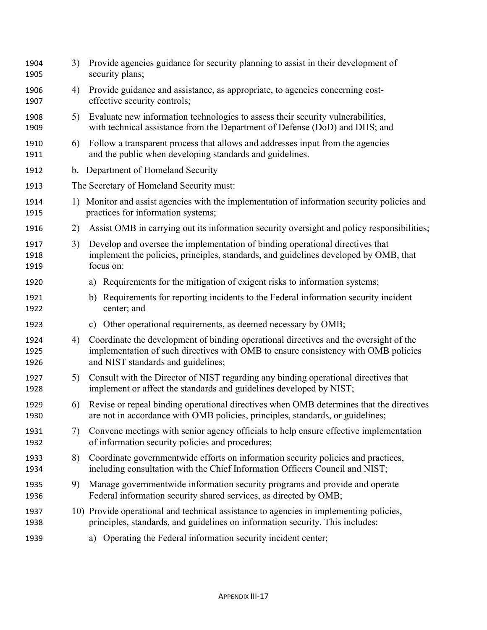| 1904<br>1905         | 3) | Provide agencies guidance for security planning to assist in their development of<br>security plans;                                                                                                              |
|----------------------|----|-------------------------------------------------------------------------------------------------------------------------------------------------------------------------------------------------------------------|
| 1906<br>1907         | 4) | Provide guidance and assistance, as appropriate, to agencies concerning cost-<br>effective security controls;                                                                                                     |
| 1908<br>1909         | 5) | Evaluate new information technologies to assess their security vulnerabilities,<br>with technical assistance from the Department of Defense (DoD) and DHS; and                                                    |
| 1910<br>1911         | 6) | Follow a transparent process that allows and addresses input from the agencies<br>and the public when developing standards and guidelines.                                                                        |
| 1912                 |    | b. Department of Homeland Security                                                                                                                                                                                |
| 1913                 |    | The Secretary of Homeland Security must:                                                                                                                                                                          |
| 1914<br>1915         |    | 1) Monitor and assist agencies with the implementation of information security policies and<br>practices for information systems;                                                                                 |
| 1916                 | 2) | Assist OMB in carrying out its information security oversight and policy responsibilities;                                                                                                                        |
| 1917<br>1918<br>1919 | 3) | Develop and oversee the implementation of binding operational directives that<br>implement the policies, principles, standards, and guidelines developed by OMB, that<br>focus on:                                |
| 1920                 |    | Requirements for the mitigation of exigent risks to information systems;<br>a)                                                                                                                                    |
| 1921<br>1922         |    | b) Requirements for reporting incidents to the Federal information security incident<br>center; and                                                                                                               |
| 1923                 |    | c) Other operational requirements, as deemed necessary by OMB;                                                                                                                                                    |
| 1924<br>1925<br>1926 | 4) | Coordinate the development of binding operational directives and the oversight of the<br>implementation of such directives with OMB to ensure consistency with OMB policies<br>and NIST standards and guidelines; |
| 1927<br>1928         | 5) | Consult with the Director of NIST regarding any binding operational directives that<br>implement or affect the standards and guidelines developed by NIST;                                                        |
| 1929<br>1930         | 6) | Revise or repeal binding operational directives when OMB determines that the directives<br>are not in accordance with OMB policies, principles, standards, or guidelines;                                         |
| 1931<br>1932         | 7) | Convene meetings with senior agency officials to help ensure effective implementation<br>of information security policies and procedures;                                                                         |
| 1933<br>1934         | 8) | Coordinate governmentwide efforts on information security policies and practices,<br>including consultation with the Chief Information Officers Council and NIST;                                                 |
| 1935<br>1936         | 9) | Manage governmentwide information security programs and provide and operate<br>Federal information security shared services, as directed by OMB;                                                                  |
| 1937<br>1938         |    | 10) Provide operational and technical assistance to agencies in implementing policies,<br>principles, standards, and guidelines on information security. This includes:                                           |
| 1939                 |    | Operating the Federal information security incident center;<br>a)                                                                                                                                                 |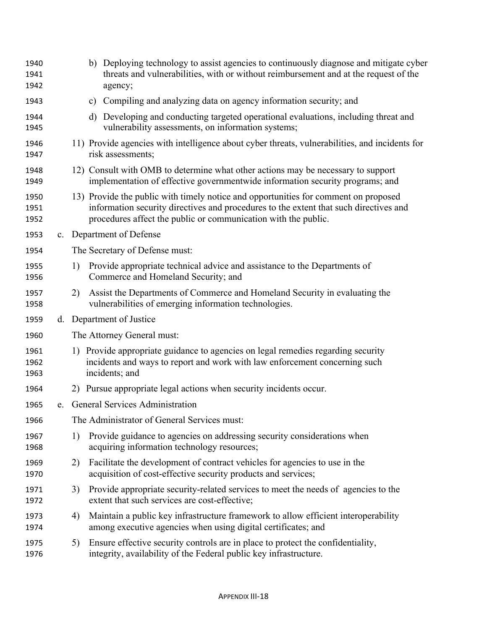| 1940<br>1941<br>1942 |    | b) Deploying technology to assist agencies to continuously diagnose and mitigate cyber<br>threats and vulnerabilities, with or without reimbursement and at the request of the<br>agency;                                                      |
|----------------------|----|------------------------------------------------------------------------------------------------------------------------------------------------------------------------------------------------------------------------------------------------|
| 1943                 |    | c) Compiling and analyzing data on agency information security; and                                                                                                                                                                            |
| 1944<br>1945         |    | Developing and conducting targeted operational evaluations, including threat and<br>d)<br>vulnerability assessments, on information systems;                                                                                                   |
| 1946<br>1947         |    | 11) Provide agencies with intelligence about cyber threats, vulnerabilities, and incidents for<br>risk assessments;                                                                                                                            |
| 1948<br>1949         |    | 12) Consult with OMB to determine what other actions may be necessary to support<br>implementation of effective governmentwide information security programs; and                                                                              |
| 1950<br>1951<br>1952 |    | 13) Provide the public with timely notice and opportunities for comment on proposed<br>information security directives and procedures to the extent that such directives and<br>procedures affect the public or communication with the public. |
| 1953                 |    | c. Department of Defense                                                                                                                                                                                                                       |
| 1954                 |    | The Secretary of Defense must:                                                                                                                                                                                                                 |
| 1955<br>1956         | 1) | Provide appropriate technical advice and assistance to the Departments of<br>Commerce and Homeland Security; and                                                                                                                               |
| 1957<br>1958         | 2) | Assist the Departments of Commerce and Homeland Security in evaluating the<br>vulnerabilities of emerging information technologies.                                                                                                            |
| 1959                 |    | d. Department of Justice                                                                                                                                                                                                                       |
| 1960                 |    | The Attorney General must:                                                                                                                                                                                                                     |
| 1961<br>1962<br>1963 |    | 1) Provide appropriate guidance to agencies on legal remedies regarding security<br>incidents and ways to report and work with law enforcement concerning such<br>incidents; and                                                               |
| 1964                 |    | 2) Pursue appropriate legal actions when security incidents occur.                                                                                                                                                                             |
| 1965                 |    | e. General Services Administration                                                                                                                                                                                                             |
| 1966                 |    | The Administrator of General Services must:                                                                                                                                                                                                    |
| 1967<br>1968         | 1) | Provide guidance to agencies on addressing security considerations when<br>acquiring information technology resources;                                                                                                                         |
| 1969<br>1970         | 2) | Facilitate the development of contract vehicles for agencies to use in the<br>acquisition of cost-effective security products and services;                                                                                                    |
| 1971<br>1972         | 3) | Provide appropriate security-related services to meet the needs of agencies to the<br>extent that such services are cost-effective;                                                                                                            |
| 1973<br>1974         | 4) | Maintain a public key infrastructure framework to allow efficient interoperability<br>among executive agencies when using digital certificates; and                                                                                            |
| 1975<br>1976         | 5) | Ensure effective security controls are in place to protect the confidentiality,<br>integrity, availability of the Federal public key infrastructure.                                                                                           |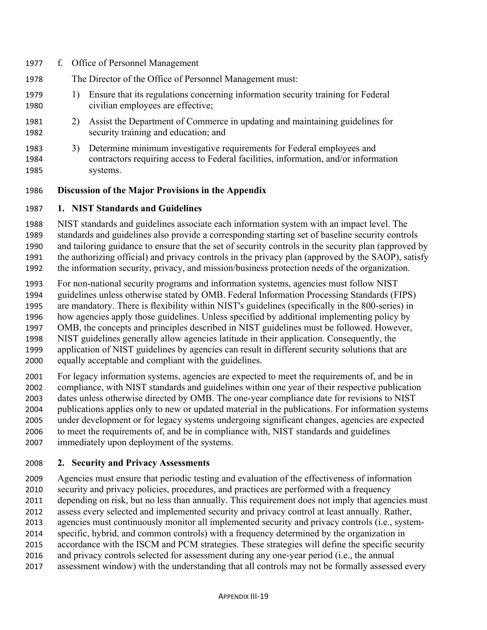| 1977                 |    | f. Office of Personnel Management                                                                                                                                         |
|----------------------|----|---------------------------------------------------------------------------------------------------------------------------------------------------------------------------|
| 1978                 |    | The Director of the Office of Personnel Management must:                                                                                                                  |
| 1979<br>1980         |    | Ensure that its regulations concerning information security training for Federal<br>civilian employees are effective;                                                     |
| 1981<br>1982         |    | Assist the Department of Commerce in updating and maintaining guidelines for<br>security training and education; and                                                      |
| 1983<br>1984<br>1985 | 3) | Determine minimum investigative requirements for Federal employees and<br>contractors requiring access to Federal facilities, information, and/or information<br>systems. |

## **Discussion of the Major Provisions in the Appendix**

#### **1. NIST Standards and Guidelines**

 NIST standards and guidelines associate each information system with an impact level. The standards and guidelines also provide a corresponding starting set of baseline security controls and tailoring guidance to ensure that the set of security controls in the security plan (approved by the authorizing official) and privacy controls in the privacy plan (approved by the SAOP), satisfy the information security, privacy, and mission/business protection needs of the organization.

 For non-national security programs and information systems, agencies must follow NIST guidelines unless otherwise stated by OMB. Federal Information Processing Standards (FIPS) are mandatory. There is flexibility within NIST's guidelines (specifically in the 800-series) in how agencies apply those guidelines. Unless specified by additional implementing policy by OMB, the concepts and principles described in NIST guidelines must be followed. However, NIST guidelines generally allow agencies latitude in their application. Consequently, the application of NIST guidelines by agencies can result in different security solutions that are equally acceptable and compliant with the guidelines.

 For legacy information systems, agencies are expected to meet the requirements of, and be in compliance, with NIST standards and guidelines within one year of their respective publication dates unless otherwise directed by OMB. The one-year compliance date for revisions to NIST publications applies only to new or updated material in the publications. For information systems under development or for legacy systems undergoing significant changes, agencies are expected to meet the requirements of, and be in compliance with, NIST standards and guidelines immediately upon deployment of the systems.

## **2. Security and Privacy Assessments**

 Agencies must ensure that periodic testing and evaluation of the effectiveness of information security and privacy policies, procedures, and practices are performed with a frequency

depending on risk, but no less than annually. This requirement does not imply that agencies must

assess every selected and implemented security and privacy control at least annually. Rather,

agencies must continuously monitor all implemented security and privacy controls (i.e., system-

specific, hybrid, and common controls) with a frequency determined by the organization in

accordance with the ISCM and PCM strategies. These strategies will define the specific security

and privacy controls selected for assessment during any one-year period (i.e., the annual

assessment window) with the understanding that all controls may not be formally assessed every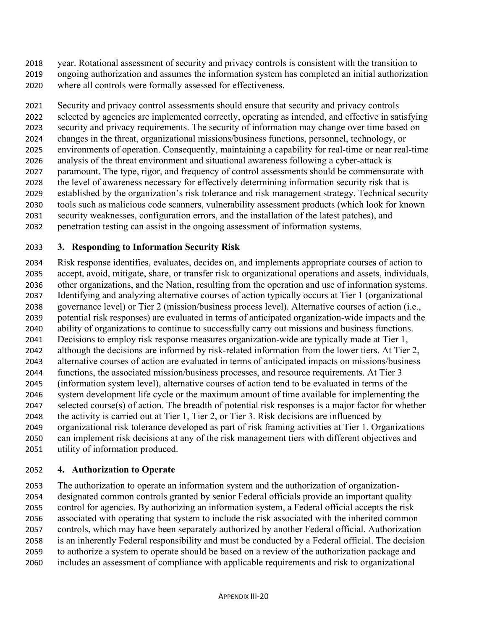- year. Rotational assessment of security and privacy controls is consistent with the transition to
- ongoing authorization and assumes the information system has completed an initial authorization where all controls were formally assessed for effectiveness.

 Security and privacy control assessments should ensure that security and privacy controls selected by agencies are implemented correctly, operating as intended, and effective in satisfying security and privacy requirements. The security of information may change over time based on changes in the threat, organizational missions/business functions, personnel, technology, or environments of operation. Consequently, maintaining a capability for real-time or near real-time analysis of the threat environment and situational awareness following a cyber-attack is paramount. The type, rigor, and frequency of control assessments should be commensurate with the level of awareness necessary for effectively determining information security risk that is established by the organization's risk tolerance and risk management strategy. Technical security tools such as malicious code scanners, vulnerability assessment products (which look for known security weaknesses, configuration errors, and the installation of the latest patches), and penetration testing can assist in the ongoing assessment of information systems.

## **3. Responding to Information Security Risk**

 Risk response identifies, evaluates, decides on, and implements appropriate courses of action to accept, avoid, mitigate, share, or transfer risk to organizational operations and assets, individuals, other organizations, and the Nation, resulting from the operation and use of information systems. Identifying and analyzing alternative courses of action typically occurs at Tier 1 (organizational governance level) or Tier 2 (mission/business process level). Alternative courses of action (i.e., potential risk responses) are evaluated in terms of anticipated organization-wide impacts and the ability of organizations to continue to successfully carry out missions and business functions. Decisions to employ risk response measures organization-wide are typically made at Tier 1, although the decisions are informed by risk-related information from the lower tiers. At Tier 2, alternative courses of action are evaluated in terms of anticipated impacts on missions/business functions, the associated mission/business processes, and resource requirements. At Tier 3 (information system level), alternative courses of action tend to be evaluated in terms of the system development life cycle or the maximum amount of time available for implementing the selected course(s) of action. The breadth of potential risk responses is a major factor for whether the activity is carried out at Tier 1, Tier 2, or Tier 3. Risk decisions are influenced by organizational risk tolerance developed as part of risk framing activities at Tier 1. Organizations can implement risk decisions at any of the risk management tiers with different objectives and utility of information produced.

## **4. Authorization to Operate**

 The authorization to operate an information system and the authorization of organization- designated common controls granted by senior Federal officials provide an important quality control for agencies. By authorizing an information system, a Federal official accepts the risk associated with operating that system to include the risk associated with the inherited common controls, which may have been separately authorized by another Federal official. Authorization is an inherently Federal responsibility and must be conducted by a Federal official. The decision to authorize a system to operate should be based on a review of the authorization package and includes an assessment of compliance with applicable requirements and risk to organizational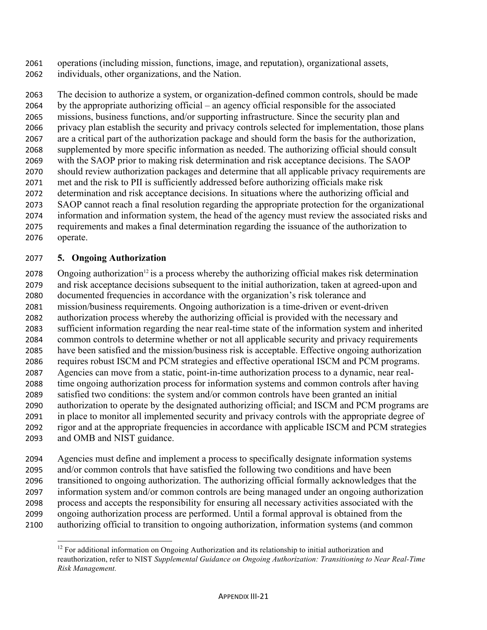operations (including mission, functions, image, and reputation), organizational assets, individuals, other organizations, and the Nation.

 The decision to authorize a system, or organization-defined common controls, should be made by the appropriate authorizing official – an agency official responsible for the associated missions, business functions, and/or supporting infrastructure. Since the security plan and privacy plan establish the security and privacy controls selected for implementation, those plans are a critical part of the authorization package and should form the basis for the authorization, supplemented by more specific information as needed. The authorizing official should consult with the SAOP prior to making risk determination and risk acceptance decisions. The SAOP should review authorization packages and determine that all applicable privacy requirements are met and the risk to PII is sufficiently addressed before authorizing officials make risk determination and risk acceptance decisions. In situations where the authorizing official and SAOP cannot reach a final resolution regarding the appropriate protection for the organizational information and information system, the head of the agency must review the associated risks and requirements and makes a final determination regarding the issuance of the authorization to operate.

## **5. Ongoing Authorization**

 Ongoing authorization<sup>12</sup> is a process whereby the authorizing official makes risk determination and risk acceptance decisions subsequent to the initial authorization, taken at agreed-upon and documented frequencies in accordance with the organization's risk tolerance and mission/business requirements. Ongoing authorization is a time-driven or event-driven authorization process whereby the authorizing official is provided with the necessary and sufficient information regarding the near real-time state of the information system and inherited common controls to determine whether or not all applicable security and privacy requirements have been satisfied and the mission/business risk is acceptable. Effective ongoing authorization requires robust ISCM and PCM strategies and effective operational ISCM and PCM programs. Agencies can move from a static, point-in-time authorization process to a dynamic, near real- time ongoing authorization process for information systems and common controls after having satisfied two conditions: the system and/or common controls have been granted an initial authorization to operate by the designated authorizing official; and ISCM and PCM programs are in place to monitor all implemented security and privacy controls with the appropriate degree of rigor and at the appropriate frequencies in accordance with applicable ISCM and PCM strategies and OMB and NIST guidance.

 Agencies must define and implement a process to specifically designate information systems and/or common controls that have satisfied the following two conditions and have been transitioned to ongoing authorization. The authorizing official formally acknowledges that the information system and/or common controls are being managed under an ongoing authorization process and accepts the responsibility for ensuring all necessary activities associated with the ongoing authorization process are performed. Until a formal approval is obtained from the authorizing official to transition to ongoing authorization, information systems (and common

 <sup>12</sup> For additional information on Ongoing Authorization and its relationship to initial authorization and reauthorization, refer to NIST *Supplemental Guidance on Ongoing Authorization: Transitioning to Near Real-Time Risk Management.*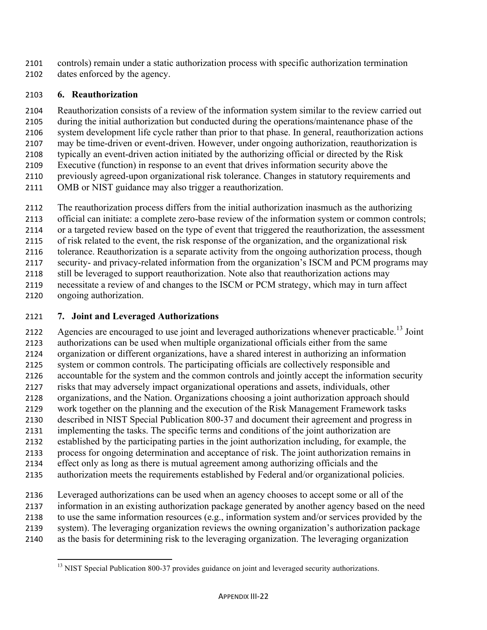- controls) remain under a static authorization process with specific authorization termination
- dates enforced by the agency.

# **6. Reauthorization**

 Reauthorization consists of a review of the information system similar to the review carried out during the initial authorization but conducted during the operations/maintenance phase of the system development life cycle rather than prior to that phase. In general, reauthorization actions may be time-driven or event-driven. However, under ongoing authorization, reauthorization is typically an event-driven action initiated by the authorizing official or directed by the Risk Executive (function) in response to an event that drives information security above the previously agreed-upon organizational risk tolerance. Changes in statutory requirements and

- OMB or NIST guidance may also trigger a reauthorization.
- The reauthorization process differs from the initial authorization inasmuch as the authorizing
- official can initiate: a complete zero-base review of the information system or common controls;
- or a targeted review based on the type of event that triggered the reauthorization, the assessment
- of risk related to the event, the risk response of the organization, and the organizational risk
- tolerance. Reauthorization is a separate activity from the ongoing authorization process, though
- security- and privacy-related information from the organization's ISCM and PCM programs may
- 2118 still be leveraged to support reauthorization. Note also that reauthorization actions may necessitate a review of and changes to the ISCM or PCM strategy, which may in turn affect
- ongoing authorization.
- **7. Joint and Leveraged Authorizations**

Agencies are encouraged to use joint and leveraged authorizations whenever practicable.<sup>13</sup> Joint authorizations can be used when multiple organizational officials either from the same organization or different organizations, have a shared interest in authorizing an information system or common controls. The participating officials are collectively responsible and accountable for the system and the common controls and jointly accept the information security risks that may adversely impact organizational operations and assets, individuals, other organizations, and the Nation. Organizations choosing a joint authorization approach should work together on the planning and the execution of the Risk Management Framework tasks described in NIST Special Publication 800-37 and document their agreement and progress in implementing the tasks. The specific terms and conditions of the joint authorization are established by the participating parties in the joint authorization including, for example, the process for ongoing determination and acceptance of risk. The joint authorization remains in effect only as long as there is mutual agreement among authorizing officials and the authorization meets the requirements established by Federal and/or organizational policies.

- Leveraged authorizations can be used when an agency chooses to accept some or all of the information in an existing authorization package generated by another agency based on the need
- to use the same information resources (e.g., information system and/or services provided by the
- system). The leveraging organization reviews the owning organization's authorization package
- as the basis for determining risk to the leveraging organization. The leveraging organization

 <sup>13</sup> NIST Special Publication 800-37 provides guidance on joint and leveraged security authorizations.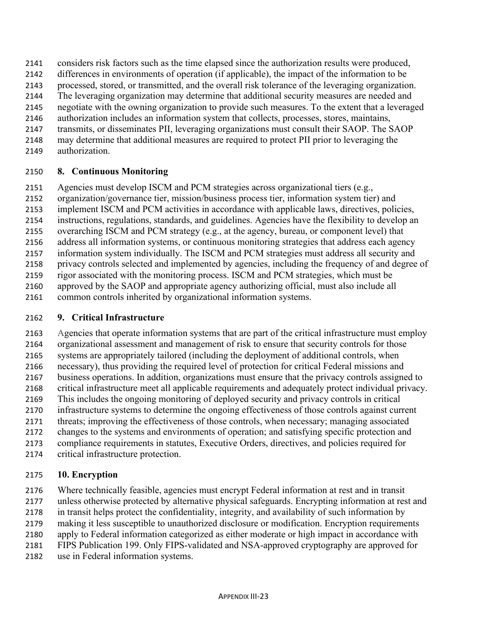- considers risk factors such as the time elapsed since the authorization results were produced,
- differences in environments of operation (if applicable), the impact of the information to be
- processed, stored, or transmitted, and the overall risk tolerance of the leveraging organization.
- The leveraging organization may determine that additional security measures are needed and
- negotiate with the owning organization to provide such measures. To the extent that a leveraged
- authorization includes an information system that collects, processes, stores, maintains,
- transmits, or disseminates PII, leveraging organizations must consult their SAOP. The SAOP
- may determine that additional measures are required to protect PII prior to leveraging the
- authorization.

## **8. Continuous Monitoring**

- Agencies must develop ISCM and PCM strategies across organizational tiers (e.g.,
- organization/governance tier, mission/business process tier, information system tier) and
- implement ISCM and PCM activities in accordance with applicable laws, directives, policies,
- instructions, regulations, standards, and guidelines. Agencies have the flexibility to develop an
- overarching ISCM and PCM strategy (e.g., at the agency, bureau, or component level) that
- address all information systems, or continuous monitoring strategies that address each agency
- information system individually. The ISCM and PCM strategies must address all security and
- privacy controls selected and implemented by agencies, including the frequency of and degree of rigor associated with the monitoring process. ISCM and PCM strategies, which must be
- approved by the SAOP and appropriate agency authorizing official, must also include all
- common controls inherited by organizational information systems.

# **9. Critical Infrastructure**

 Agencies that operate information systems that are part of the critical infrastructure must employ organizational assessment and management of risk to ensure that security controls for those systems are appropriately tailored (including the deployment of additional controls, when necessary), thus providing the required level of protection for critical Federal missions and business operations. In addition, organizations must ensure that the privacy controls assigned to critical infrastructure meet all applicable requirements and adequately protect individual privacy. This includes the ongoing monitoring of deployed security and privacy controls in critical infrastructure systems to determine the ongoing effectiveness of those controls against current threats; improving the effectiveness of those controls, when necessary; managing associated changes to the systems and environments of operation; and satisfying specific protection and compliance requirements in statutes, Executive Orders, directives, and policies required for critical infrastructure protection.

# **10. Encryption**

 Where technically feasible, agencies must encrypt Federal information at rest and in transit unless otherwise protected by alternative physical safeguards. Encrypting information at rest and in transit helps protect the confidentiality, integrity, and availability of such information by making it less susceptible to unauthorized disclosure or modification. Encryption requirements apply to Federal information categorized as either moderate or high impact in accordance with FIPS Publication 199. Only FIPS-validated and NSA-approved cryptography are approved for use in Federal information systems.

**APPENDIX III-23**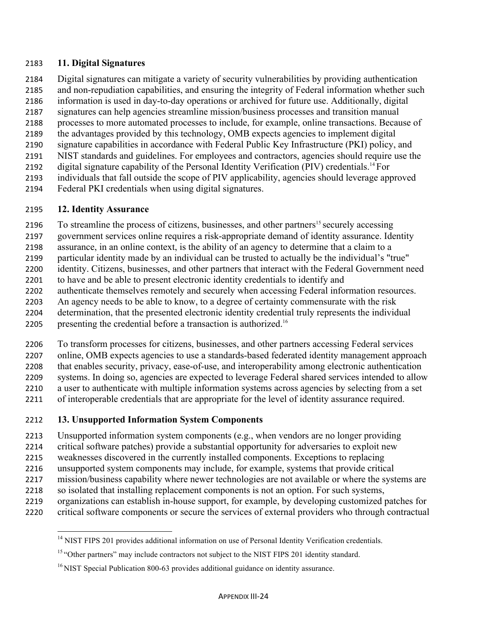#### **11. Digital Signatures**

- Digital signatures can mitigate a variety of security vulnerabilities by providing authentication
- and non-repudiation capabilities, and ensuring the integrity of Federal information whether such
- information is used in day-to-day operations or archived for future use. Additionally, digital
- signatures can help agencies streamline mission/business processes and transition manual
- processes to more automated processes to include, for example, online transactions. Because of the advantages provided by this technology, OMB expects agencies to implement digital
- signature capabilities in accordance with Federal Public Key Infrastructure (PKI) policy, and
- NIST standards and guidelines. For employees and contractors, agencies should require use the
- 2192 digital signature capability of the Personal Identity Verification (PIV) credentials.<sup>14</sup> For
- individuals that fall outside the scope of PIV applicability, agencies should leverage approved
- Federal PKI credentials when using digital signatures.

# **12. Identity Assurance**

- 2196 To streamline the process of citizens, businesses, and other partners<sup>15</sup> securely accessing
- government services online requires a risk-appropriate demand of identity assurance. Identity
- assurance, in an online context, is the ability of an agency to determine that a claim to a
- particular identity made by an individual can be trusted to actually be the individual's "true"
- identity. Citizens, businesses, and other partners that interact with the Federal Government need
- to have and be able to present electronic identity credentials to identify and
- authenticate themselves remotely and securely when accessing Federal information resources.
- An agency needs to be able to know, to a degree of certainty commensurate with the risk determination, that the presented electronic identity credential truly represents the individual
- 2205 presenting the credential before a transaction is authorized.<sup>16</sup>
- To transform processes for citizens, businesses, and other partners accessing Federal services online, OMB expects agencies to use a standards-based federated identity management approach that enables security, privacy, ease-of-use, and interoperability among electronic authentication systems. In doing so, agencies are expected to leverage Federal shared services intended to allow a user to authenticate with multiple information systems across agencies by selecting from a set of interoperable credentials that are appropriate for the level of identity assurance required.
- **13. Unsupported Information System Components**
- Unsupported information system components (e.g., when vendors are no longer providing
- critical software patches) provide a substantial opportunity for adversaries to exploit new
- weaknesses discovered in the currently installed components. Exceptions to replacing
- unsupported system components may include, for example, systems that provide critical
- mission/business capability where newer technologies are not available or where the systems are
- so isolated that installing replacement components is not an option. For such systems,
- organizations can establish in-house support, for example, by developing customized patches for
- critical software components or secure the services of external providers who through contractual

 <sup>14</sup> NIST FIPS 201 provides additional information on use of Personal Identity Verification credentials.

<sup>&</sup>lt;sup>15</sup> "Other partners" may include contractors not subject to the NIST FIPS 201 identity standard.

<sup>&</sup>lt;sup>16</sup> NIST Special Publication 800-63 provides additional guidance on identity assurance.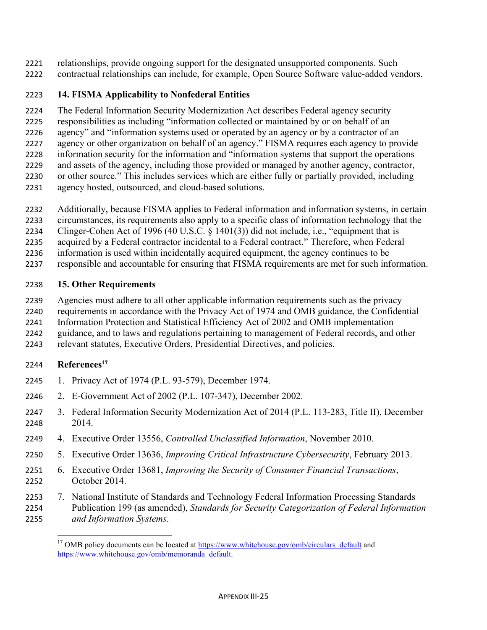relationships, provide ongoing support for the designated unsupported components. Such contractual relationships can include, for example, Open Source Software value-added vendors.

# **14. FISMA Applicability to Nonfederal Entities**

 The Federal Information Security Modernization Act describes Federal agency security responsibilities as including "information collected or maintained by or on behalf of an agency" and "information systems used or operated by an agency or by a contractor of an agency or other organization on behalf of an agency." FISMA requires each agency to provide information security for the information and "information systems that support the operations and assets of the agency, including those provided or managed by another agency, contractor,

- or other source." This includes services which are either fully or partially provided, including
- agency hosted, outsourced, and cloud-based solutions.
- Additionally, because FISMA applies to Federal information and information systems, in certain
- circumstances, its requirements also apply to a specific class of information technology that the
- Clinger-Cohen Act of 1996 (40 U.S.C. § 1401(3)) did not include, i.e., "equipment that is
- acquired by a Federal contractor incidental to a Federal contract." Therefore, when Federal
- information is used within incidentally acquired equipment, the agency continues to be
- responsible and accountable for ensuring that FISMA requirements are met for such information.

## **15. Other Requirements**

- Agencies must adhere to all other applicable information requirements such as the privacy
- requirements in accordance with the Privacy Act of 1974 and OMB guidance, the Confidential
- Information Protection and Statistical Efficiency Act of 2002 and OMB implementation
- guidance, and to laws and regulations pertaining to management of Federal records, and other
- relevant statutes, Executive Orders, Presidential Directives, and policies.

## **References17**

- 1. Privacy Act of 1974 (P.L. 93-579), December 1974.
- 2. E-Government Act of 2002 (P.L. 107-347), December 2002.
- 3. Federal Information Security Modernization Act of 2014 (P.L. 113-283, Title II), December 2014.
- 4. Executive Order 13556, *Controlled Unclassified Information*, November 2010.
- 5. Executive Order 13636, *Improving Critical Infrastructure Cybersecurity*, February 2013.
- 6. Executive Order 13681, *Improving the Security of Consumer Financial Transactions*, October 2014.
- 7. National Institute of Standards and Technology Federal Information Processing Standards Publication 199 (as amended), *Standards for Security Categorization of Federal Information and Information Systems*.

 <sup>17</sup> OMB policy documents can be located at https://www.whitehouse.gov/omb/circulars\_default and https://www.whitehouse.gov/omb/memoranda\_default.